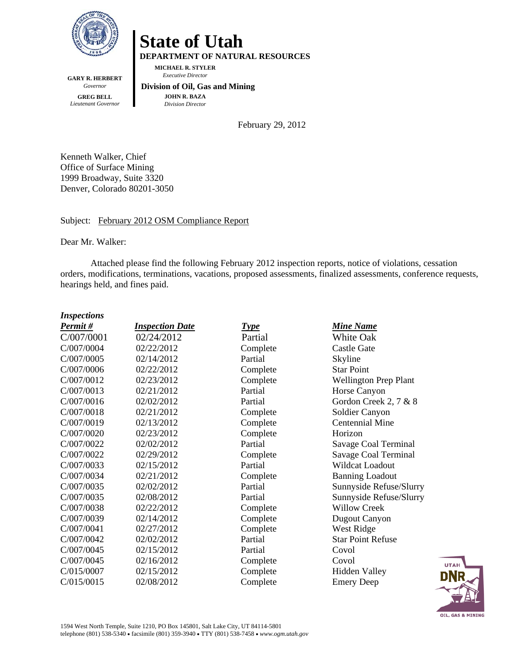

**GARY R. HERBERT**  *Governor*  **GREG BELL**  *Lieutenant Governor* 

**State of Utah DEPARTMENT OF NATURAL RESOURCES** 

**MICHAEL R. STYLER**   *Executive Director* 

 **Division of Oil, Gas and Mining JOHN R. BAZA**  *Division Director*

February 29, 2012

Kenneth Walker, Chief Office of Surface Mining 1999 Broadway, Suite 3320 Denver, Colorado 80201-3050

#### Subject: February 2012 OSM Compliance Report

Dear Mr. Walker:

Attached please find the following February 2012 inspection reports, notice of violations, cessation orders, modifications, terminations, vacations, proposed assessments, finalized assessments, conference requests, hearings held, and fines paid.

#### *Inspections*

| Permit#    | <b>Inspection Date</b> | <b>Type</b> | <b>Mine Name</b>             |
|------------|------------------------|-------------|------------------------------|
| C/007/0001 | 02/24/2012             | Partial     | White Oak                    |
| C/007/0004 | 02/22/2012             | Complete    | <b>Castle Gate</b>           |
| C/007/0005 | 02/14/2012             | Partial     | Skyline                      |
| C/007/0006 | 02/22/2012             | Complete    | <b>Star Point</b>            |
| C/007/0012 | 02/23/2012             | Complete    | <b>Wellington Prep Plant</b> |
| C/007/0013 | 02/21/2012             | Partial     | Horse Canyon                 |
| C/007/0016 | 02/02/2012             | Partial     | Gordon Creek 2, 7 & 8        |
| C/007/0018 | 02/21/2012             | Complete    | Soldier Canyon               |
| C/007/0019 | 02/13/2012             | Complete    | <b>Centennial Mine</b>       |
| C/007/0020 | 02/23/2012             | Complete    | Horizon                      |
| C/007/0022 | 02/02/2012             | Partial     | Savage Coal Terminal         |
| C/007/0022 | 02/29/2012             | Complete    | <b>Savage Coal Terminal</b>  |
| C/007/0033 | 02/15/2012             | Partial     | Wildcat Loadout              |
| C/007/0034 | 02/21/2012             | Complete    | <b>Banning Loadout</b>       |
| C/007/0035 | 02/02/2012             | Partial     | Sunnyside Refuse/Slurry      |
| C/007/0035 | 02/08/2012             | Partial     | Sunnyside Refuse/Slurry      |
| C/007/0038 | 02/22/2012             | Complete    | <b>Willow Creek</b>          |
| C/007/0039 | 02/14/2012             | Complete    | <b>Dugout Canyon</b>         |
| C/007/0041 | 02/27/2012             | Complete    | West Ridge                   |
| C/007/0042 | 02/02/2012             | Partial     | <b>Star Point Refuse</b>     |
| C/007/0045 | 02/15/2012             | Partial     | Covol                        |
| C/007/0045 | 02/16/2012             | Complete    | Covol                        |
| C/015/0007 | 02/15/2012             | Complete    | <b>Hidden Valley</b>         |
| C/015/0015 | 02/08/2012             | Complete    | <b>Emery Deep</b>            |

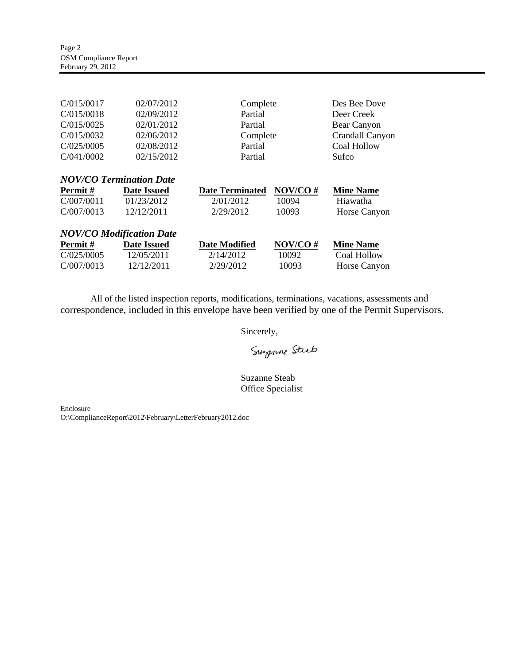| C/015/0017                      | 02/07/2012         | Complete               |         | Des Bee Dove     |
|---------------------------------|--------------------|------------------------|---------|------------------|
| C/015/0018                      | 02/09/2012         | Partial                |         | Deer Creek       |
| C/015/0025                      | 02/01/2012         | Partial                |         | Bear Canyon      |
| C/015/0032                      | 02/06/2012         | Complete               |         | Crandall Canyon  |
| C/025/0005                      | 02/08/2012         | Partial                |         | Coal Hollow      |
| C/041/0002                      | 02/15/2012         | Partial                |         | Sufco            |
|                                 |                    |                        |         |                  |
| <b>NOV/CO Termination Date</b>  |                    |                        |         |                  |
|                                 |                    |                        |         |                  |
| Permit#                         | <b>Date Issued</b> | <b>Date Terminated</b> | NOV/CO# | <b>Mine Name</b> |
| C/007/0011                      | 01/23/2012         | 2/01/2012              | 10094   | Hiawatha         |
| C/007/0013                      | 12/12/2011         | 2/29/2012              | 10093   | Horse Canyon     |
|                                 |                    |                        |         |                  |
| <b>NOV/CO Modification Date</b> |                    |                        |         |                  |
| Permit#                         | <b>Date Issued</b> | <b>Date Modified</b>   | NOV/CO# | <b>Mine Name</b> |
| C/025/0005                      | 12/05/2011         | 2/14/2012              | 10092   | Coal Hollow      |

All of the listed inspection reports, modifications, terminations, vacations, assessments and correspondence, included in this envelope have been verified by one of the Permit Supervisors.

Sincerely,

Surgenne Steab

Suzanne Steab Office Specialist

Enclosure

O:\ComplianceReport\2012\February\LetterFebruary2012.doc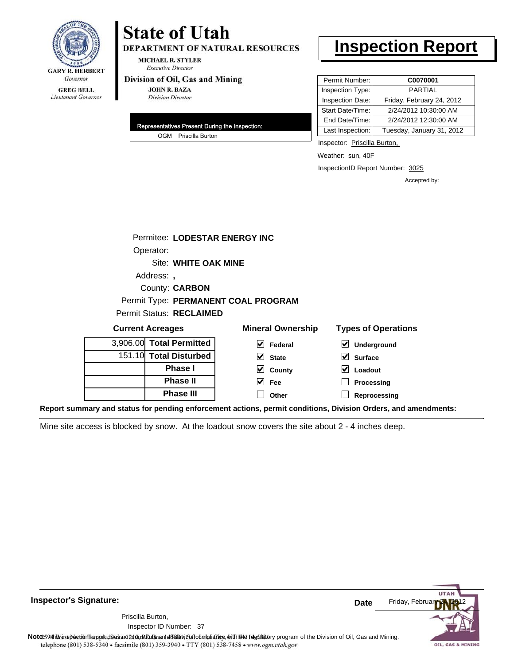

## **State of Utah**

DEPARTMENT OF NATURAL RESOURCES

**MICHAEL R. STYLER Executive Director** 

#### Division of Oil, Gas and Mining

**JOHN R. BAZA Division Director** 

| Representatives Present During the Inspection: |
|------------------------------------------------|
| OGM Priscilla Burton                           |

## **Inspection Report**

| Permit Number:   | C0070001                  |
|------------------|---------------------------|
| Inspection Type: | <b>PARTIAL</b>            |
| Inspection Date: | Friday, February 24, 2012 |
| Start Date/Time: | 2/24/2012 10:30:00 AM     |
| End Date/Time:   | 2/24/2012 12:30:00 AM     |
| Last Inspection: | Tuesday, January 31, 2012 |

Inspector: Priscilla Burton,

Weather: sun, 40F

InspectionID Report Number: 3025

Accepted by:

| Permitee: LODESTAR ENERGY INC |                                     |                            |
|-------------------------------|-------------------------------------|----------------------------|
| Operator:                     |                                     |                            |
| Site: WHITE OAK MINE          |                                     |                            |
| Address:                      |                                     |                            |
| County: <b>CARBON</b>         |                                     |                            |
|                               | Permit Type: PERMANENT COAL PROGRAM |                            |
| Permit Status: RECLAIMED      |                                     |                            |
| <b>Current Acreages</b>       | <b>Mineral Ownership</b>            | <b>Types of Operations</b> |
| 3,906.00 Total Permitted      | V<br>Federal                        | M<br>Underaround           |

| 3,906.00 Total Permitted |
|--------------------------|
| 151.10 Total Disturbed   |
| <b>Phase</b> I           |
| <b>Phase II</b>          |
| <b>Phase III</b>         |

| eral Ownershi <sub>l</sub>            |
|---------------------------------------|
| $\overline{\mathbf{y}}$ Federal       |
| $\overline{\smash{\mathsf{y}}}$ State |
| $\overline{\mathbf{y}}$ County        |

**Fee Other**

| $\triangledown$ Underground |
|-----------------------------|
| $\vee$ Surface              |
| $\vee$ Loadout              |

**Processing**

**Reprocessing**

**Report summary and status for pending enforcement actions, permit conditions, Division Orders, and amendments:**

Mine site access is blocked by snow. At the loadout snow covers the site about 2 - 4 inches deep.

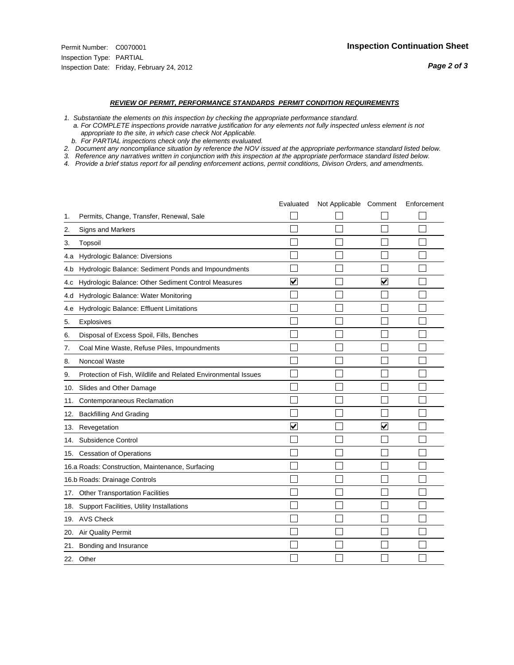#### *REVIEW OF PERMIT, PERFORMANCE STANDARDS PERMIT CONDITION REQUIREMENTS*

- *1. Substantiate the elements on this inspection by checking the appropriate performance standard.*
- *a. For COMPLETE inspections provide narrative justification for any elements not fully inspected unless element is not appropriate to the site, in which case check Not Applicable.*
- *b. For PARTIAL inspections check only the elements evaluated.*
- *2. Document any noncompliance situation by reference the NOV issued at the appropriate performance standard listed below.*
- *3. Reference any narratives written in conjunction with this inspection at the appropriate performace standard listed below.*
- *4. Provide a brief status report for all pending enforcement actions, permit conditions, Divison Orders, and amendments.*

|     |                                                               | Evaluated               | Not Applicable Comment |                         | Enforcement |
|-----|---------------------------------------------------------------|-------------------------|------------------------|-------------------------|-------------|
| 1.  | Permits, Change, Transfer, Renewal, Sale                      |                         |                        |                         |             |
| 2.  | Signs and Markers                                             |                         |                        |                         |             |
| 3.  | Topsoil                                                       |                         |                        |                         |             |
|     | 4.a Hydrologic Balance: Diversions                            |                         |                        |                         |             |
| 4.b | Hydrologic Balance: Sediment Ponds and Impoundments           |                         |                        |                         |             |
| 4.c | Hydrologic Balance: Other Sediment Control Measures           | $\overline{\mathbf{v}}$ |                        | $\overline{\mathbf{v}}$ |             |
| 4.d | Hydrologic Balance: Water Monitoring                          |                         |                        |                         |             |
| 4.e | Hydrologic Balance: Effluent Limitations                      |                         |                        |                         |             |
| 5.  | <b>Explosives</b>                                             |                         |                        |                         |             |
| 6.  | Disposal of Excess Spoil, Fills, Benches                      |                         |                        |                         |             |
| 7.  | Coal Mine Waste, Refuse Piles, Impoundments                   |                         |                        |                         |             |
| 8.  | Noncoal Waste                                                 |                         |                        |                         |             |
| 9.  | Protection of Fish, Wildlife and Related Environmental Issues |                         |                        |                         |             |
| 10. | Slides and Other Damage                                       |                         |                        |                         |             |
| 11. | Contemporaneous Reclamation                                   |                         |                        |                         |             |
| 12. | <b>Backfilling And Grading</b>                                |                         |                        |                         |             |
| 13. | Revegetation                                                  | $\overline{\mathbf{v}}$ |                        | $\overline{\mathbf{v}}$ |             |
| 14. | Subsidence Control                                            |                         |                        |                         |             |
|     | 15. Cessation of Operations                                   |                         |                        |                         |             |
|     | 16.a Roads: Construction, Maintenance, Surfacing              |                         |                        |                         |             |
|     | 16.b Roads: Drainage Controls                                 |                         |                        |                         |             |
| 17. | <b>Other Transportation Facilities</b>                        |                         |                        |                         |             |
| 18. | Support Facilities, Utility Installations                     |                         |                        |                         |             |
|     | 19. AVS Check                                                 |                         |                        |                         |             |
| 20. | <b>Air Quality Permit</b>                                     |                         |                        |                         |             |
| 21. | Bonding and Insurance                                         |                         |                        |                         |             |
|     | 22. Other                                                     |                         |                        |                         |             |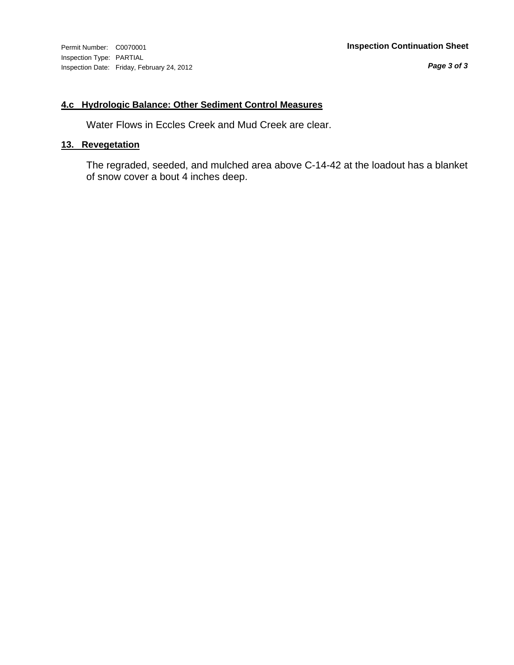#### **4.c Hydrologic Balance: Other Sediment Control Measures**

Water Flows in Eccles Creek and Mud Creek are clear.

#### **13. Revegetation**

The regraded, seeded, and mulched area above C-14-42 at the loadout has a blanket of snow cover a bout 4 inches deep.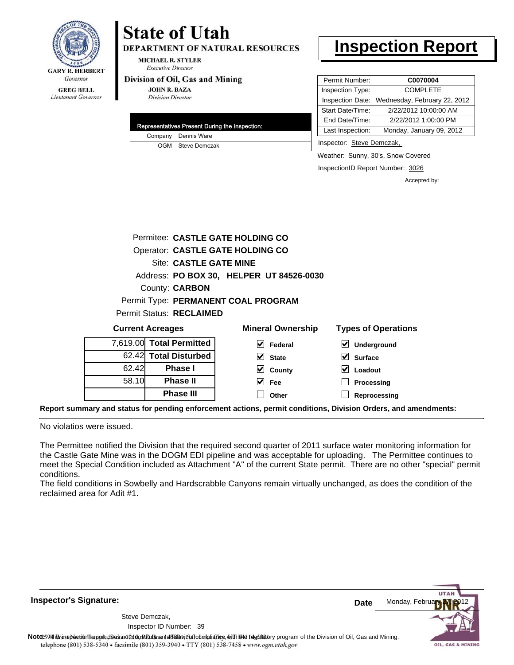

## Lieutenant Governor

# **State of Utah**

**DEPARTMENT OF NATURAL RESOURCES** 

**MICHAEL R. STYLER Executive Director** 

#### Division of Oil, Gas and Mining

**JOHN R. BAZA Division Director** 

|  | Representatives Present During the Inspection: |
|--|------------------------------------------------|
|  | Company Dennis Ware                            |
|  | OGM Steve Demczak                              |

### **Inspection Report**

| Permit Number:   | C0070004                     |
|------------------|------------------------------|
| Inspection Type: | <b>COMPLETE</b>              |
| Inspection Date: | Wednesday, February 22, 2012 |
| Start Date/Time: | 2/22/2012 10:00:00 AM        |
| End Date/Time:   | 2/22/2012 1:00:00 PM         |
| Last Inspection: | Monday, January 09, 2012     |
|                  |                              |

Inspector: Steve Demczak,

Weather: Sunny, 30's, Snow Covered

InspectionID Report Number: 3026

**Processing Reprocessing** Accepted by:

|                                 |                          | Permitee: CASTLE GATE HOLDING CO         |                                          |
|---------------------------------|--------------------------|------------------------------------------|------------------------------------------|
|                                 |                          | Operator: CASTLE GATE HOLDING CO         |                                          |
|                                 | Site: CASTLE GATE MINE   |                                          |                                          |
|                                 |                          | Address: PO BOX 30, HELPER UT 84526-0030 |                                          |
|                                 | <b>County: CARBON</b>    |                                          |                                          |
|                                 |                          | Permit Type: PERMANENT COAL PROGRAM      |                                          |
| <b>Permit Status: RECLAIMED</b> |                          |                                          |                                          |
|                                 | <b>Current Acreages</b>  | <b>Mineral Ownership</b>                 | <b>Types of Operations</b>               |
|                                 | 7,619.00 Total Permitted | M<br>Federal                             | $\boldsymbol{\mathsf{v}}$<br>Underground |
|                                 | 62.42 Total Disturbed    | M<br><b>State</b>                        | <b>Surface</b>                           |
| 62.42                           | <b>Phase I</b>           | County                                   | Loadout                                  |

**Fee Other**

**Report summary and status for pending enforcement actions, permit conditions, Division Orders, and amendments:**

No violatios were issued.

58.10

**Phase II Phase III**

The Permittee notified the Division that the required second quarter of 2011 surface water monitoring information for the Castle Gate Mine was in the DOGM EDI pipeline and was acceptable for uploading. The Permittee continues to meet the Special Condition included as Attachment "A" of the current State permit. There are no other "special" permit conditions.

The field conditions in Sowbelly and Hardscrabble Canyons remain virtually unchanged, as does the condition of the reclaimed area for Adit #1.

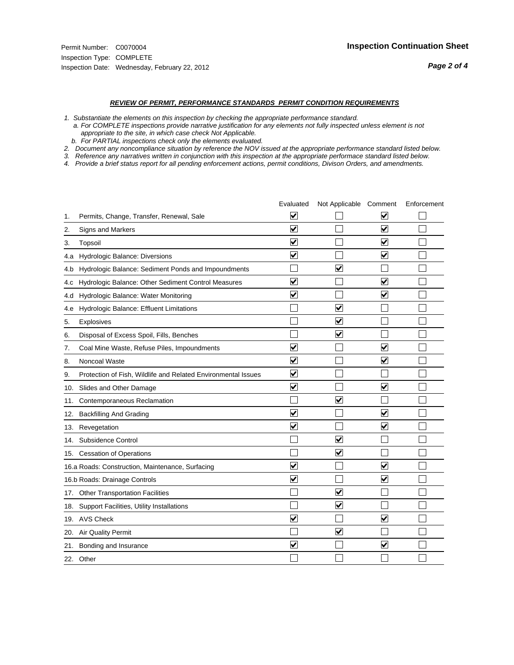#### *REVIEW OF PERMIT, PERFORMANCE STANDARDS PERMIT CONDITION REQUIREMENTS*

*1. Substantiate the elements on this inspection by checking the appropriate performance standard.*

 *a. For COMPLETE inspections provide narrative justification for any elements not fully inspected unless element is not appropriate to the site, in which case check Not Applicable.*

 *b. For PARTIAL inspections check only the elements evaluated.*

*2. Document any noncompliance situation by reference the NOV issued at the appropriate performance standard listed below.*

*3. Reference any narratives written in conjunction with this inspection at the appropriate performace standard listed below.*

|     |                                                               | Evaluated               | Not Applicable Comment  |                         | Enforcement |
|-----|---------------------------------------------------------------|-------------------------|-------------------------|-------------------------|-------------|
| 1.  | Permits, Change, Transfer, Renewal, Sale                      | $\overline{\mathbf{v}}$ |                         | V                       |             |
| 2.  | Signs and Markers                                             | $\overline{\mathbf{v}}$ |                         | $\blacktriangledown$    |             |
| 3.  | Topsoil                                                       | $\overline{\mathbf{v}}$ |                         | $\overline{\mathsf{v}}$ |             |
| 4.a | Hydrologic Balance: Diversions                                | $\blacktriangledown$    |                         | $\blacktriangledown$    |             |
| 4.b | Hydrologic Balance: Sediment Ponds and Impoundments           |                         | ⊽                       |                         |             |
| 4.C | Hydrologic Balance: Other Sediment Control Measures           | $\overline{\mathbf{v}}$ |                         | $\blacktriangledown$    |             |
| 4.d | Hydrologic Balance: Water Monitoring                          | $\overline{\mathbf{v}}$ |                         | $\overline{\mathbf{v}}$ |             |
| 4.e | Hydrologic Balance: Effluent Limitations                      |                         | ⊽                       |                         |             |
| 5.  | <b>Explosives</b>                                             |                         | $\overline{\mathbf{v}}$ |                         |             |
| 6.  | Disposal of Excess Spoil, Fills, Benches                      |                         | $\blacktriangledown$    |                         |             |
| 7.  | Coal Mine Waste, Refuse Piles, Impoundments                   | $\overline{\mathsf{v}}$ |                         | $\overline{\mathbf{v}}$ |             |
| 8.  | Noncoal Waste                                                 | $\overline{\mathbf{v}}$ |                         | $\overline{\mathbf{v}}$ |             |
| 9.  | Protection of Fish, Wildlife and Related Environmental Issues | $\overline{\mathbf{v}}$ |                         |                         |             |
|     | 10. Slides and Other Damage                                   | $\overline{\mathbf{v}}$ |                         | ⊽                       |             |
| 11. | Contemporaneous Reclamation                                   |                         | ☑                       |                         |             |
| 12. | <b>Backfilling And Grading</b>                                | $\overline{\mathbf{v}}$ |                         | $\blacktriangledown$    |             |
| 13. | Revegetation                                                  | $\overline{\mathbf{v}}$ |                         | $\overline{\mathbf{v}}$ |             |
| 14. | Subsidence Control                                            |                         | $\overline{\mathbf{v}}$ |                         |             |
|     | 15. Cessation of Operations                                   |                         | $\blacktriangleright$   |                         |             |
|     | 16.a Roads: Construction, Maintenance, Surfacing              | ⊽                       |                         | $\overline{\mathbf{v}}$ |             |
|     | 16.b Roads: Drainage Controls                                 | $\overline{\mathbf{v}}$ |                         | $\overline{\mathbf{v}}$ |             |
| 17. | <b>Other Transportation Facilities</b>                        |                         | $\overline{\mathbf{v}}$ |                         |             |
| 18. | Support Facilities, Utility Installations                     |                         | $\overline{\mathbf{v}}$ |                         |             |
|     | 19. AVS Check                                                 | $\overline{\mathbf{v}}$ |                         | $\blacktriangledown$    |             |
| 20. | Air Quality Permit                                            |                         | $\blacktriangledown$    |                         |             |
| 21. | Bonding and Insurance                                         | $\overline{\mathbf{v}}$ |                         | $\blacktriangledown$    |             |
|     | 22. Other                                                     |                         |                         |                         |             |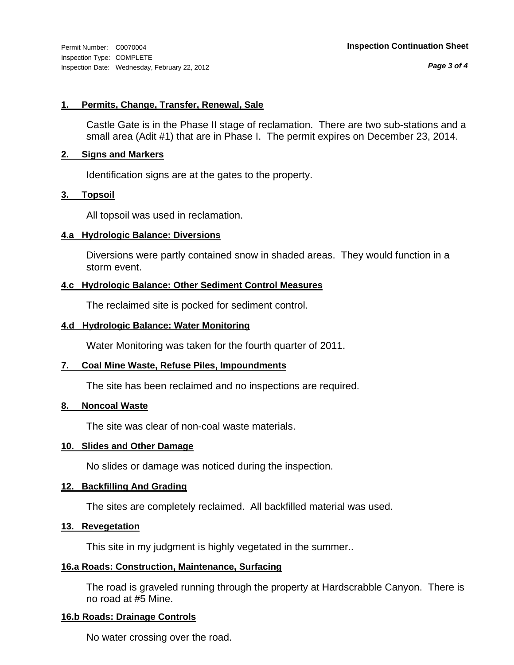*Page 3 of 4*

#### **1. Permits, Change, Transfer, Renewal, Sale**

Castle Gate is in the Phase II stage of reclamation. There are two sub-stations and a small area (Adit #1) that are in Phase I. The permit expires on December 23, 2014.

#### **2. Signs and Markers**

Identification signs are at the gates to the property.

#### **3. Topsoil**

All topsoil was used in reclamation.

#### **4.a Hydrologic Balance: Diversions**

Diversions were partly contained snow in shaded areas. They would function in a storm event.

#### **4.c Hydrologic Balance: Other Sediment Control Measures**

The reclaimed site is pocked for sediment control.

#### **4.d Hydrologic Balance: Water Monitoring**

Water Monitoring was taken for the fourth quarter of 2011.

#### **7. Coal Mine Waste, Refuse Piles, Impoundments**

The site has been reclaimed and no inspections are required.

#### **8. Noncoal Waste**

The site was clear of non-coal waste materials.

#### **10. Slides and Other Damage**

No slides or damage was noticed during the inspection.

#### **12. Backfilling And Grading**

The sites are completely reclaimed. All backfilled material was used.

#### **13. Revegetation**

This site in my judgment is highly vegetated in the summer..

#### **16.a Roads: Construction, Maintenance, Surfacing**

The road is graveled running through the property at Hardscrabble Canyon. There is no road at #5 Mine.

#### **16.b Roads: Drainage Controls**

No water crossing over the road.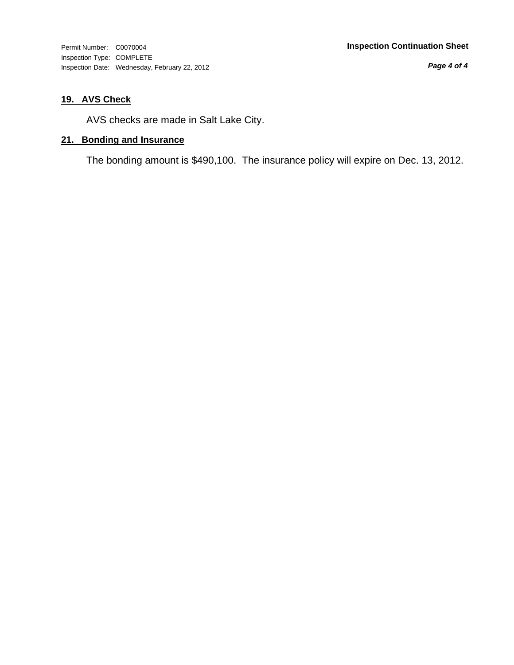*Page 4 of 4*

### **19. AVS Check**

AVS checks are made in Salt Lake City.

#### **21. Bonding and Insurance**

The bonding amount is \$490,100. The insurance policy will expire on Dec. 13, 2012.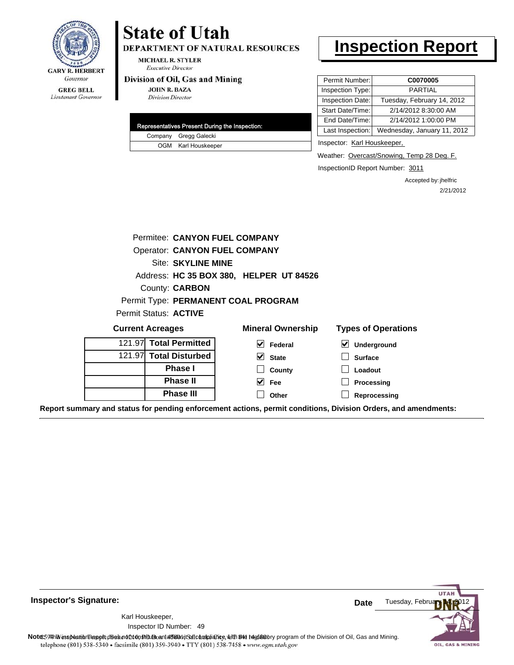

#### **GREG BELL** Lieutenant Governor

## **State of Utah**

DEPARTMENT OF NATURAL RESOURCES

**MICHAEL R. STYLER Executive Director** 

#### Division of Oil, Gas and Mining

**JOHN R. BAZA Division Director** 

|  | Representatives Present During the Inspection: |
|--|------------------------------------------------|
|  | Company Gregg Galecki                          |
|  | OGM Karl Houskeeper                            |

### **Inspection Report**

| Permit Number:   | C0070005                    |
|------------------|-----------------------------|
| Inspection Type: | <b>PARTIAL</b>              |
| Inspection Date: | Tuesday, February 14, 2012  |
| Start Date/Time: | 2/14/2012 8:30:00 AM        |
| End Date/Time:   | 2/14/2012 1:00:00 PM        |
| Last Inspection: | Wednesday, January 11, 2012 |

Inspector: Karl Houskeeper,

Weather: Overcast/Snowing, Temp 28 Deg. F.

InspectionID Report Number: 3011

Accepted by: jhelfric 2/21/2012

| Permitee: CANYON FUEL COMPANY        |                                         |                                            |
|--------------------------------------|-----------------------------------------|--------------------------------------------|
| <b>Operator: CANYON FUEL COMPANY</b> |                                         |                                            |
| Site: SKYLINE MINE                   |                                         |                                            |
|                                      | Address: HC 35 BOX 380, HELPER UT 84526 |                                            |
| County: <b>CARBON</b>                |                                         |                                            |
|                                      | Permit Type: PERMANENT COAL PROGRAM     |                                            |
| Permit Status: ACTIVE                |                                         |                                            |
| <b>Current Acreages</b>              | <b>Mineral Ownership</b>                | <b>Types of Operations</b>                 |
| 121.97 Total Permitted               | $\vert \mathbf{v} \vert$ Federal        | $\vert\bm{\mathsf{v}}\vert$<br>Underground |
| 121.97 Total Disturbed               | $\vee$ State                            | <b>Surface</b>                             |
| <b>Phase I</b>                       | County                                  | Loadout                                    |
| <b>Phase II</b>                      | $\vee$ Fee                              | <b>Processing</b>                          |
| <b>Phase III</b>                     | Other                                   | Reprocessing                               |

**Report summary and status for pending enforcement actions, permit conditions, Division Orders, and amendments:**



Karl Houskeeper,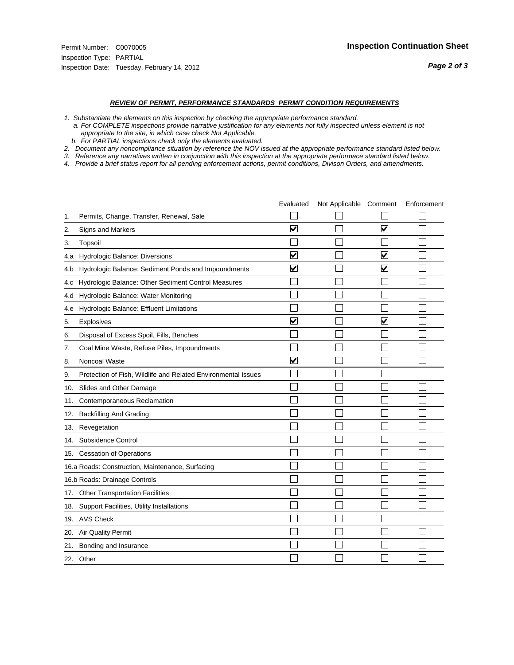#### *REVIEW OF PERMIT, PERFORMANCE STANDARDS PERMIT CONDITION REQUIREMENTS*

*1. Substantiate the elements on this inspection by checking the appropriate performance standard.*

 *a. For COMPLETE inspections provide narrative justification for any elements not fully inspected unless element is not appropriate to the site, in which case check Not Applicable.*

 *b. For PARTIAL inspections check only the elements evaluated.*

*2. Document any noncompliance situation by reference the NOV issued at the appropriate performance standard listed below.*

*3. Reference any narratives written in conjunction with this inspection at the appropriate performace standard listed below.*

|     |                                                               | Evaluated               | Not Applicable Comment |                         | Enforcement |
|-----|---------------------------------------------------------------|-------------------------|------------------------|-------------------------|-------------|
| 1.  | Permits, Change, Transfer, Renewal, Sale                      |                         |                        |                         |             |
| 2.  | Signs and Markers                                             | $\overline{\mathbf{v}}$ |                        | $\overline{\mathbf{v}}$ |             |
| 3.  | Topsoil                                                       |                         |                        |                         |             |
| 4.a | Hydrologic Balance: Diversions                                | $\blacktriangledown$    |                        | $\overline{\mathbf{v}}$ |             |
| 4.b | Hydrologic Balance: Sediment Ponds and Impoundments           | ⊻                       |                        | V                       |             |
| 4.c | Hydrologic Balance: Other Sediment Control Measures           |                         |                        |                         |             |
| 4.d | Hydrologic Balance: Water Monitoring                          |                         |                        |                         |             |
| 4.e | Hydrologic Balance: Effluent Limitations                      |                         |                        |                         |             |
| 5.  | <b>Explosives</b>                                             | ⊽                       |                        | $\overline{\mathbf{v}}$ |             |
| 6.  | Disposal of Excess Spoil, Fills, Benches                      |                         |                        |                         |             |
| 7.  | Coal Mine Waste, Refuse Piles, Impoundments                   |                         |                        |                         |             |
| 8.  | Noncoal Waste                                                 | $\overline{\mathsf{v}}$ |                        |                         |             |
| 9.  | Protection of Fish, Wildlife and Related Environmental Issues |                         |                        |                         |             |
|     | 10. Slides and Other Damage                                   |                         |                        |                         |             |
| 11. | Contemporaneous Reclamation                                   |                         |                        |                         |             |
| 12. | <b>Backfilling And Grading</b>                                |                         |                        |                         |             |
| 13. | Revegetation                                                  |                         |                        |                         |             |
| 14. | Subsidence Control                                            |                         |                        |                         |             |
|     | 15. Cessation of Operations                                   |                         |                        |                         |             |
|     | 16.a Roads: Construction, Maintenance, Surfacing              |                         |                        |                         |             |
|     | 16.b Roads: Drainage Controls                                 |                         |                        |                         |             |
| 17. | Other Transportation Facilities                               |                         |                        |                         |             |
| 18. | Support Facilities, Utility Installations                     |                         |                        |                         |             |
|     | 19. AVS Check                                                 |                         |                        |                         |             |
| 20. | Air Quality Permit                                            |                         |                        |                         |             |
| 21. | Bonding and Insurance                                         |                         |                        |                         |             |
|     | 22. Other                                                     |                         |                        |                         |             |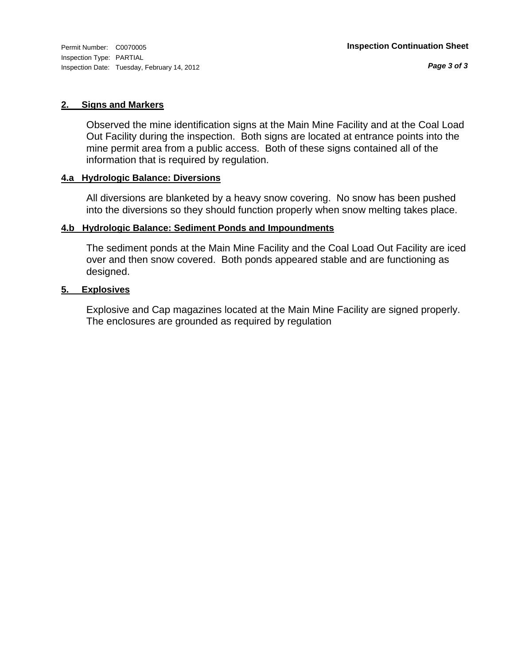#### **2. Signs and Markers**

Observed the mine identification signs at the Main Mine Facility and at the Coal Load Out Facility during the inspection. Both signs are located at entrance points into the mine permit area from a public access. Both of these signs contained all of the information that is required by regulation.

#### **4.a Hydrologic Balance: Diversions**

All diversions are blanketed by a heavy snow covering. No snow has been pushed into the diversions so they should function properly when snow melting takes place.

#### **4.b Hydrologic Balance: Sediment Ponds and Impoundments**

The sediment ponds at the Main Mine Facility and the Coal Load Out Facility are iced over and then snow covered. Both ponds appeared stable and are functioning as designed.

#### **5. Explosives**

Explosive and Cap magazines located at the Main Mine Facility are signed properly. The enclosures are grounded as required by regulation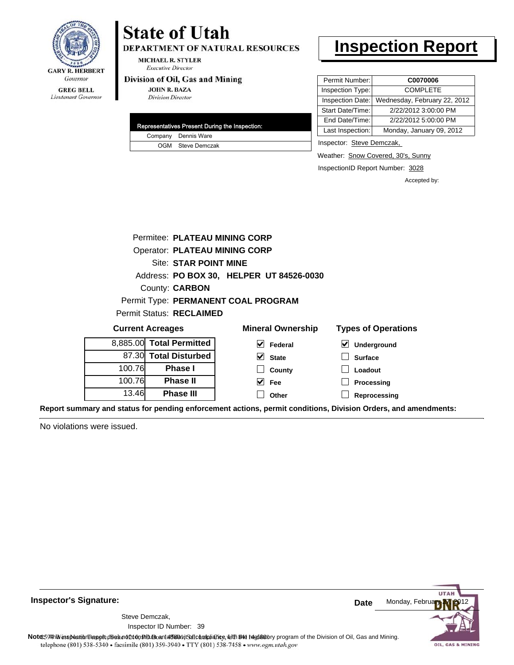

#### **GREG BELL** Lieutenant Governor

# **State of Utah**

DEPARTMENT OF NATURAL RESOURCES

**MICHAEL R. STYLER Executive Director** 

#### Division of Oil, Gas and Mining

**JOHN R. BAZA Division Director** 

|  | Representatives Present During the Inspection: |
|--|------------------------------------------------|
|  | Company Dennis Ware                            |
|  | OGM Steve Demczak                              |

### **Inspection Report**

| Permit Number:   | C0070006                     |
|------------------|------------------------------|
| Inspection Type: | <b>COMPLETE</b>              |
| Inspection Date: | Wednesday, February 22, 2012 |
| Start Date/Time: | 2/22/2012 3:00:00 PM         |
| End Date/Time:   | 2/22/2012 5:00:00 PM         |
| Last Inspection: | Monday, January 09, 2012     |

Inspector: Steve Demczak,

Weather: **Snow Covered, 30's, Sunny** 

InspectionID Report Number: 3028

**Reprocessing**

Accepted by:

| Permitee: PLATEAU MINING CORP        |                          |                                          |                                     |
|--------------------------------------|--------------------------|------------------------------------------|-------------------------------------|
| <b>Operator: PLATEAU MINING CORP</b> |                          |                                          |                                     |
| Site: STAR POINT MINE                |                          |                                          |                                     |
|                                      |                          | Address: PO BOX 30, HELPER UT 84526-0030 |                                     |
|                                      | County: <b>CARBON</b>    |                                          |                                     |
|                                      |                          | Permit Type: PERMANENT COAL PROGRAM      |                                     |
|                                      | Permit Status: RECLAIMED |                                          |                                     |
|                                      | <b>Current Acreages</b>  | <b>Mineral Ownership</b>                 | <b>Types of Operations</b>          |
|                                      | 8,885.00 Total Permitted | V<br>Federal                             | $\blacktriangledown$<br>Underground |
|                                      | 87.30 Total Disturbed    | $\vee$ State                             | <b>Surface</b>                      |
| 100.76                               | <b>Phase I</b>           | County                                   | Loadout                             |
| 100.76                               | <b>Phase II</b>          | Fee                                      | Processing                          |

**Other**

**Report summary and status for pending enforcement actions, permit conditions, Division Orders, and amendments:**

No violations were issued.

13.46

**Phase III**



**Inspector's Signature:**

Inspector ID Number: 39

Steve Demczak,

Note: 59Hh is inspection report does not constitute and affidavit Control and Mining.<br>
telephone (801) 538-5340 • facsimile (801) 539-3940 • TTY (801) 538-7458 • www.ogm.utah.gov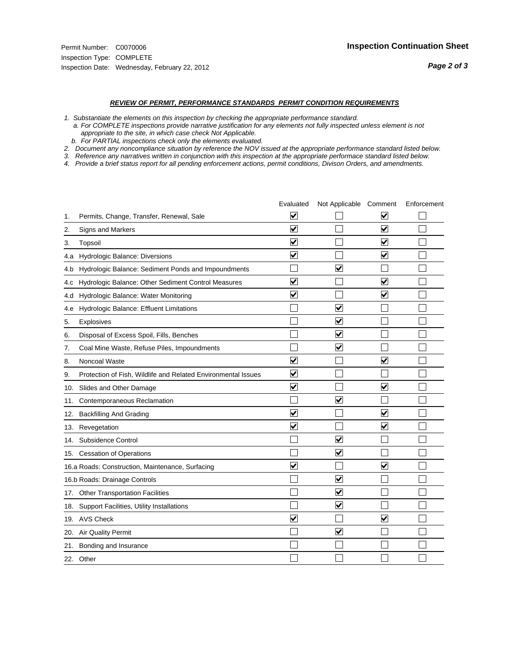#### *REVIEW OF PERMIT, PERFORMANCE STANDARDS PERMIT CONDITION REQUIREMENTS*

*1. Substantiate the elements on this inspection by checking the appropriate performance standard.*

 *a. For COMPLETE inspections provide narrative justification for any elements not fully inspected unless element is not appropriate to the site, in which case check Not Applicable.*

 *b. For PARTIAL inspections check only the elements evaluated.*

*2. Document any noncompliance situation by reference the NOV issued at the appropriate performance standard listed below.*

*3. Reference any narratives written in conjunction with this inspection at the appropriate performace standard listed below.*

|     |                                                               | Evaluated               | Not Applicable Comment  |                                 | Enforcement |
|-----|---------------------------------------------------------------|-------------------------|-------------------------|---------------------------------|-------------|
| 1.  | Permits, Change, Transfer, Renewal, Sale                      | V                       |                         | V                               |             |
| 2.  | Signs and Markers                                             | $\overline{\mathbf{v}}$ |                         | $\overline{\blacktriangledown}$ |             |
| 3.  | Topsoil                                                       | $\overline{\mathbf{v}}$ |                         | $\blacktriangledown$            |             |
| 4.a | Hydrologic Balance: Diversions                                | ⊻                       |                         | $\checkmark$                    |             |
| 4.b | Hydrologic Balance: Sediment Ponds and Impoundments           |                         | V                       |                                 |             |
| 4.c | Hydrologic Balance: Other Sediment Control Measures           | $\overline{\mathbf{v}}$ |                         | $\overline{\mathbf{v}}$         |             |
| 4.d | Hydrologic Balance: Water Monitoring                          | $\overline{\mathbf{v}}$ |                         | $\overline{\mathbf{v}}$         |             |
| 4.e | Hydrologic Balance: Effluent Limitations                      |                         | $\overline{\mathbf{v}}$ |                                 |             |
| 5.  | <b>Explosives</b>                                             |                         | ☑                       |                                 |             |
| 6.  | Disposal of Excess Spoil, Fills, Benches                      |                         | ⊻                       |                                 |             |
| 7.  | Coal Mine Waste, Refuse Piles, Impoundments                   |                         | ⊻                       |                                 |             |
| 8.  | Noncoal Waste                                                 | $\overline{\mathbf{v}}$ |                         | $\overline{\mathbf{v}}$         |             |
| 9.  | Protection of Fish, Wildlife and Related Environmental Issues | ⊽                       |                         |                                 |             |
| 10. | Slides and Other Damage                                       | $\blacktriangledown$    |                         | $\overline{\mathbf{v}}$         |             |
| 11. | Contemporaneous Reclamation                                   |                         | $\blacktriangledown$    |                                 |             |
| 12. | <b>Backfilling And Grading</b>                                | $\blacktriangledown$    |                         | $\blacktriangledown$            |             |
| 13. | Revegetation                                                  | $\overline{\mathbf{v}}$ |                         | $\blacktriangledown$            |             |
| 14. | Subsidence Control                                            |                         | $\blacktriangledown$    |                                 |             |
|     | 15. Cessation of Operations                                   |                         | $\blacktriangledown$    |                                 |             |
|     | 16.a Roads: Construction, Maintenance, Surfacing              | $\overline{\mathsf{v}}$ |                         | $\overline{\mathsf{v}}$         |             |
|     | 16.b Roads: Drainage Controls                                 |                         | ⊻                       |                                 |             |
| 17. | <b>Other Transportation Facilities</b>                        |                         | $\blacktriangledown$    |                                 |             |
|     | 18. Support Facilities, Utility Installations                 |                         | $\blacktriangledown$    |                                 |             |
|     | 19. AVS Check                                                 | $\overline{\mathbf{v}}$ |                         | $\blacktriangledown$            |             |
| 20. | <b>Air Quality Permit</b>                                     |                         | $\blacktriangledown$    |                                 |             |
| 21. | Bonding and Insurance                                         |                         |                         |                                 |             |
|     | 22. Other                                                     |                         |                         |                                 |             |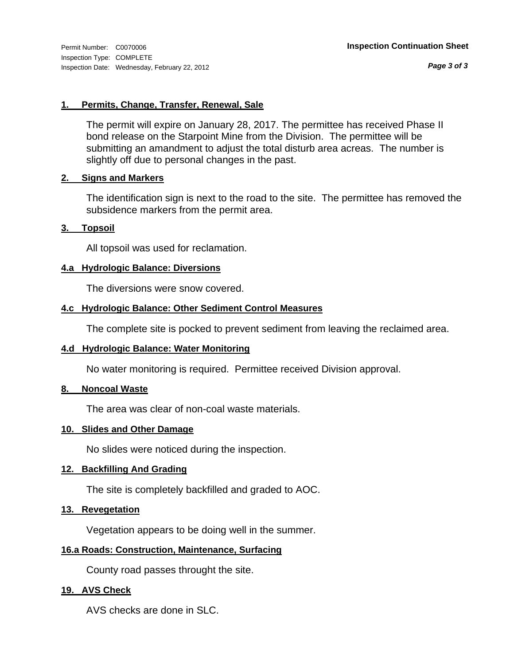*Page 3 of 3*

#### **1. Permits, Change, Transfer, Renewal, Sale**

The permit will expire on January 28, 2017. The permittee has received Phase II bond release on the Starpoint Mine from the Division. The permittee will be submitting an amandment to adjust the total disturb area acreas. The number is slightly off due to personal changes in the past.

#### **2. Signs and Markers**

The identification sign is next to the road to the site. The permittee has removed the subsidence markers from the permit area.

#### **3. Topsoil**

All topsoil was used for reclamation.

#### **4.a Hydrologic Balance: Diversions**

The diversions were snow covered.

#### **4.c Hydrologic Balance: Other Sediment Control Measures**

The complete site is pocked to prevent sediment from leaving the reclaimed area.

#### **4.d Hydrologic Balance: Water Monitoring**

No water monitoring is required. Permittee received Division approval.

#### **8. Noncoal Waste**

The area was clear of non-coal waste materials.

#### **10. Slides and Other Damage**

No slides were noticed during the inspection.

#### **12. Backfilling And Grading**

The site is completely backfilled and graded to AOC.

#### **13. Revegetation**

Vegetation appears to be doing well in the summer.

#### **16.a Roads: Construction, Maintenance, Surfacing**

County road passes throught the site.

#### **19. AVS Check**

AVS checks are done in SLC.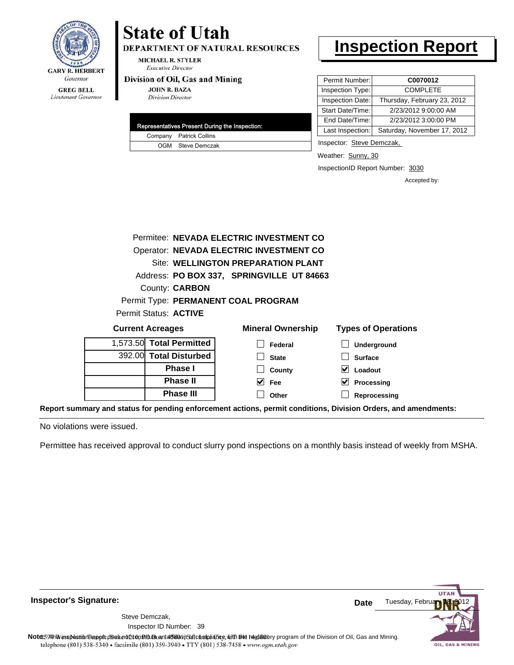

## **State of Utah**

**DEPARTMENT OF NATURAL RESOURCES** 

**MICHAEL R. STYLER Executive Director** 

#### Division of Oil, Gas and Mining

**JOHN R. BAZA Division Director** 

|  | Representatives Present During the Inspection: |
|--|------------------------------------------------|
|  | Company Patrick Collins                        |
|  | OGM Steve Demczak                              |

### **Inspection Report**

| Permit Number:   | C0070012                    |
|------------------|-----------------------------|
| Inspection Type: | <b>COMPLETE</b>             |
| Inspection Date: | Thursday, February 23, 2012 |
| Start Date/Time: | 2/23/2012 9:00:00 AM        |
| End Date/Time:   | 2/23/2012 3:00:00 PM        |
| Last Inspection: | Saturday, November 17, 2012 |

Inspector: Steve Demczak,

Weather: Sunny, 30

InspectionID Report Number: 3030

**Reprocessing**

Accepted by:

|                          | Permitee: NEVADA ELECTRIC INVESTMENT CO   |                            |
|--------------------------|-------------------------------------------|----------------------------|
|                          | Operator: NEVADA ELECTRIC INVESTMENT CO   |                            |
|                          | Site: WELLINGTON PREPARATION PLANT        |                            |
|                          | Address: PO BOX 337, SPRINGVILLE UT 84663 |                            |
| County: <b>CARBON</b>    |                                           |                            |
|                          | Permit Type: PERMANENT COAL PROGRAM       |                            |
| Permit Status: ACTIVE    |                                           |                            |
| <b>Current Acreages</b>  | <b>Mineral Ownership</b>                  | <b>Types of Operations</b> |
| 1,573.50 Total Permitted | Federal                                   | <b>Underground</b>         |
| 392.00 Total Disturbed   | <b>State</b>                              | <b>Surface</b>             |
| <b>Phase I</b>           | County                                    | Loadout                    |
| <b>Phase II</b>          | $\vee$ Fee                                | M<br>Processing            |
| <b>Phase III</b>         | Other                                     | Reprocessing               |

**Report summary and status for pending enforcement actions, permit conditions, Division Orders, and amendments:**

No violations were issued.

Permittee has received approval to conduct slurry pond inspections on a monthly basis instead of weekly from MSHA.

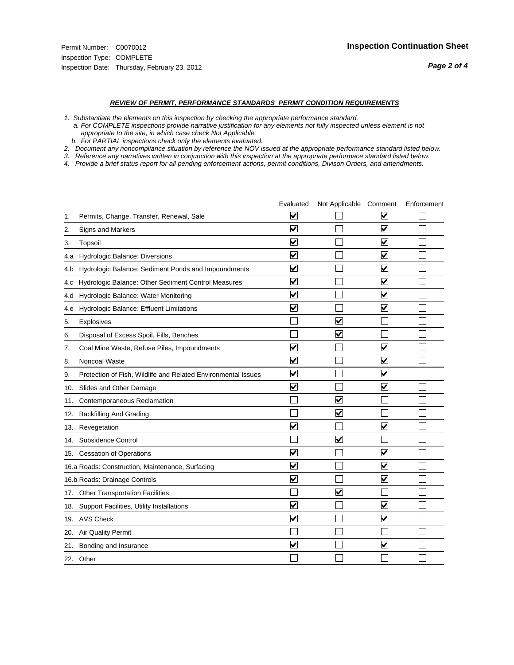#### *REVIEW OF PERMIT, PERFORMANCE STANDARDS PERMIT CONDITION REQUIREMENTS*

*1. Substantiate the elements on this inspection by checking the appropriate performance standard.*

 *a. For COMPLETE inspections provide narrative justification for any elements not fully inspected unless element is not appropriate to the site, in which case check Not Applicable.*

 *b. For PARTIAL inspections check only the elements evaluated.*

*2. Document any noncompliance situation by reference the NOV issued at the appropriate performance standard listed below.*

*3. Reference any narratives written in conjunction with this inspection at the appropriate performace standard listed below.*

|     |                                                               | Evaluated               | Not Applicable Comment  |                         | Enforcement |
|-----|---------------------------------------------------------------|-------------------------|-------------------------|-------------------------|-------------|
| 1.  | Permits, Change, Transfer, Renewal, Sale                      | $\overline{\mathbf{v}}$ |                         | V                       |             |
| 2.  | Signs and Markers                                             | $\overline{\mathbf{v}}$ |                         | $\blacktriangledown$    |             |
| 3.  | Topsoil                                                       | $\overline{\mathbf{v}}$ |                         | $\overline{\mathsf{v}}$ |             |
| 4.a | Hydrologic Balance: Diversions                                | $\blacktriangledown$    |                         | $\blacktriangledown$    |             |
| 4.b | Hydrologic Balance: Sediment Ponds and Impoundments           | $\blacktriangledown$    |                         | V                       |             |
| 4.C | Hydrologic Balance: Other Sediment Control Measures           | $\overline{\mathbf{v}}$ |                         | $\blacktriangledown$    |             |
| 4.d | Hydrologic Balance: Water Monitoring                          | $\overline{\mathbf{v}}$ |                         | $\overline{\mathsf{v}}$ |             |
| 4.e | Hydrologic Balance: Effluent Limitations                      | $\overline{\mathbf{v}}$ |                         | $\blacktriangledown$    |             |
| 5.  | <b>Explosives</b>                                             |                         | ⊽                       |                         |             |
| 6.  | Disposal of Excess Spoil, Fills, Benches                      |                         | $\blacktriangledown$    |                         |             |
| 7.  | Coal Mine Waste, Refuse Piles, Impoundments                   | $\overline{\mathbf{v}}$ |                         | $\overline{\mathbf{v}}$ |             |
| 8.  | Noncoal Waste                                                 | $\overline{\mathbf{v}}$ |                         | $\blacktriangledown$    |             |
| 9.  | Protection of Fish, Wildlife and Related Environmental Issues | $\overline{\mathbf{v}}$ |                         | ☑                       |             |
|     | 10. Slides and Other Damage                                   | $\overline{\mathbf{v}}$ |                         | ⊽                       |             |
| 11. | Contemporaneous Reclamation                                   |                         | ☑                       |                         |             |
| 12. | <b>Backfilling And Grading</b>                                |                         | $\overline{\mathbf{v}}$ |                         |             |
| 13. | Revegetation                                                  | $\overline{\mathbf{v}}$ |                         | $\overline{\mathsf{v}}$ |             |
| 14. | Subsidence Control                                            |                         | $\overline{\mathbf{v}}$ |                         |             |
|     | 15. Cessation of Operations                                   | $\blacktriangledown$    |                         | $\blacktriangledown$    |             |
|     | 16.a Roads: Construction, Maintenance, Surfacing              | $\blacktriangledown$    |                         | $\blacktriangledown$    |             |
|     | 16.b Roads: Drainage Controls                                 | $\overline{\mathbf{v}}$ |                         | $\overline{\mathbf{v}}$ |             |
| 17. | <b>Other Transportation Facilities</b>                        |                         | $\overline{\mathbf{v}}$ |                         |             |
| 18. | Support Facilities, Utility Installations                     | $\overline{\mathbf{v}}$ |                         | $\blacktriangledown$    |             |
|     | 19. AVS Check                                                 | $\overline{\mathbf{v}}$ |                         | $\blacktriangledown$    |             |
| 20. | Air Quality Permit                                            |                         |                         |                         |             |
| 21. | Bonding and Insurance                                         | $\overline{\mathbf{v}}$ |                         | $\blacktriangledown$    |             |
|     | 22. Other                                                     |                         |                         |                         |             |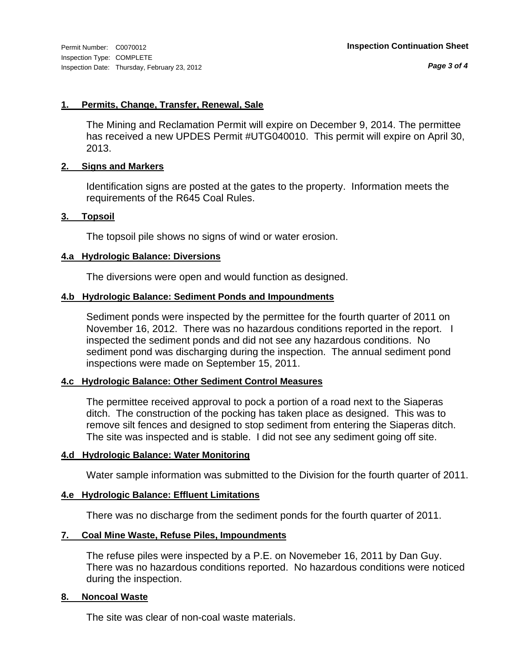*Page 3 of 4*

#### **1. Permits, Change, Transfer, Renewal, Sale**

The Mining and Reclamation Permit will expire on December 9, 2014. The permittee has received a new UPDES Permit #UTG040010. This permit will expire on April 30, 2013.

#### **2. Signs and Markers**

Identification signs are posted at the gates to the property. Information meets the requirements of the R645 Coal Rules.

#### **3. Topsoil**

The topsoil pile shows no signs of wind or water erosion.

#### **4.a Hydrologic Balance: Diversions**

The diversions were open and would function as designed.

#### **4.b Hydrologic Balance: Sediment Ponds and Impoundments**

Sediment ponds were inspected by the permittee for the fourth quarter of 2011 on November 16, 2012. There was no hazardous conditions reported in the report. I inspected the sediment ponds and did not see any hazardous conditions. No sediment pond was discharging during the inspection. The annual sediment pond inspections were made on September 15, 2011.

#### **4.c Hydrologic Balance: Other Sediment Control Measures**

The permittee received approval to pock a portion of a road next to the Siaperas ditch. The construction of the pocking has taken place as designed. This was to remove silt fences and designed to stop sediment from entering the Siaperas ditch. The site was inspected and is stable. I did not see any sediment going off site.

#### **4.d Hydrologic Balance: Water Monitoring**

Water sample information was submitted to the Division for the fourth quarter of 2011.

#### **4.e Hydrologic Balance: Effluent Limitations**

There was no discharge from the sediment ponds for the fourth quarter of 2011.

#### **7. Coal Mine Waste, Refuse Piles, Impoundments**

The refuse piles were inspected by a P.E. on Novemeber 16, 2011 by Dan Guy. There was no hazardous conditions reported. No hazardous conditions were noticed during the inspection.

#### **8. Noncoal Waste**

The site was clear of non-coal waste materials.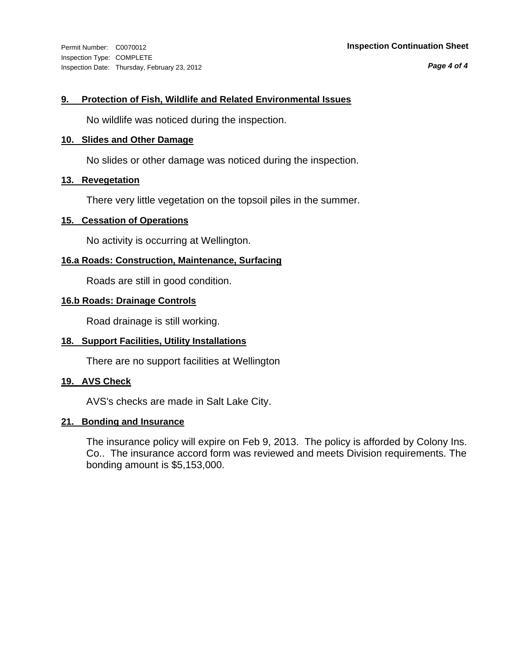Inspection Type: COMPLETE Inspection Date: Thursday, February 23, 2012

#### Permit Number: C0070012 **Inspection Continuation Sheet**

*Page 4 of 4*

#### **9. Protection of Fish, Wildlife and Related Environmental Issues**

No wildlife was noticed during the inspection.

#### **10. Slides and Other Damage**

No slides or other damage was noticed during the inspection.

#### **13. Revegetation**

There very little vegetation on the topsoil piles in the summer.

#### **15. Cessation of Operations**

No activity is occurring at Wellington.

#### **16.a Roads: Construction, Maintenance, Surfacing**

Roads are still in good condition.

#### **16.b Roads: Drainage Controls**

Road drainage is still working.

#### **18. Support Facilities, Utility Installations**

There are no support facilities at Wellington

#### **19. AVS Check**

AVS's checks are made in Salt Lake City.

#### **21. Bonding and Insurance**

The insurance policy will expire on Feb 9, 2013. The policy is afforded by Colony Ins. Co.. The insurance accord form was reviewed and meets Division requirements. The bonding amount is \$5,153,000.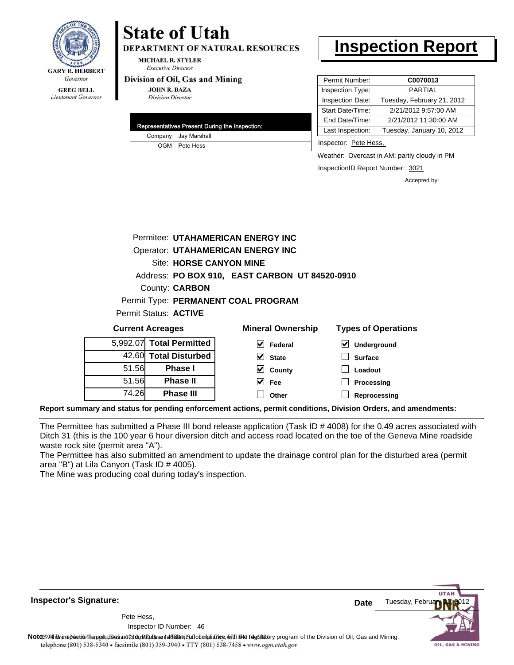

### Lieutenant Governor

## **State of Utah**

**DEPARTMENT OF NATURAL RESOURCES** 

**MICHAEL R. STYLER Executive Director** 

#### Division of Oil, Gas and Mining

**JOHN R. BAZA Division Director** 

|  | Representatives Present During the Inspection: |
|--|------------------------------------------------|
|  | Company Jay Marshall                           |
|  | OGM Pete Hess                                  |

### **Inspection Report**

| Permit Number:   | C0070013                   |
|------------------|----------------------------|
| Inspection Type: | PARTIAI                    |
| Inspection Date: | Tuesday, February 21, 2012 |
| Start Date/Time: | 2/21/2012 9:57:00 AM       |
| End Date/Time:   | 2/21/2012 11:30:00 AM      |
| Last Inspection: | Tuesday, January 10, 2012  |
|                  |                            |

Inspector: Pete Hess,

Weather: Overcast in AM; partly cloudy in PM

InspectionID Report Number: 3021

**Loadout Processing** Accepted by:

|                                                |  |                          | Permitee: UTAHAMERICAN ENERGY INC        |                          |  |                            |  |
|------------------------------------------------|--|--------------------------|------------------------------------------|--------------------------|--|----------------------------|--|
|                                                |  |                          | <b>Operator: UTAHAMERICAN ENERGY INC</b> |                          |  |                            |  |
|                                                |  |                          | Site: HORSE CANYON MINE                  |                          |  |                            |  |
| Address: PO BOX 910, EAST CARBON UT 84520-0910 |  |                          |                                          |                          |  |                            |  |
|                                                |  | County: <b>CARBON</b>    |                                          |                          |  |                            |  |
|                                                |  |                          | Permit Type: PERMANENT COAL PROGRAM      |                          |  |                            |  |
|                                                |  | Permit Status: ACTIVE    |                                          |                          |  |                            |  |
| <b>Current Acreages</b>                        |  |                          |                                          | <b>Mineral Ownership</b> |  | <b>Types of Operations</b> |  |
|                                                |  | 5,992.07 Total Permitted | V                                        | Federal                  |  | Underground                |  |
| 42.60                                          |  | <b>Total Disturbed</b>   |                                          | <b>State</b>             |  | <b>Surface</b>             |  |

**Reprocessing Report summary and status for pending enforcement actions, permit conditions, Division Orders, and amendments:**

The Permittee has submitted a Phase III bond release application (Task ID # 4008) for the 0.49 acres associated with Ditch 31 (this is the 100 year 6 hour diversion ditch and access road located on the toe of the Geneva Mine roadside waste rock site (permit area "A").

 $\blacktriangledown$  $\blacktriangledown$  **County Fee Other**

The Permittee has also submitted an amendment to update the drainage control plan for the disturbed area (permit area "B") at Lila Canyon (Task ID # 4005).

The Mine was producing coal during today's inspection.

51.56 51.56 74.26

**Phase I Phase II Phase III**



Tuesday, Febru

OIL, GAS & MINING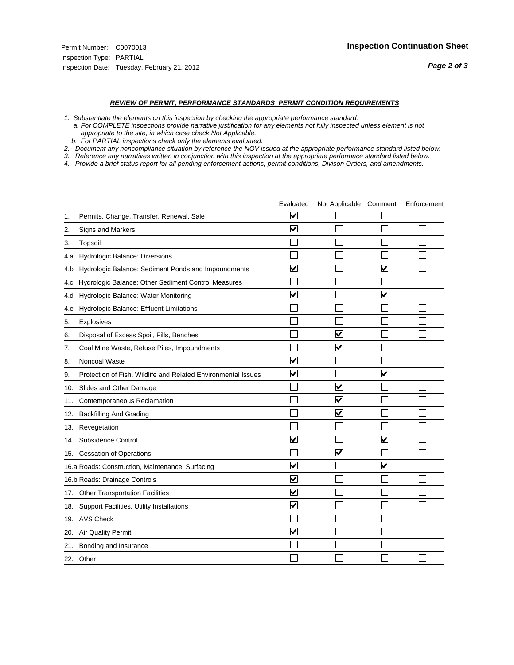#### *REVIEW OF PERMIT, PERFORMANCE STANDARDS PERMIT CONDITION REQUIREMENTS*

*1. Substantiate the elements on this inspection by checking the appropriate performance standard.*

 *a. For COMPLETE inspections provide narrative justification for any elements not fully inspected unless element is not appropriate to the site, in which case check Not Applicable.*

 *b. For PARTIAL inspections check only the elements evaluated.*

*2. Document any noncompliance situation by reference the NOV issued at the appropriate performance standard listed below.*

*3. Reference any narratives written in conjunction with this inspection at the appropriate performace standard listed below.*

|     |                                                               | Evaluated               | Not Applicable Comment  |                      | Enforcement |
|-----|---------------------------------------------------------------|-------------------------|-------------------------|----------------------|-------------|
| 1.  | Permits, Change, Transfer, Renewal, Sale                      | V                       |                         |                      |             |
| 2.  | Signs and Markers                                             | $\overline{\mathbf{v}}$ |                         |                      |             |
| 3.  | Topsoil                                                       |                         |                         |                      |             |
| 4.a | Hydrologic Balance: Diversions                                |                         |                         |                      |             |
| 4.b | Hydrologic Balance: Sediment Ponds and Impoundments           | $\blacktriangledown$    |                         | V                    |             |
| 4.C | Hydrologic Balance: Other Sediment Control Measures           |                         |                         |                      |             |
| 4.d | Hydrologic Balance: Water Monitoring                          | $\overline{\mathbf{v}}$ |                         | $\blacktriangledown$ |             |
| 4.e | Hydrologic Balance: Effluent Limitations                      |                         |                         |                      |             |
| 5.  | Explosives                                                    |                         |                         |                      |             |
| 6.  | Disposal of Excess Spoil, Fills, Benches                      |                         | $\blacktriangledown$    |                      |             |
| 7.  | Coal Mine Waste, Refuse Piles, Impoundments                   |                         | $\blacktriangledown$    |                      |             |
| 8.  | Noncoal Waste                                                 | $\overline{\mathsf{v}}$ |                         |                      |             |
| 9.  | Protection of Fish, Wildlife and Related Environmental Issues | $\blacktriangledown$    |                         | ✓                    |             |
| 10. | Slides and Other Damage                                       |                         | $\overline{\mathsf{v}}$ |                      |             |
| 11. | Contemporaneous Reclamation                                   |                         | ⊻                       |                      |             |
| 12. | <b>Backfilling And Grading</b>                                |                         | $\overline{\mathbf{v}}$ |                      |             |
| 13. | Revegetation                                                  |                         |                         |                      |             |
| 14. | Subsidence Control                                            | $\overline{\mathbf{v}}$ |                         | $\blacktriangledown$ |             |
|     | 15. Cessation of Operations                                   |                         | $\blacktriangledown$    |                      |             |
|     | 16.a Roads: Construction, Maintenance, Surfacing              | ⊽                       |                         | $\blacktriangledown$ |             |
|     | 16.b Roads: Drainage Controls                                 | $\blacktriangledown$    |                         |                      |             |
| 17. | <b>Other Transportation Facilities</b>                        | $\overline{\mathbf{v}}$ |                         |                      |             |
| 18. | Support Facilities, Utility Installations                     | $\overline{\mathbf{v}}$ |                         |                      |             |
|     | 19. AVS Check                                                 |                         |                         |                      |             |
| 20. | Air Quality Permit                                            | $\checkmark$            |                         |                      |             |
| 21. | Bonding and Insurance                                         |                         |                         |                      |             |
|     | 22. Other                                                     |                         |                         |                      |             |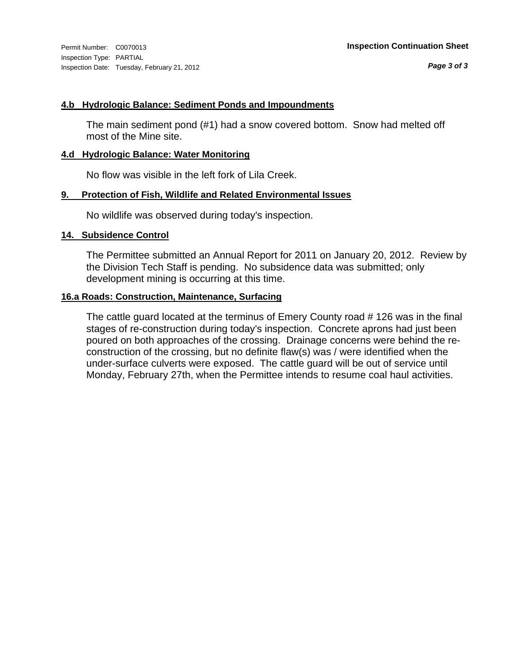Inspection Type: PARTIAL Inspection Date: Tuesday, February 21, 2012

#### **4.b Hydrologic Balance: Sediment Ponds and Impoundments**

The main sediment pond (#1) had a snow covered bottom. Snow had melted off most of the Mine site.

#### **4.d Hydrologic Balance: Water Monitoring**

No flow was visible in the left fork of Lila Creek.

#### **9. Protection of Fish, Wildlife and Related Environmental Issues**

No wildlife was observed during today's inspection.

#### **14. Subsidence Control**

The Permittee submitted an Annual Report for 2011 on January 20, 2012. Review by the Division Tech Staff is pending. No subsidence data was submitted; only development mining is occurring at this time.

#### **16.a Roads: Construction, Maintenance, Surfacing**

The cattle guard located at the terminus of Emery County road # 126 was in the final stages of re-construction during today's inspection. Concrete aprons had just been poured on both approaches of the crossing. Drainage concerns were behind the reconstruction of the crossing, but no definite flaw(s) was / were identified when the under-surface culverts were exposed. The cattle guard will be out of service until Monday, February 27th, when the Permittee intends to resume coal haul activities.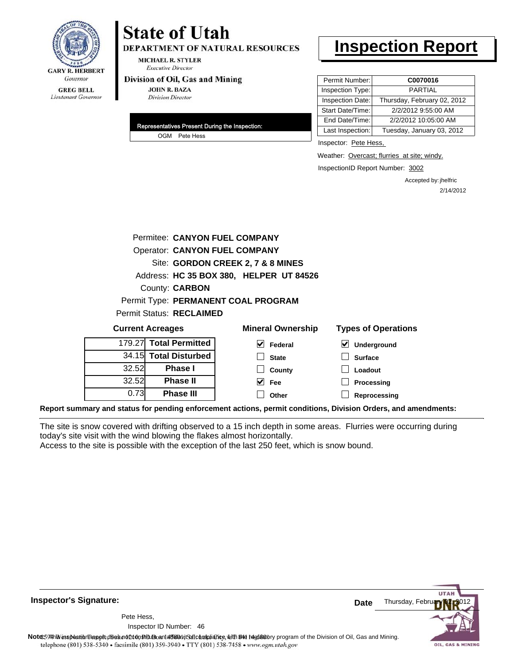

## **State of Utah**

**DEPARTMENT OF NATURAL RESOURCES** 

**MICHAEL R. STYLER Executive Director** 

#### Division of Oil, Gas and Mining

**JOHN R. BAZA Division Director** 

| Representatives Present During the Inspection: |
|------------------------------------------------|
| OGM Pete Hess                                  |

### **Inspection Report**

| Permit Number:   | C0070016                    |
|------------------|-----------------------------|
| Inspection Type: | PARTIAL                     |
| Inspection Date: | Thursday, February 02, 2012 |
| Start Date/Time: | 2/2/2012 9:55:00 AM         |
| End Date/Time:   | 2/2/2012 10:05:00 AM        |
| Last Inspection: | Tuesday, January 03, 2012   |

Inspector: Pete Hess,

Weather: Overcast; flurries at site; windy.

InspectionID Report Number: 3002

Accepted by: jhelfric 2/14/2012

|                         |                                      | Permitee: CANYON FUEL COMPANY           |                                     |
|-------------------------|--------------------------------------|-----------------------------------------|-------------------------------------|
|                         | <b>Operator: CANYON FUEL COMPANY</b> |                                         |                                     |
|                         |                                      | Site: GORDON CREEK 2, 7 & 8 MINES       |                                     |
|                         |                                      | Address: HC 35 BOX 380, HELPER UT 84526 |                                     |
|                         | County: <b>CARBON</b>                |                                         |                                     |
|                         |                                      | Permit Type: PERMANENT COAL PROGRAM     |                                     |
|                         | Permit Status: RECLAIMED             |                                         |                                     |
| <b>Current Acreages</b> |                                      | <b>Mineral Ownership</b>                | <b>Types of Operations</b>          |
|                         | 179.27 Total Permitted               | V<br>Federal                            | $\blacktriangledown$<br>Underground |
|                         | 34.15 Total Disturbed                | <b>State</b>                            | <b>Surface</b>                      |
| 32.52                   | <b>Phase I</b>                       | County                                  | Loadout                             |
| 32.52                   | <b>Phase II</b>                      | M<br>Fee                                | <b>Processing</b>                   |
| 0.73                    | <b>Phase III</b>                     | Other                                   | Reprocessing                        |

**Report summary and status for pending enforcement actions, permit conditions, Division Orders, and amendments:**

The site is snow covered with drifting observed to a 15 inch depth in some areas. Flurries were occurring during today's site visit with the wind blowing the flakes almost horizontally.

Access to the site is possible with the exception of the last 250 feet, which is snow bound.



**Inspector's Signature:**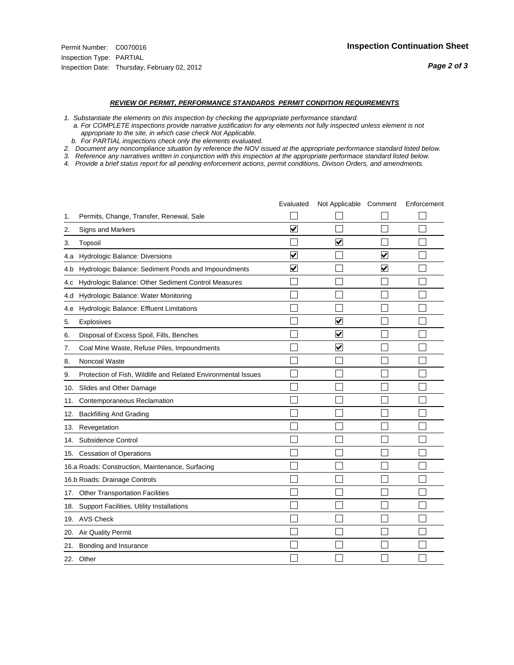#### *REVIEW OF PERMIT, PERFORMANCE STANDARDS PERMIT CONDITION REQUIREMENTS*

- *1. Substantiate the elements on this inspection by checking the appropriate performance standard.*
- *a. For COMPLETE inspections provide narrative justification for any elements not fully inspected unless element is not appropriate to the site, in which case check Not Applicable.*
- *b. For PARTIAL inspections check only the elements evaluated.*
- *2. Document any noncompliance situation by reference the NOV issued at the appropriate performance standard listed below.*
- *3. Reference any narratives written in conjunction with this inspection at the appropriate performace standard listed below.*
- *4. Provide a brief status report for all pending enforcement actions, permit conditions, Divison Orders, and amendments.*

|     |                                                               | Evaluated               | Not Applicable Comment  |   | Enforcement |
|-----|---------------------------------------------------------------|-------------------------|-------------------------|---|-------------|
| 1.  | Permits, Change, Transfer, Renewal, Sale                      |                         |                         |   |             |
| 2.  | Signs and Markers                                             | $\overline{\mathbf{v}}$ |                         |   |             |
| 3.  | Topsoil                                                       |                         | $\overline{\mathbf{v}}$ |   |             |
| 4.a | Hydrologic Balance: Diversions                                | $\blacktriangledown$    |                         | V |             |
| 4.b | Hydrologic Balance: Sediment Ponds and Impoundments           | V                       |                         | V |             |
| 4.c | Hydrologic Balance: Other Sediment Control Measures           |                         |                         |   |             |
| 4.d | Hydrologic Balance: Water Monitoring                          |                         |                         |   |             |
| 4.e | Hydrologic Balance: Effluent Limitations                      |                         |                         |   |             |
| 5.  | <b>Explosives</b>                                             |                         | $\overline{\mathsf{v}}$ |   |             |
| 6.  | Disposal of Excess Spoil, Fills, Benches                      |                         | $\bm{\mathsf{v}}$       |   |             |
| 7.  | Coal Mine Waste, Refuse Piles, Impoundments                   |                         | $\blacktriangledown$    |   |             |
| 8.  | Noncoal Waste                                                 |                         |                         |   |             |
| 9.  | Protection of Fish, Wildlife and Related Environmental Issues |                         |                         |   |             |
| 10. | Slides and Other Damage                                       |                         |                         |   |             |
| 11. | Contemporaneous Reclamation                                   |                         |                         |   |             |
| 12. | <b>Backfilling And Grading</b>                                |                         |                         |   |             |
| 13. | Revegetation                                                  |                         |                         |   |             |
| 14. | Subsidence Control                                            |                         |                         |   |             |
|     | 15. Cessation of Operations                                   |                         |                         |   |             |
|     | 16.a Roads: Construction, Maintenance, Surfacing              |                         |                         |   |             |
|     | 16.b Roads: Drainage Controls                                 |                         |                         |   |             |
| 17. | <b>Other Transportation Facilities</b>                        |                         |                         |   |             |
| 18. | Support Facilities, Utility Installations                     |                         |                         |   |             |
|     | 19. AVS Check                                                 |                         |                         |   |             |
| 20. | <b>Air Quality Permit</b>                                     |                         |                         |   |             |
| 21. | Bonding and Insurance                                         |                         |                         |   |             |
|     | 22. Other                                                     |                         |                         |   |             |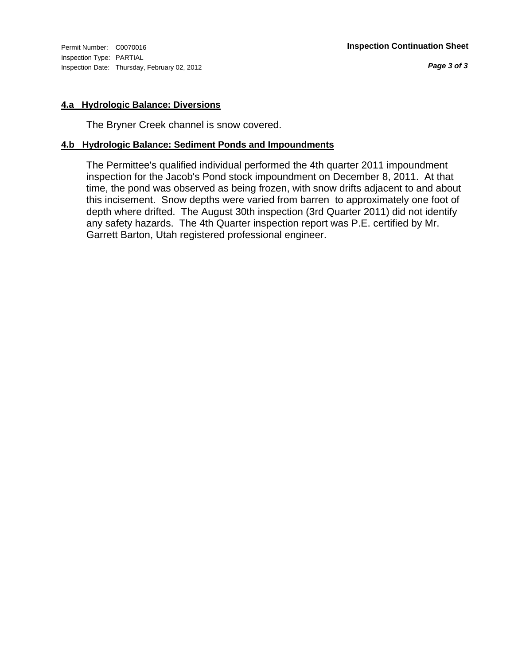Inspection Type: PARTIAL Inspection Date: Thursday, February 02, 2012

#### **4.a Hydrologic Balance: Diversions**

The Bryner Creek channel is snow covered.

#### **4.b Hydrologic Balance: Sediment Ponds and Impoundments**

The Permittee's qualified individual performed the 4th quarter 2011 impoundment inspection for the Jacob's Pond stock impoundment on December 8, 2011. At that time, the pond was observed as being frozen, with snow drifts adjacent to and about this incisement. Snow depths were varied from barren to approximately one foot of depth where drifted. The August 30th inspection (3rd Quarter 2011) did not identify any safety hazards. The 4th Quarter inspection report was P.E. certified by Mr. Garrett Barton, Utah registered professional engineer.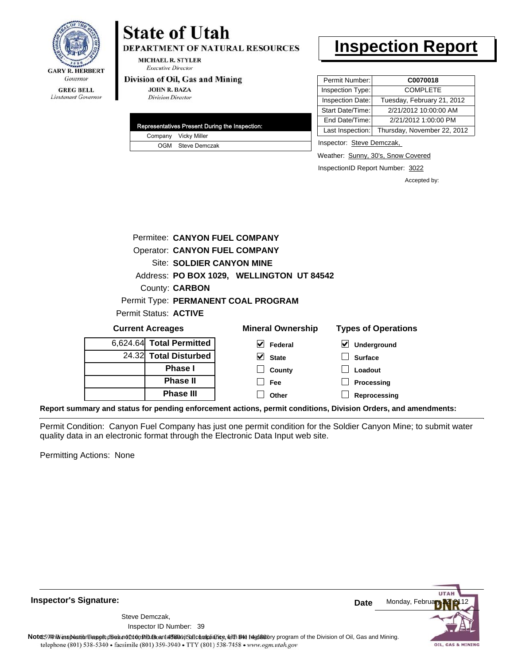

#### **MICHAEL R. STYLER Executive Director**

#### Division of Oil, Gas and Mining

**JOHN R. BAZA** 

**Division Director** 

**State of Utah** 

**Phase II Phase III**

Lieutenant Governor

| Representatives Present During the Inspection: |
|------------------------------------------------|
| Company Vicky Miller                           |
| OGM Steve Demczak                              |

**DEPARTMENT OF NATURAL RESOURCES** 

### **Inspection Report**

| Permit Number:   | C0070018                    |
|------------------|-----------------------------|
| Inspection Type: | <b>COMPLETE</b>             |
| Inspection Date: | Tuesday, February 21, 2012  |
| Start Date/Time: | 2/21/2012 10:00:00 AM       |
| End Date/Time:   | 2/21/2012 1:00:00 PM        |
| Last Inspection: | Thursday, November 22, 2012 |

Inspector: Steve Demczak,

Weather: Sunny, 30's, Snow Covered

InspectionID Report Number: 3022

**Processing Reprocessing** Accepted by:

|                         |  |                          | Permitee: CANYON FUEL COMPANY             |                                     |
|-------------------------|--|--------------------------|-------------------------------------------|-------------------------------------|
|                         |  |                          | <b>Operator: CANYON FUEL COMPANY</b>      |                                     |
|                         |  |                          | <b>Site: SOLDIER CANYON MINE</b>          |                                     |
|                         |  |                          | Address: PO BOX 1029, WELLINGTON UT 84542 |                                     |
|                         |  | County: <b>CARBON</b>    |                                           |                                     |
|                         |  |                          | Permit Type: PERMANENT COAL PROGRAM       |                                     |
|                         |  | Permit Status: ACTIVE    |                                           |                                     |
| <b>Current Acreages</b> |  |                          | <b>Mineral Ownership</b>                  | <b>Types of Operations</b>          |
|                         |  | 6,624.64 Total Permitted | V<br>Federal                              | $\blacktriangledown$<br>Underground |
|                         |  | 24.32 Total Disturbed    | V<br><b>State</b>                         | <b>Surface</b>                      |
|                         |  | <b>Phase I</b>           | County                                    | Loadout                             |

**Fee Other**

**Report summary and status for pending enforcement actions, permit conditions, Division Orders, and amendments:**

Permit Condition: Canyon Fuel Company has just one permit condition for the Soldier Canyon Mine; to submit water quality data in an electronic format through the Electronic Data Input web site.

Permitting Actions: None

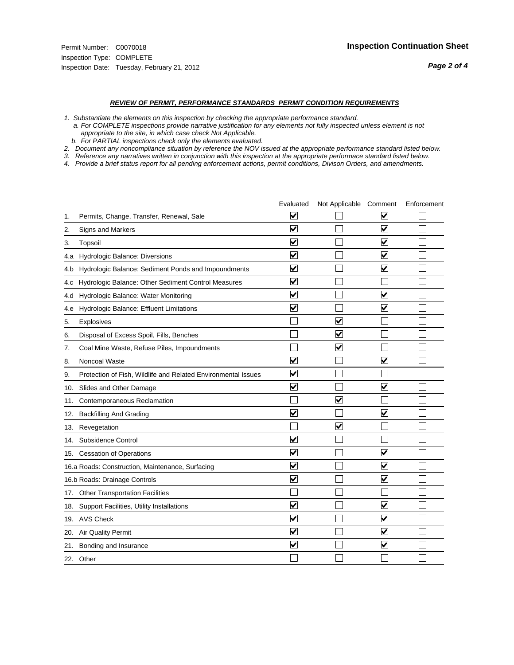#### *REVIEW OF PERMIT, PERFORMANCE STANDARDS PERMIT CONDITION REQUIREMENTS*

*1. Substantiate the elements on this inspection by checking the appropriate performance standard.*

 *a. For COMPLETE inspections provide narrative justification for any elements not fully inspected unless element is not appropriate to the site, in which case check Not Applicable.*

 *b. For PARTIAL inspections check only the elements evaluated.*

*2. Document any noncompliance situation by reference the NOV issued at the appropriate performance standard listed below.*

*3. Reference any narratives written in conjunction with this inspection at the appropriate performace standard listed below.*

|     |                                                               | Evaluated               | Not Applicable Comment          |                         | Enforcement |
|-----|---------------------------------------------------------------|-------------------------|---------------------------------|-------------------------|-------------|
| 1.  | Permits, Change, Transfer, Renewal, Sale                      | $\overline{\mathbf{v}}$ |                                 | V                       |             |
| 2.  | Signs and Markers                                             | $\overline{\mathbf{v}}$ |                                 | $\blacktriangledown$    |             |
| 3.  | Topsoil                                                       | $\overline{\mathbf{v}}$ |                                 | $\overline{\mathsf{v}}$ |             |
| 4.a | Hydrologic Balance: Diversions                                | $\overline{\mathbf{v}}$ |                                 | $\blacktriangledown$    |             |
| 4.b | Hydrologic Balance: Sediment Ponds and Impoundments           | $\blacktriangledown$    |                                 | ⊻                       |             |
| 4.C | Hydrologic Balance: Other Sediment Control Measures           | $\overline{\mathbf{v}}$ |                                 |                         |             |
| 4.d | Hydrologic Balance: Water Monitoring                          | $\overline{\mathbf{v}}$ |                                 | $\overline{\mathbf{v}}$ |             |
| 4.e | Hydrologic Balance: Effluent Limitations                      | $\overline{\mathbf{v}}$ |                                 | $\blacktriangledown$    |             |
| 5.  | <b>Explosives</b>                                             |                         | ⊽                               |                         |             |
| 6.  | Disposal of Excess Spoil, Fills, Benches                      |                         | $\blacktriangledown$            |                         |             |
| 7.  | Coal Mine Waste, Refuse Piles, Impoundments                   |                         | $\overline{\mathbf{v}}$         |                         |             |
| 8.  | Noncoal Waste                                                 | $\overline{\mathsf{v}}$ |                                 | $\overline{\mathbf{v}}$ |             |
| 9.  | Protection of Fish, Wildlife and Related Environmental Issues | $\overline{\mathbf{v}}$ |                                 |                         |             |
|     | 10. Slides and Other Damage                                   | $\overline{\mathbf{v}}$ |                                 | ⊽                       |             |
| 11. | Contemporaneous Reclamation                                   |                         | ☑                               |                         |             |
| 12. | <b>Backfilling And Grading</b>                                | $\overline{\mathbf{v}}$ |                                 | $\blacktriangledown$    |             |
| 13. | Revegetation                                                  |                         | $\overline{\blacktriangledown}$ |                         |             |
| 14. | Subsidence Control                                            | $\overline{\mathbf{v}}$ |                                 |                         |             |
|     | 15. Cessation of Operations                                   | $\overline{\mathbf{v}}$ |                                 | $\blacktriangledown$    |             |
|     | 16.a Roads: Construction, Maintenance, Surfacing              | $\blacktriangledown$    |                                 | $\blacktriangledown$    |             |
|     | 16.b Roads: Drainage Controls                                 | $\overline{\mathbf{v}}$ |                                 | $\overline{\mathbf{v}}$ |             |
| 17. | <b>Other Transportation Facilities</b>                        |                         |                                 |                         |             |
| 18. | Support Facilities, Utility Installations                     | $\overline{\mathbf{v}}$ |                                 | $\blacktriangledown$    |             |
|     | 19. AVS Check                                                 | $\overline{\mathbf{v}}$ |                                 | $\blacktriangledown$    |             |
| 20. | Air Quality Permit                                            | $\checkmark$            |                                 | $\blacktriangledown$    |             |
| 21. | Bonding and Insurance                                         | $\overline{\mathbf{v}}$ |                                 | $\blacktriangledown$    |             |
|     | 22. Other                                                     |                         |                                 |                         |             |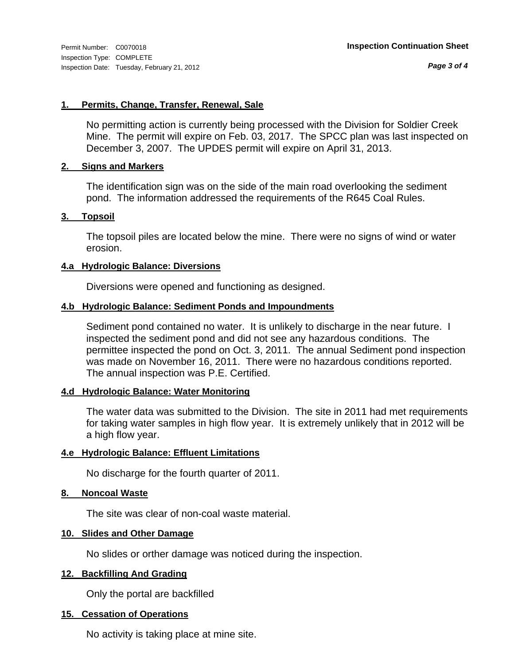*Page 3 of 4*

#### **1. Permits, Change, Transfer, Renewal, Sale**

No permitting action is currently being processed with the Division for Soldier Creek Mine. The permit will expire on Feb. 03, 2017. The SPCC plan was last inspected on December 3, 2007. The UPDES permit will expire on April 31, 2013.

#### **2. Signs and Markers**

The identification sign was on the side of the main road overlooking the sediment pond. The information addressed the requirements of the R645 Coal Rules.

#### **3. Topsoil**

The topsoil piles are located below the mine. There were no signs of wind or water erosion.

#### **4.a Hydrologic Balance: Diversions**

Diversions were opened and functioning as designed.

#### **4.b Hydrologic Balance: Sediment Ponds and Impoundments**

Sediment pond contained no water. It is unlikely to discharge in the near future. I inspected the sediment pond and did not see any hazardous conditions. The permittee inspected the pond on Oct. 3, 2011. The annual Sediment pond inspection was made on November 16, 2011. There were no hazardous conditions reported. The annual inspection was P.E. Certified.

#### **4.d Hydrologic Balance: Water Monitoring**

The water data was submitted to the Division. The site in 2011 had met requirements for taking water samples in high flow year. It is extremely unlikely that in 2012 will be a high flow year.

#### **4.e Hydrologic Balance: Effluent Limitations**

No discharge for the fourth quarter of 2011.

#### **8. Noncoal Waste**

The site was clear of non-coal waste material.

#### **10. Slides and Other Damage**

No slides or orther damage was noticed during the inspection.

#### **12. Backfilling And Grading**

Only the portal are backfilled

#### **15. Cessation of Operations**

No activity is taking place at mine site.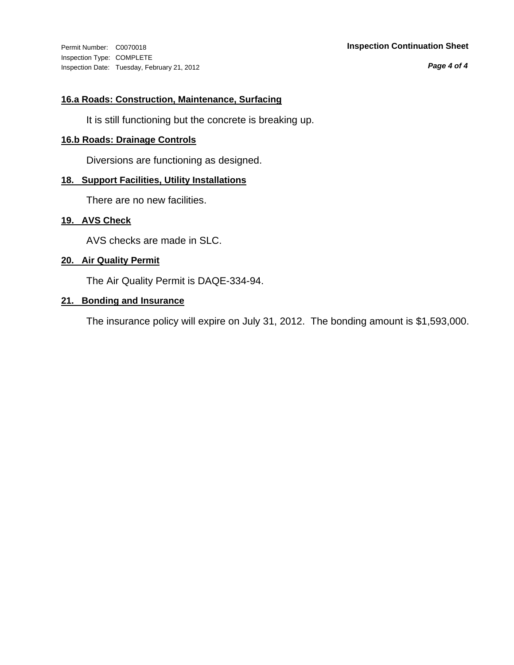Inspection Type: COMPLETE Inspection Date: Tuesday, February 21, 2012

#### Permit Number: C0070018 **Inspection Continuation Sheet**

*Page 4 of 4*

#### **16.a Roads: Construction, Maintenance, Surfacing**

It is still functioning but the concrete is breaking up.

#### **16.b Roads: Drainage Controls**

Diversions are functioning as designed.

#### **18. Support Facilities, Utility Installations**

There are no new facilities.

#### **19. AVS Check**

AVS checks are made in SLC.

#### **20. Air Quality Permit**

The Air Quality Permit is DAQE-334-94.

#### **21. Bonding and Insurance**

The insurance policy will expire on July 31, 2012. The bonding amount is \$1,593,000.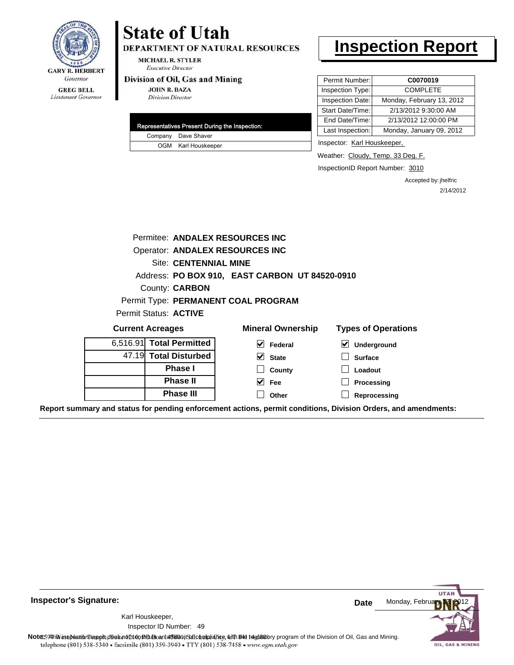

Lieutenant Governor

## **State of Utah**

DEPARTMENT OF NATURAL RESOURCES

**MICHAEL R. STYLER Executive Director** 

#### Division of Oil, Gas and Mining

**JOHN R. BAZA Division Director** 

| Representatives Present During the Inspection: |
|------------------------------------------------|
| Company Dave Shaver                            |
| OGM Karl Houskeeper                            |

## **Inspection Report**

| Permit Number:   | C0070019                  |
|------------------|---------------------------|
| Inspection Type: | <b>COMPLETE</b>           |
| Inspection Date: | Monday, February 13, 2012 |
| Start Date/Time: | 2/13/2012 9:30:00 AM      |
| End Date/Time:   | 2/13/2012 12:00:00 PM     |
| Last Inspection: | Monday, January 09, 2012  |
|                  |                           |

Inspector: Karl Houskeeper,

Weather: Cloudy, Temp. 33 Deg. F.

InspectionID Report Number: 3010

Accepted by: jhelfric 2/14/2012

| Permitee: ANDALEX RESOURCES INC                |                                     |                            |  |  |  |
|------------------------------------------------|-------------------------------------|----------------------------|--|--|--|
| Operator: ANDALEX RESOURCES INC                |                                     |                            |  |  |  |
| <b>Site: CENTENNIAL MINE</b>                   |                                     |                            |  |  |  |
| Address: PO BOX 910, EAST CARBON UT 84520-0910 |                                     |                            |  |  |  |
| County: <b>CARBON</b>                          |                                     |                            |  |  |  |
|                                                | Permit Type: PERMANENT COAL PROGRAM |                            |  |  |  |
| Permit Status: ACTIVE                          |                                     |                            |  |  |  |
| <b>Current Acreages</b>                        | <b>Mineral Ownership</b>            | <b>Types of Operations</b> |  |  |  |
|                                                |                                     |                            |  |  |  |
| 6,516.91 Total Permitted                       | M<br>Federal                        | $\vee$ Underground         |  |  |  |
| 47.19 Total Disturbed                          | M<br><b>State</b>                   | <b>Surface</b>             |  |  |  |
| <b>Phase I</b>                                 | County                              | Loadout                    |  |  |  |
| <b>Phase II</b>                                | M<br>Fee                            | <b>Processing</b>          |  |  |  |
| <b>Phase III</b>                               | Other                               | Reprocessing               |  |  |  |

**Report summary and status for pending enforcement actions, permit conditions, Division Orders, and amendments:**



49 Inspector ID Number:Karl Houskeeper,



**Note**: **59HhV** inspection report does not 260n Studio and affidavit Suite and suith the deptatory program of the Division of Oil, Gas and Mining.<br>telephone (801) 538-5340 • facsimile (801) 359-3940 • TTY (801) 538-7458 •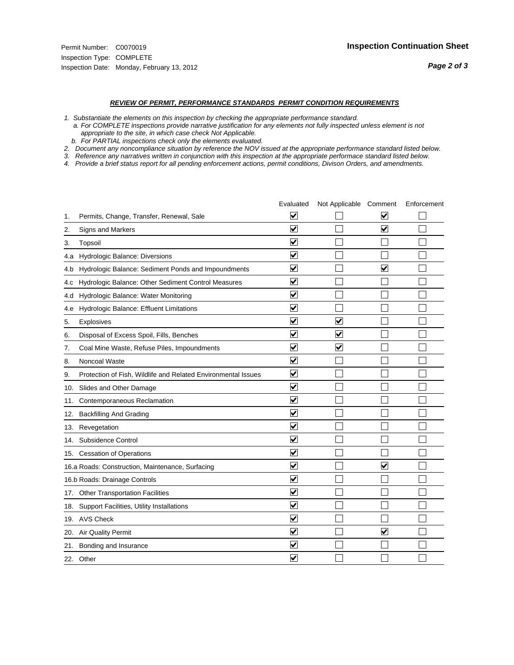#### *REVIEW OF PERMIT, PERFORMANCE STANDARDS PERMIT CONDITION REQUIREMENTS*

*1. Substantiate the elements on this inspection by checking the appropriate performance standard.*

 *a. For COMPLETE inspections provide narrative justification for any elements not fully inspected unless element is not appropriate to the site, in which case check Not Applicable.*

 *b. For PARTIAL inspections check only the elements evaluated.*

*2. Document any noncompliance situation by reference the NOV issued at the appropriate performance standard listed below.*

*3. Reference any narratives written in conjunction with this inspection at the appropriate performace standard listed below.*

|     |                                                               | Evaluated               | Not Applicable Comment  |                         | Enforcement |
|-----|---------------------------------------------------------------|-------------------------|-------------------------|-------------------------|-------------|
| 1.  | Permits, Change, Transfer, Renewal, Sale                      | $\overline{\mathbf{v}}$ |                         | V                       |             |
| 2.  | Signs and Markers                                             | $\overline{\mathbf{v}}$ |                         | ☑                       |             |
| 3.  | Topsoil                                                       | $\overline{\mathbf{v}}$ |                         |                         |             |
| 4.a | Hydrologic Balance: Diversions                                | $\overline{\mathbf{v}}$ |                         |                         |             |
| 4.b | Hydrologic Balance: Sediment Ponds and Impoundments           | $\blacktriangledown$    |                         | V                       |             |
| 4.C | Hydrologic Balance: Other Sediment Control Measures           | $\overline{\mathbf{v}}$ |                         |                         |             |
| 4.d | Hydrologic Balance: Water Monitoring                          | $\overline{\mathbf{v}}$ |                         |                         |             |
| 4.e | Hydrologic Balance: Effluent Limitations                      | $\overline{\mathbf{v}}$ |                         |                         |             |
| 5.  | <b>Explosives</b>                                             | $\overline{\mathbf{v}}$ | ⊽                       |                         |             |
| 6.  | Disposal of Excess Spoil, Fills, Benches                      | $\blacktriangledown$    | $\blacktriangledown$    |                         |             |
| 7.  | Coal Mine Waste, Refuse Piles, Impoundments                   | $\overline{\mathbf{v}}$ | $\overline{\mathbf{v}}$ |                         |             |
| 8.  | Noncoal Waste                                                 | $\overline{\mathbf{v}}$ |                         |                         |             |
| 9.  | Protection of Fish, Wildlife and Related Environmental Issues | $\overline{\mathbf{v}}$ |                         |                         |             |
|     | 10. Slides and Other Damage                                   | $\overline{\mathbf{v}}$ |                         |                         |             |
| 11. | Contemporaneous Reclamation                                   | ⊽                       |                         |                         |             |
| 12. | <b>Backfilling And Grading</b>                                | $\overline{\mathbf{v}}$ |                         |                         |             |
| 13. | Revegetation                                                  | $\overline{\mathbf{v}}$ |                         |                         |             |
| 14. | Subsidence Control                                            | $\overline{\mathbf{v}}$ |                         |                         |             |
|     | 15. Cessation of Operations                                   | $\overline{\mathbf{v}}$ |                         |                         |             |
|     | 16.a Roads: Construction, Maintenance, Surfacing              | $\blacktriangledown$    |                         | $\overline{\mathbf{v}}$ |             |
|     | 16.b Roads: Drainage Controls                                 | $\overline{\mathbf{v}}$ |                         |                         |             |
| 17. | <b>Other Transportation Facilities</b>                        | $\overline{\mathbf{v}}$ |                         |                         |             |
| 18. | Support Facilities, Utility Installations                     | $\overline{\mathbf{v}}$ |                         |                         |             |
|     | 19. AVS Check                                                 | $\overline{\mathbf{v}}$ |                         |                         |             |
| 20. | Air Quality Permit                                            | $\checkmark$            |                         | $\blacktriangledown$    |             |
| 21. | Bonding and Insurance                                         | $\blacktriangledown$    |                         |                         |             |
|     | 22. Other                                                     | $\overline{\mathbf{v}}$ |                         |                         |             |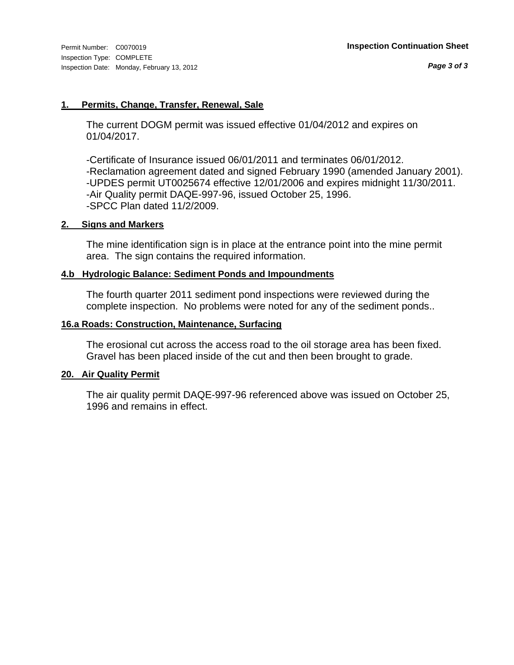#### **1. Permits, Change, Transfer, Renewal, Sale**

The current DOGM permit was issued effective 01/04/2012 and expires on 01/04/2017.

-Certificate of Insurance issued 06/01/2011 and terminates 06/01/2012. -Reclamation agreement dated and signed February 1990 (amended January 2001). -UPDES permit UT0025674 effective 12/01/2006 and expires midnight 11/30/2011. -Air Quality permit DAQE-997-96, issued October 25, 1996. -SPCC Plan dated 11/2/2009.

#### **2. Signs and Markers**

The mine identification sign is in place at the entrance point into the mine permit area. The sign contains the required information.

#### **4.b Hydrologic Balance: Sediment Ponds and Impoundments**

The fourth quarter 2011 sediment pond inspections were reviewed during the complete inspection. No problems were noted for any of the sediment ponds..

#### **16.a Roads: Construction, Maintenance, Surfacing**

The erosional cut across the access road to the oil storage area has been fixed. Gravel has been placed inside of the cut and then been brought to grade.

#### **20. Air Quality Permit**

The air quality permit DAQE-997-96 referenced above was issued on October 25, 1996 and remains in effect.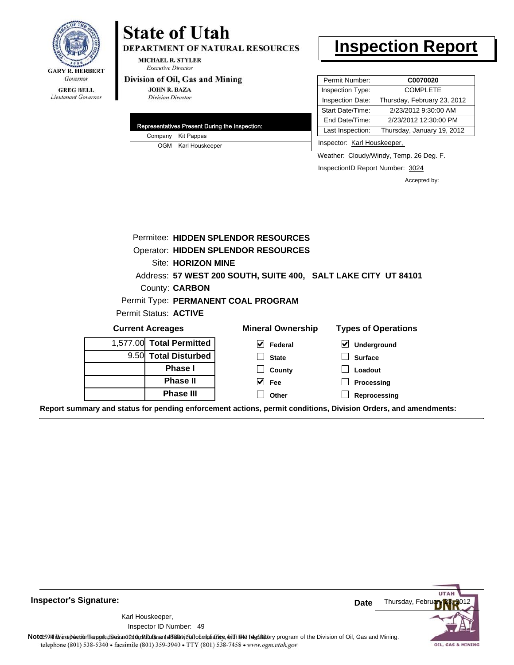

#### **GREG BELL** Lieutenant Governor

## **State of Utah**

DEPARTMENT OF NATURAL RESOURCES

**MICHAEL R. STYLER Executive Director** 

#### Division of Oil, Gas and Mining

**JOHN R. BAZA Division Director** 

|  | Representatives Present During the Inspection: |
|--|------------------------------------------------|
|  | Company Kit Pappas                             |
|  | OGM Karl Houskeeper                            |

### **Inspection Report**

| Permit Number:<br>C0070020                      |
|-------------------------------------------------|
| Inspection Type:<br><b>COMPLETE</b>             |
| Thursday, February 23, 2012<br>Inspection Date: |
| 2/23/2012 9:30:00 AM<br>Start Date/Time:        |
| 2/23/2012 12:30:00 PM<br>End Date/Time:         |
| Last Inspection:<br>Thursday, January 19, 2012  |
|                                                 |

Inspector: Karl Houskeeper,

Weather: Cloudy/Windy, Temp. 26 Deg. F.

InspectionID Report Number: 3024

Accepted by:

|                                            | Permitee: HIDDEN SPLENDOR RESOURCES |                                                                |                                            |  |  |  |
|--------------------------------------------|-------------------------------------|----------------------------------------------------------------|--------------------------------------------|--|--|--|
| <b>Operator: HIDDEN SPLENDOR RESOURCES</b> |                                     |                                                                |                                            |  |  |  |
| <b>Site: HORIZON MINE</b>                  |                                     |                                                                |                                            |  |  |  |
|                                            |                                     | Address: 57 WEST 200 SOUTH, SUITE 400, SALT LAKE CITY UT 84101 |                                            |  |  |  |
|                                            | County: <b>CARBON</b>               |                                                                |                                            |  |  |  |
|                                            |                                     | Permit Type: PERMANENT COAL PROGRAM                            |                                            |  |  |  |
|                                            | Permit Status: ACTIVE               |                                                                |                                            |  |  |  |
|                                            | <b>Current Acreages</b>             | <b>Mineral Ownership</b>                                       | <b>Types of Operations</b>                 |  |  |  |
|                                            | 1,577.00 Total Permitted            | $\vert \mathbf{v} \vert$ Federal                               | $\vert\bm{\checkmark}\vert$<br>Underground |  |  |  |
|                                            | 9.50 Total Disturbed                | <b>State</b>                                                   | <b>Surface</b>                             |  |  |  |
|                                            | <b>Phase I</b>                      | County                                                         | Loadout                                    |  |  |  |
|                                            | <b>Phase II</b>                     | M<br>Fee                                                       | <b>Processing</b>                          |  |  |  |
|                                            | <b>Phase III</b>                    | Other                                                          | Reprocessing                               |  |  |  |

**Report summary and status for pending enforcement actions, permit conditions, Division Orders, and amendments:**



**Inspector's Signature:**

**Note**: This inspection report does not constitute and affidavit and compliance, with the regulatory program of the Division of Oil, Gas and Mining. telephone (801) 538-5340 · facsimile (801) 359-3940 · TTY (801) 538-7458 · www.ogm.utah.gov

**UTA** 

OIL, GAS & MINING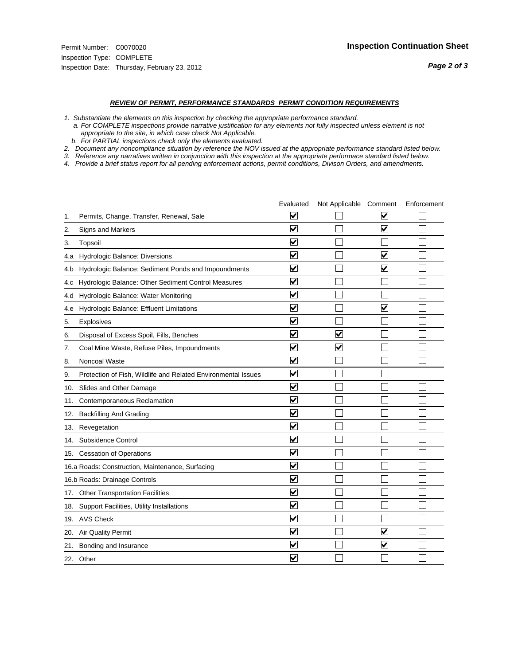#### *REVIEW OF PERMIT, PERFORMANCE STANDARDS PERMIT CONDITION REQUIREMENTS*

*1. Substantiate the elements on this inspection by checking the appropriate performance standard.*

 *a. For COMPLETE inspections provide narrative justification for any elements not fully inspected unless element is not appropriate to the site, in which case check Not Applicable.*

 *b. For PARTIAL inspections check only the elements evaluated.*

*2. Document any noncompliance situation by reference the NOV issued at the appropriate performance standard listed below.*

*3. Reference any narratives written in conjunction with this inspection at the appropriate performace standard listed below.*

|     |                                                               | Evaluated               | Not Applicable Comment  |                         | Enforcement |
|-----|---------------------------------------------------------------|-------------------------|-------------------------|-------------------------|-------------|
| 1.  | Permits, Change, Transfer, Renewal, Sale                      | $\overline{\mathbf{v}}$ |                         | V                       |             |
| 2.  | Signs and Markers                                             | $\overline{\mathbf{v}}$ |                         | $\blacktriangledown$    |             |
| 3.  | Topsoil                                                       | $\overline{\mathbf{v}}$ |                         |                         |             |
| 4.a | Hydrologic Balance: Diversions                                | $\overline{\mathsf{v}}$ |                         | $\overline{\mathbf{v}}$ |             |
| 4.b | Hydrologic Balance: Sediment Ponds and Impoundments           | $\blacktriangledown$    |                         | V                       |             |
| 4.C | Hydrologic Balance: Other Sediment Control Measures           | $\overline{\mathbf{v}}$ |                         |                         |             |
| 4.d | Hydrologic Balance: Water Monitoring                          | $\overline{\mathbf{v}}$ |                         |                         |             |
| 4.e | Hydrologic Balance: Effluent Limitations                      | $\overline{\mathbf{v}}$ |                         | $\blacktriangledown$    |             |
| 5.  | <b>Explosives</b>                                             | $\overline{\mathbf{v}}$ |                         |                         |             |
| 6.  | Disposal of Excess Spoil, Fills, Benches                      | $\blacktriangledown$    | $\blacktriangledown$    |                         |             |
| 7.  | Coal Mine Waste, Refuse Piles, Impoundments                   | $\overline{\mathsf{v}}$ | $\overline{\mathbf{v}}$ |                         |             |
| 8.  | Noncoal Waste                                                 | $\overline{\mathbf{v}}$ |                         |                         |             |
| 9.  | Protection of Fish, Wildlife and Related Environmental Issues | $\overline{\mathbf{v}}$ |                         |                         |             |
|     | 10. Slides and Other Damage                                   | $\overline{\mathbf{v}}$ |                         |                         |             |
| 11. | Contemporaneous Reclamation                                   | ⊽                       |                         |                         |             |
| 12. | <b>Backfilling And Grading</b>                                | $\overline{\mathbf{v}}$ |                         |                         |             |
| 13. | Revegetation                                                  | $\overline{\mathbf{v}}$ |                         |                         |             |
| 14. | Subsidence Control                                            | $\overline{\mathbf{v}}$ |                         |                         |             |
|     | 15. Cessation of Operations                                   | $\overline{\mathbf{v}}$ |                         |                         |             |
|     | 16.a Roads: Construction, Maintenance, Surfacing              | $\blacktriangledown$    |                         |                         |             |
|     | 16.b Roads: Drainage Controls                                 | $\overline{\mathbf{v}}$ |                         |                         |             |
| 17. | <b>Other Transportation Facilities</b>                        | $\overline{\mathbf{v}}$ |                         |                         |             |
| 18. | Support Facilities, Utility Installations                     | $\overline{\mathbf{v}}$ |                         |                         |             |
|     | 19. AVS Check                                                 | $\overline{\mathbf{v}}$ |                         |                         |             |
| 20. | Air Quality Permit                                            | $\checkmark$            |                         | $\blacktriangledown$    |             |
| 21. | Bonding and Insurance                                         | $\blacktriangledown$    |                         | $\blacktriangledown$    |             |
|     | 22. Other                                                     | $\overline{\mathbf{v}}$ |                         |                         |             |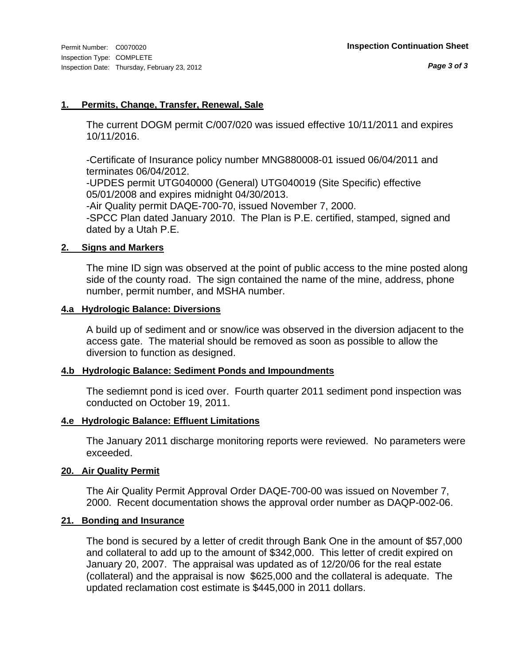#### **1. Permits, Change, Transfer, Renewal, Sale**

The current DOGM permit C/007/020 was issued effective 10/11/2011 and expires 10/11/2016.

-Certificate of Insurance policy number MNG880008-01 issued 06/04/2011 and terminates 06/04/2012.

-UPDES permit UTG040000 (General) UTG040019 (Site Specific) effective 05/01/2008 and expires midnight 04/30/2013.

-Air Quality permit DAQE-700-70, issued November 7, 2000. -SPCC Plan dated January 2010. The Plan is P.E. certified, stamped, signed and dated by a Utah P.E.

#### **2. Signs and Markers**

The mine ID sign was observed at the point of public access to the mine posted along side of the county road. The sign contained the name of the mine, address, phone number, permit number, and MSHA number.

#### **4.a Hydrologic Balance: Diversions**

A build up of sediment and or snow/ice was observed in the diversion adjacent to the access gate. The material should be removed as soon as possible to allow the diversion to function as designed.

#### **4.b Hydrologic Balance: Sediment Ponds and Impoundments**

The sediemnt pond is iced over. Fourth quarter 2011 sediment pond inspection was conducted on October 19, 2011.

#### **4.e Hydrologic Balance: Effluent Limitations**

The January 2011 discharge monitoring reports were reviewed. No parameters were exceeded.

#### **20. Air Quality Permit**

The Air Quality Permit Approval Order DAQE-700-00 was issued on November 7, 2000. Recent documentation shows the approval order number as DAQP-002-06.

#### **21. Bonding and Insurance**

The bond is secured by a letter of credit through Bank One in the amount of \$57,000 and collateral to add up to the amount of \$342,000. This letter of credit expired on January 20, 2007. The appraisal was updated as of 12/20/06 for the real estate (collateral) and the appraisal is now \$625,000 and the collateral is adequate. The updated reclamation cost estimate is \$445,000 in 2011 dollars.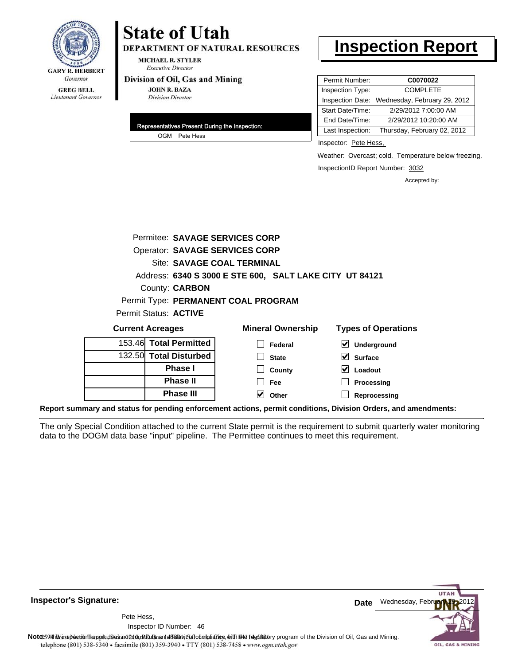

## **State of Utah**

**DEPARTMENT OF NATURAL RESOURCES** 

**MICHAEL R. STYLER Executive Director** 

#### Division of Oil, Gas and Mining

**JOHN R. BAZA Division Director** 

| Representatives Present During the Inspection: |
|------------------------------------------------|
| OGM Pete Hess                                  |

### **Inspection Report**

| Permit Number:   | C0070022                     |
|------------------|------------------------------|
| Inspection Type: | <b>COMPLETE</b>              |
| Inspection Date: | Wednesday, February 29, 2012 |
| Start Date/Time: | 2/29/2012 7:00:00 AM         |
| End Date/Time:   | 2/29/2012 10:20:00 AM        |
| Last Inspection: | Thursday, February 02, 2012  |

Inspector: Pete Hess,

Weather: Overcast; cold. Temperature below freezing.

InspectionID Report Number: 3032

**Reprocessing**

Accepted by:

| Permitee: SAVAGE SERVICES CORP        |                                                         |                                          |  |  |
|---------------------------------------|---------------------------------------------------------|------------------------------------------|--|--|
| <b>Operator: SAVAGE SERVICES CORP</b> |                                                         |                                          |  |  |
| Site: SAVAGE COAL TERMINAL            |                                                         |                                          |  |  |
|                                       | Address: 6340 S 3000 E STE 600, SALT LAKE CITY UT 84121 |                                          |  |  |
| County: <b>CARBON</b>                 |                                                         |                                          |  |  |
|                                       | Permit Type: PERMANENT COAL PROGRAM                     |                                          |  |  |
| Permit Status: ACTIVE                 |                                                         |                                          |  |  |
| <b>Current Acreages</b>               | <b>Mineral Ownership</b>                                | <b>Types of Operations</b>               |  |  |
| 153.46 Total Permitted                | Federal                                                 | $\boldsymbol{\mathsf{v}}$<br>Underground |  |  |
| 132.50 Total Disturbed                | <b>State</b>                                            | M<br><b>Surface</b>                      |  |  |
| Phase I                               | County                                                  | Loadout<br>M                             |  |  |
| <b>Phase II</b>                       | Fee                                                     | Processing                               |  |  |

**Report summary and status for pending enforcement actions, permit conditions, Division Orders, and amendments:**

**Phase III**

The only Special Condition attached to the current State permit is the requirement to submit quarterly water monitoring data to the DOGM data base "input" pipeline. The Permittee continues to meet this requirement.

**Other**



**Inspector's Signature:**

46 Inspector ID Number:Pete Hess,

Note: This inspection report does not constitute and affidavitor compliance, with the regulatory program of the Division of Oil, Gas and Mining. telephone (801) 538-5340 · facsimile (801) 359-3940 · TTY (801) 538-7458 · www.ogm.utah.gov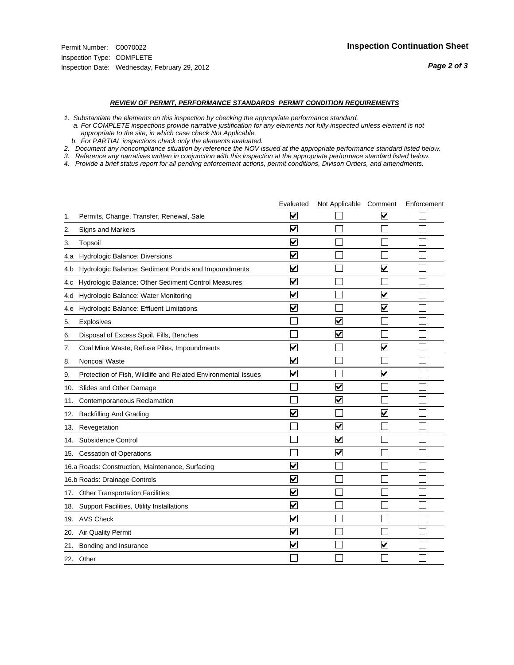#### *REVIEW OF PERMIT, PERFORMANCE STANDARDS PERMIT CONDITION REQUIREMENTS*

*1. Substantiate the elements on this inspection by checking the appropriate performance standard.*

 *a. For COMPLETE inspections provide narrative justification for any elements not fully inspected unless element is not appropriate to the site, in which case check Not Applicable.*

 *b. For PARTIAL inspections check only the elements evaluated.*

*2. Document any noncompliance situation by reference the NOV issued at the appropriate performance standard listed below.*

*3. Reference any narratives written in conjunction with this inspection at the appropriate performace standard listed below.*

*4. Provide a brief status report for all pending enforcement actions, permit conditions, Divison Orders, and amendments.*

|     |                                                               | Evaluated               | Not Applicable Comment  |                         | Enforcement |
|-----|---------------------------------------------------------------|-------------------------|-------------------------|-------------------------|-------------|
| 1.  | Permits, Change, Transfer, Renewal, Sale                      | V                       |                         | V                       |             |
| 2.  | <b>Signs and Markers</b>                                      | $\overline{\mathbf{v}}$ |                         |                         |             |
| 3.  | Topsoil                                                       | $\overline{\mathbf{v}}$ |                         |                         |             |
| 4.a | Hydrologic Balance: Diversions                                | $\blacktriangledown$    |                         |                         |             |
| 4.b | Hydrologic Balance: Sediment Ponds and Impoundments           | $\overline{\mathsf{v}}$ |                         | $\blacktriangledown$    |             |
| 4.c | Hydrologic Balance: Other Sediment Control Measures           | $\overline{\mathbf{v}}$ |                         |                         |             |
| 4.d | Hydrologic Balance: Water Monitoring                          | $\overline{\mathbf{v}}$ |                         | $\overline{\mathbf{v}}$ |             |
| 4.e | Hydrologic Balance: Effluent Limitations                      | $\overline{\mathbf{v}}$ |                         | $\blacktriangledown$    |             |
| 5.  | Explosives                                                    |                         | $\overline{\mathbf{v}}$ |                         |             |
| 6.  | Disposal of Excess Spoil, Fills, Benches                      |                         | ⊽                       |                         |             |
| 7.  | Coal Mine Waste, Refuse Piles, Impoundments                   | $\overline{\mathbf{v}}$ |                         | $\blacktriangledown$    |             |
| 8.  | Noncoal Waste                                                 | $\overline{\mathbf{v}}$ |                         |                         |             |
| 9.  | Protection of Fish, Wildlife and Related Environmental Issues | $\blacktriangledown$    |                         | $\blacktriangledown$    |             |
| 10. | Slides and Other Damage                                       |                         | $\blacktriangledown$    |                         |             |
| 11. | Contemporaneous Reclamation                                   |                         | $\blacktriangledown$    |                         |             |
| 12. | <b>Backfilling And Grading</b>                                | $\overline{\mathbf{v}}$ |                         | $\blacktriangledown$    |             |
| 13. | Revegetation                                                  |                         | $\overline{\mathbf{v}}$ |                         |             |
| 14. | Subsidence Control                                            |                         | $\overline{\mathbf{v}}$ |                         |             |
|     | 15. Cessation of Operations                                   |                         | $\blacktriangledown$    |                         |             |
|     | 16.a Roads: Construction, Maintenance, Surfacing              | $\overline{\mathbf{v}}$ |                         |                         |             |
|     | 16.b Roads: Drainage Controls                                 | $\overline{\mathsf{v}}$ |                         |                         |             |
| 17. | <b>Other Transportation Facilities</b>                        | $\overline{\mathbf{v}}$ |                         |                         |             |
|     | 18. Support Facilities, Utility Installations                 | $\overline{\mathbf{v}}$ |                         |                         |             |
|     | 19. AVS Check                                                 | $\overline{\mathbf{v}}$ |                         |                         |             |
| 20. | <b>Air Quality Permit</b>                                     | $\overline{\mathsf{v}}$ |                         |                         |             |
| 21. | Bonding and Insurance                                         | $\overline{\mathbf{v}}$ |                         | $\blacktriangledown$    |             |
|     | 22. Other                                                     |                         |                         |                         |             |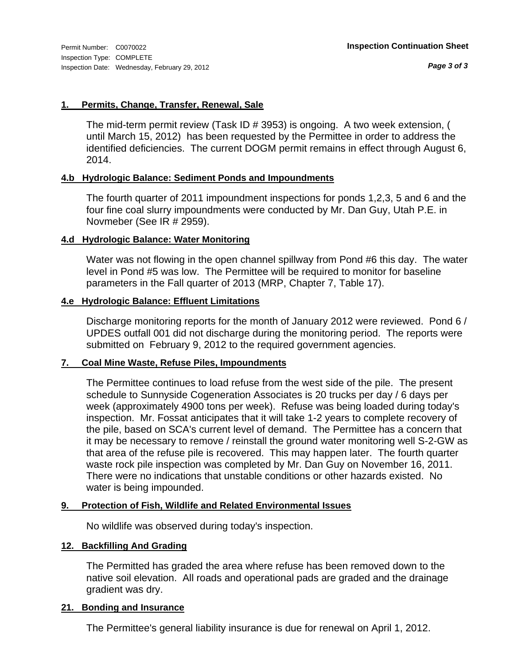### **1. Permits, Change, Transfer, Renewal, Sale**

The mid-term permit review (Task ID # 3953) is ongoing. A two week extension, ( until March 15, 2012) has been requested by the Permittee in order to address the identified deficiencies. The current DOGM permit remains in effect through August 6, 2014.

### **4.b Hydrologic Balance: Sediment Ponds and Impoundments**

The fourth quarter of 2011 impoundment inspections for ponds 1,2,3, 5 and 6 and the four fine coal slurry impoundments were conducted by Mr. Dan Guy, Utah P.E. in Novmeber (See IR # 2959).

### **4.d Hydrologic Balance: Water Monitoring**

Water was not flowing in the open channel spillway from Pond #6 this day. The water level in Pond #5 was low. The Permittee will be required to monitor for baseline parameters in the Fall quarter of 2013 (MRP, Chapter 7, Table 17).

#### **4.e Hydrologic Balance: Effluent Limitations**

Discharge monitoring reports for the month of January 2012 were reviewed. Pond 6 / UPDES outfall 001 did not discharge during the monitoring period. The reports were submitted on February 9, 2012 to the required government agencies.

### **7. Coal Mine Waste, Refuse Piles, Impoundments**

The Permittee continues to load refuse from the west side of the pile. The present schedule to Sunnyside Cogeneration Associates is 20 trucks per day / 6 days per week (approximately 4900 tons per week). Refuse was being loaded during today's inspection. Mr. Fossat anticipates that it will take 1-2 years to complete recovery of the pile, based on SCA's current level of demand. The Permittee has a concern that it may be necessary to remove / reinstall the ground water monitoring well S-2-GW as that area of the refuse pile is recovered. This may happen later. The fourth quarter waste rock pile inspection was completed by Mr. Dan Guy on November 16, 2011. There were no indications that unstable conditions or other hazards existed. No water is being impounded.

### **9. Protection of Fish, Wildlife and Related Environmental Issues**

No wildlife was observed during today's inspection.

### **12. Backfilling And Grading**

The Permitted has graded the area where refuse has been removed down to the native soil elevation. All roads and operational pads are graded and the drainage gradient was dry.

#### **21. Bonding and Insurance**

The Permittee's general liability insurance is due for renewal on April 1, 2012.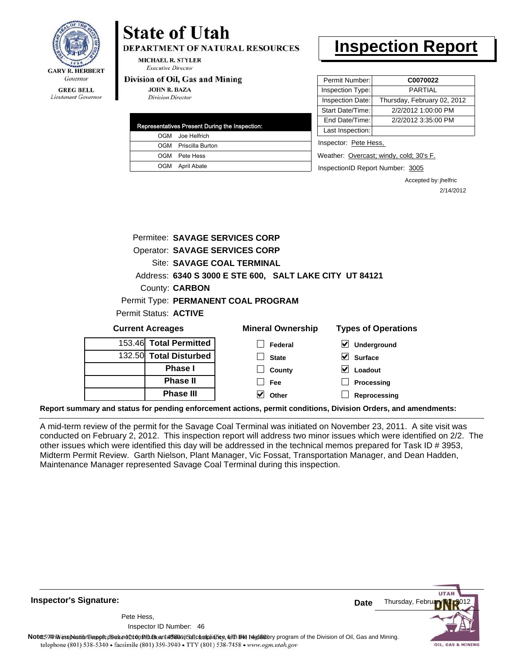

#### **GREG BELL** Lieutenant Governor

# **State of Utah**

**DEPARTMENT OF NATURAL RESOURCES** 

**MICHAEL R. STYLER Executive Director** 

#### Division of Oil, Gas and Mining

**JOHN R. BAZA Division Director** 

| Representatives Present During the Inspection: |
|------------------------------------------------|
| OGM Joe Helfrich                               |
| OGM Priscilla Burton                           |
| OGM Pete Hess                                  |
| OGM April Abate                                |

# **Inspection Report**

| Permit Number:   | C0070022                    |
|------------------|-----------------------------|
| Inspection Type: | <b>PARTIAL</b>              |
| Inspection Date: | Thursday, February 02, 2012 |
| Start Date/Time: | 2/2/2012 1:00:00 PM         |
| End Date/Time:   | 2/2/2012 3:35:00 PM         |
| Last Inspection: |                             |
|                  |                             |

Inspector: Pete Hess,

Weather: Overcast; windy, cold; 30's F.

InspectionID Report Number: 3005

Accepted by: jhelfric 2/14/2012

|        | Permitee: SAVAGE SERVICES CORP        |                                                         |                                     |
|--------|---------------------------------------|---------------------------------------------------------|-------------------------------------|
|        | <b>Operator: SAVAGE SERVICES CORP</b> |                                                         |                                     |
|        | Site: SAVAGE COAL TERMINAL            |                                                         |                                     |
|        |                                       | Address: 6340 S 3000 E STE 600, SALT LAKE CITY UT 84121 |                                     |
|        | County: <b>CARBON</b>                 |                                                         |                                     |
|        |                                       | Permit Type: PERMANENT COAL PROGRAM                     |                                     |
|        | Permit Status: <b>ACTIVE</b>          |                                                         |                                     |
|        | <b>Current Acreages</b>               | <b>Mineral Ownership</b>                                | <b>Types of Operations</b>          |
|        | 153.46 Total Permitted                | Federal                                                 | $\blacktriangledown$<br>Underground |
| 132.50 | <b>Total Disturbed</b>                | <b>State</b>                                            | <b>Surface</b>                      |
|        | <b>Phase I</b>                        | County                                                  | Loadout                             |
|        | <b>Phase II</b>                       | <b>Fee</b>                                              | Processing                          |
|        | <b>Phase III</b>                      | Other                                                   | Reprocessing                        |

**Report summary and status for pending enforcement actions, permit conditions, Division Orders, and amendments:**

A mid-term review of the permit for the Savage Coal Terminal was initiated on November 23, 2011. A site visit was conducted on February 2, 2012. This inspection report will address two minor issues which were identified on 2/2. The other issues which were identified this day will be addressed in the technical memos prepared for Task ID # 3953, Midterm Permit Review. Garth Nielson, Plant Manager, Vic Fossat, Transportation Manager, and Dean Hadden, Maintenance Manager represented Savage Coal Terminal during this inspection.

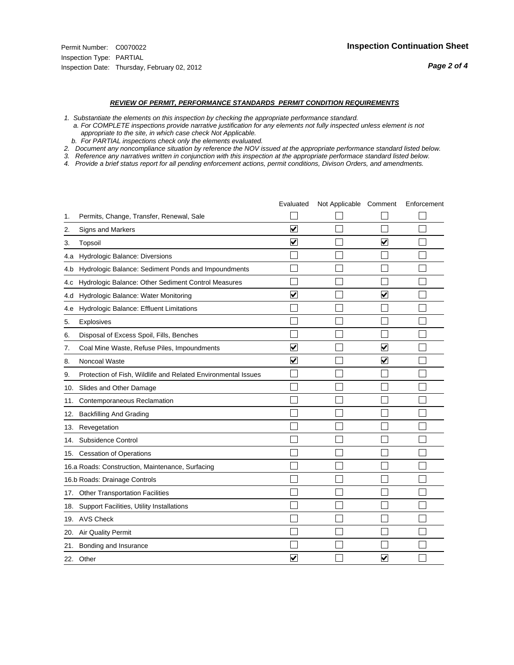#### *REVIEW OF PERMIT, PERFORMANCE STANDARDS PERMIT CONDITION REQUIREMENTS*

- *1. Substantiate the elements on this inspection by checking the appropriate performance standard.*
- *a. For COMPLETE inspections provide narrative justification for any elements not fully inspected unless element is not appropriate to the site, in which case check Not Applicable.*
- *b. For PARTIAL inspections check only the elements evaluated.*
- *2. Document any noncompliance situation by reference the NOV issued at the appropriate performance standard listed below.*
- *3. Reference any narratives written in conjunction with this inspection at the appropriate performace standard listed below.*
- *4. Provide a brief status report for all pending enforcement actions, permit conditions, Divison Orders, and amendments.*

|     |                                                               | Evaluated               | Not Applicable Comment |                         | Enforcement |
|-----|---------------------------------------------------------------|-------------------------|------------------------|-------------------------|-------------|
| 1.  | Permits, Change, Transfer, Renewal, Sale                      |                         |                        |                         |             |
| 2.  | <b>Signs and Markers</b>                                      | $\overline{\mathbf{v}}$ |                        |                         |             |
| 3.  | Topsoil                                                       | $\overline{\mathbf{v}}$ |                        | $\overline{\mathbf{v}}$ |             |
| 4.a | Hydrologic Balance: Diversions                                |                         |                        |                         |             |
| 4.b | Hydrologic Balance: Sediment Ponds and Impoundments           |                         |                        |                         |             |
| 4.c | Hydrologic Balance: Other Sediment Control Measures           |                         |                        |                         |             |
| 4.d | Hydrologic Balance: Water Monitoring                          | $\overline{\mathbf{v}}$ |                        | $\blacktriangledown$    |             |
| 4.e | Hydrologic Balance: Effluent Limitations                      |                         |                        |                         |             |
| 5.  | <b>Explosives</b>                                             |                         |                        |                         |             |
| 6.  | Disposal of Excess Spoil, Fills, Benches                      |                         |                        |                         |             |
| 7.  | Coal Mine Waste, Refuse Piles, Impoundments                   | $\overline{\mathbf{v}}$ |                        | $\blacktriangledown$    |             |
| 8.  | Noncoal Waste                                                 | $\overline{\mathsf{v}}$ |                        | $\blacktriangledown$    |             |
| 9.  | Protection of Fish, Wildlife and Related Environmental Issues |                         |                        |                         |             |
| 10. | Slides and Other Damage                                       |                         |                        |                         |             |
| 11. | Contemporaneous Reclamation                                   |                         |                        |                         |             |
| 12. | <b>Backfilling And Grading</b>                                |                         |                        |                         |             |
| 13. | Revegetation                                                  |                         |                        |                         |             |
| 14. | Subsidence Control                                            |                         |                        |                         |             |
|     | 15. Cessation of Operations                                   |                         |                        |                         |             |
|     | 16.a Roads: Construction, Maintenance, Surfacing              |                         |                        |                         |             |
|     | 16.b Roads: Drainage Controls                                 |                         |                        |                         |             |
|     | 17. Other Transportation Facilities                           |                         |                        |                         |             |
| 18. | Support Facilities, Utility Installations                     |                         |                        |                         |             |
|     | 19. AVS Check                                                 |                         |                        |                         |             |
| 20. | <b>Air Quality Permit</b>                                     |                         |                        |                         |             |
|     | 21. Bonding and Insurance                                     |                         |                        |                         |             |
|     | 22. Other                                                     | $\overline{\mathbf{v}}$ |                        | $\overline{\mathbf{v}}$ |             |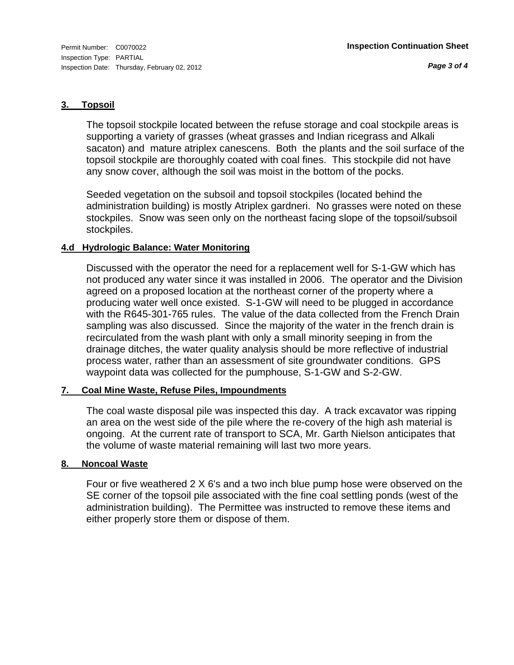#### **3. Topsoil**

The topsoil stockpile located between the refuse storage and coal stockpile areas is supporting a variety of grasses (wheat grasses and Indian ricegrass and Alkali sacaton) and mature atriplex canescens. Both the plants and the soil surface of the topsoil stockpile are thoroughly coated with coal fines. This stockpile did not have any snow cover, although the soil was moist in the bottom of the pocks.

Seeded vegetation on the subsoil and topsoil stockpiles (located behind the administration building) is mostly Atriplex gardneri. No grasses were noted on these stockpiles. Snow was seen only on the northeast facing slope of the topsoil/subsoil stockpiles.

### **4.d Hydrologic Balance: Water Monitoring**

Discussed with the operator the need for a replacement well for S-1-GW which has not produced any water since it was installed in 2006. The operator and the Division agreed on a proposed location at the northeast corner of the property where a producing water well once existed. S-1-GW will need to be plugged in accordance with the R645-301-765 rules. The value of the data collected from the French Drain sampling was also discussed. Since the majority of the water in the french drain is recirculated from the wash plant with only a small minority seeping in from the drainage ditches, the water quality analysis should be more reflective of industrial process water, rather than an assessment of site groundwater conditions. GPS waypoint data was collected for the pumphouse, S-1-GW and S-2-GW.

### **7. Coal Mine Waste, Refuse Piles, Impoundments**

The coal waste disposal pile was inspected this day. A track excavator was ripping an area on the west side of the pile where the re-covery of the high ash material is ongoing. At the current rate of transport to SCA, Mr. Garth Nielson anticipates that the volume of waste material remaining will last two more years.

### **8. Noncoal Waste**

Four or five weathered 2 X 6's and a two inch blue pump hose were observed on the SE corner of the topsoil pile associated with the fine coal settling ponds (west of the administration building). The Permittee was instructed to remove these items and either properly store them or dispose of them.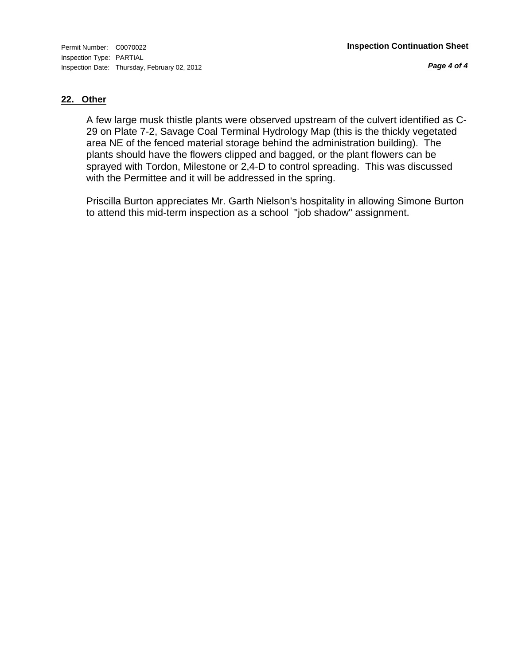*Page 4 of 4*

### **22. Other**

A few large musk thistle plants were observed upstream of the culvert identified as C-29 on Plate 7-2, Savage Coal Terminal Hydrology Map (this is the thickly vegetated area NE of the fenced material storage behind the administration building). The plants should have the flowers clipped and bagged, or the plant flowers can be sprayed with Tordon, Milestone or 2,4-D to control spreading. This was discussed with the Permittee and it will be addressed in the spring.

Priscilla Burton appreciates Mr. Garth Nielson's hospitality in allowing Simone Burton to attend this mid-term inspection as a school "job shadow" assignment.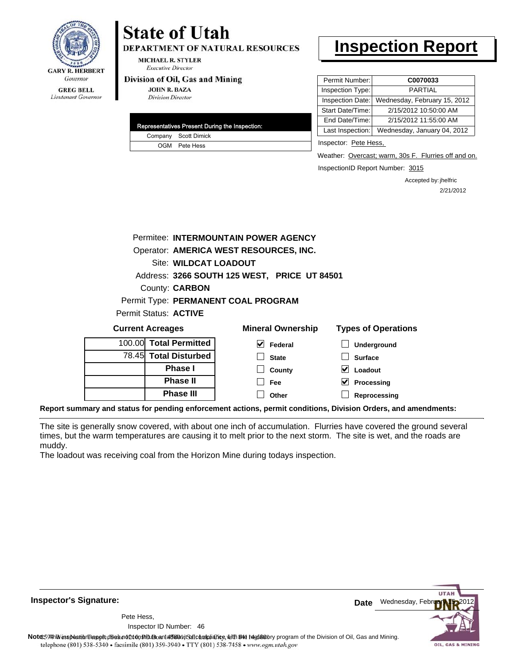

# **State of Utah**

**DEPARTMENT OF NATURAL RESOURCES** 

**MICHAEL R. STYLER Executive Director** 

#### Division of Oil, Gas and Mining

**JOHN R. BAZA Division Director** 

|  | Representatives Present During the Inspection: |
|--|------------------------------------------------|
|  | Company Scott Dimick                           |
|  | OGM Pete Hess                                  |

# **Inspection Report**

| Permit Number:   | C0070033                     |
|------------------|------------------------------|
| Inspection Type: | <b>PARTIAL</b>               |
| Inspection Date: | Wednesday, February 15, 2012 |
| Start Date/Time: | 2/15/2012 10:50:00 AM        |
| End Date/Time:   | 2/15/2012 11:55:00 AM        |
| Last Inspection: | Wednesday, January 04, 2012  |
|                  |                              |

Inspector: Pete Hess,

Weather: Overcast; warm, 30s F. Flurries off and on.

InspectionID Report Number: 3015

**Processing Reprocessing** Accepted by: jhelfric 2/21/2012

|                                     |  |                              | Permitee: INTERMOUNTAIN POWER AGENCY         |                            |
|-------------------------------------|--|------------------------------|----------------------------------------------|----------------------------|
|                                     |  |                              | Operator: AMERICA WEST RESOURCES, INC.       |                            |
|                                     |  | <b>Site: WILDCAT LOADOUT</b> |                                              |                            |
|                                     |  |                              | Address: 3266 SOUTH 125 WEST, PRICE UT 84501 |                            |
| County: <b>CARBON</b>               |  |                              |                                              |                            |
| Permit Type: PERMANENT COAL PROGRAM |  |                              |                                              |                            |
|                                     |  | Permit Status: ACTIVE        |                                              |                            |
| <b>Current Acreages</b>             |  |                              | <b>Mineral Ownership</b>                     | <b>Types of Operations</b> |
|                                     |  | 100.00 Total Permitted       | $\vee$ Federal                               | Underground                |
|                                     |  | 78.45 Total Disturbed        | <b>State</b>                                 | <b>Surface</b>             |
|                                     |  | <b>Phase I</b>               | County                                       | Loadout<br>V               |

**Report summary and status for pending enforcement actions, permit conditions, Division Orders, and amendments:**

The site is generally snow covered, with about one inch of accumulation. Flurries have covered the ground several times, but the warm temperatures are causing it to melt prior to the next storm. The site is wet, and the roads are muddy.

**Fee Other**

The loadout was receiving coal from the Horizon Mine during todays inspection.

**Phase II Phase III**

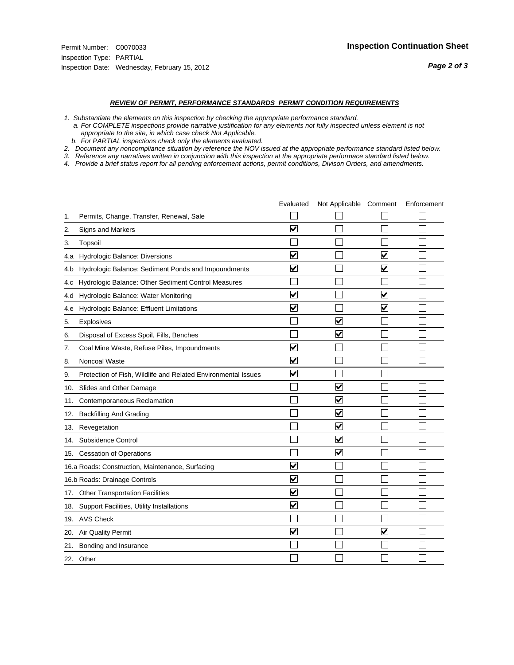#### *REVIEW OF PERMIT, PERFORMANCE STANDARDS PERMIT CONDITION REQUIREMENTS*

*1. Substantiate the elements on this inspection by checking the appropriate performance standard.*

 *a. For COMPLETE inspections provide narrative justification for any elements not fully inspected unless element is not appropriate to the site, in which case check Not Applicable.*

 *b. For PARTIAL inspections check only the elements evaluated.*

*2. Document any noncompliance situation by reference the NOV issued at the appropriate performance standard listed below.*

*3. Reference any narratives written in conjunction with this inspection at the appropriate performace standard listed below.*

*4. Provide a brief status report for all pending enforcement actions, permit conditions, Divison Orders, and amendments.*

|     |                                                               | Evaluated               | Not Applicable Comment          |                         | Enforcement |
|-----|---------------------------------------------------------------|-------------------------|---------------------------------|-------------------------|-------------|
| 1.  | Permits, Change, Transfer, Renewal, Sale                      |                         |                                 |                         |             |
| 2.  | Signs and Markers                                             | $\overline{\mathbf{v}}$ |                                 |                         |             |
| 3.  | Topsoil                                                       |                         |                                 |                         |             |
| 4.a | Hydrologic Balance: Diversions                                | $\blacktriangledown$    |                                 | $\overline{\mathbf{v}}$ |             |
| 4.b | Hydrologic Balance: Sediment Ponds and Impoundments           | $\blacktriangledown$    |                                 | ⊻                       |             |
| 4.C | Hydrologic Balance: Other Sediment Control Measures           |                         |                                 |                         |             |
| 4.d | Hydrologic Balance: Water Monitoring                          | $\overline{\mathbf{v}}$ |                                 | $\overline{\mathbf{v}}$ |             |
| 4.e | Hydrologic Balance: Effluent Limitations                      | $\overline{\mathbf{v}}$ |                                 | $\blacktriangledown$    |             |
| 5.  | <b>Explosives</b>                                             |                         | ⊽                               |                         |             |
| 6.  | Disposal of Excess Spoil, Fills, Benches                      |                         | $\blacktriangledown$            |                         |             |
| 7.  | Coal Mine Waste, Refuse Piles, Impoundments                   | $\overline{\mathbf{v}}$ |                                 |                         |             |
| 8.  | Noncoal Waste                                                 | $\overline{\mathbf{v}}$ |                                 |                         |             |
| 9.  | Protection of Fish, Wildlife and Related Environmental Issues | $\overline{\mathbf{v}}$ |                                 |                         |             |
|     | 10. Slides and Other Damage                                   |                         | ⊽                               |                         |             |
| 11. | Contemporaneous Reclamation                                   |                         | ☑                               |                         |             |
| 12. | <b>Backfilling And Grading</b>                                |                         | $\overline{\mathbf{v}}$         |                         |             |
| 13. | Revegetation                                                  |                         | $\overline{\blacktriangledown}$ |                         |             |
| 14. | Subsidence Control                                            |                         | $\overline{\mathbf{v}}$         |                         |             |
|     | 15. Cessation of Operations                                   |                         | $\blacktriangleright$           |                         |             |
|     | 16.a Roads: Construction, Maintenance, Surfacing              | ⊽                       |                                 |                         |             |
|     | 16.b Roads: Drainage Controls                                 | $\overline{\mathbf{v}}$ |                                 |                         |             |
| 17. | Other Transportation Facilities                               | $\overline{\mathbf{v}}$ |                                 |                         |             |
| 18. | Support Facilities, Utility Installations                     | $\overline{\mathbf{v}}$ |                                 |                         |             |
|     | 19. AVS Check                                                 |                         |                                 |                         |             |
| 20. | <b>Air Quality Permit</b>                                     | $\checkmark$            |                                 | $\checkmark$            |             |
| 21. | Bonding and Insurance                                         |                         |                                 |                         |             |
|     | 22. Other                                                     |                         |                                 |                         |             |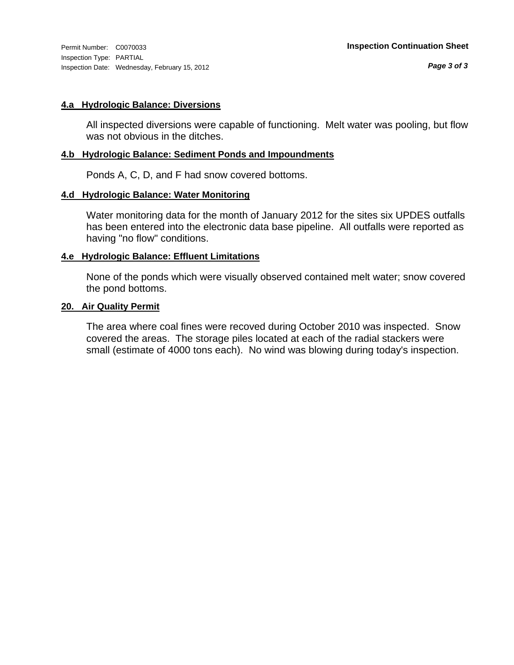Inspection Type: PARTIAL Inspection Date: Wednesday, February 15, 2012

#### **4.a Hydrologic Balance: Diversions**

All inspected diversions were capable of functioning. Melt water was pooling, but flow was not obvious in the ditches.

#### **4.b Hydrologic Balance: Sediment Ponds and Impoundments**

Ponds A, C, D, and F had snow covered bottoms.

#### **4.d Hydrologic Balance: Water Monitoring**

Water monitoring data for the month of January 2012 for the sites six UPDES outfalls has been entered into the electronic data base pipeline. All outfalls were reported as having "no flow" conditions.

### **4.e Hydrologic Balance: Effluent Limitations**

None of the ponds which were visually observed contained melt water; snow covered the pond bottoms.

#### **20. Air Quality Permit**

The area where coal fines were recoved during October 2010 was inspected. Snow covered the areas. The storage piles located at each of the radial stackers were small (estimate of 4000 tons each). No wind was blowing during today's inspection.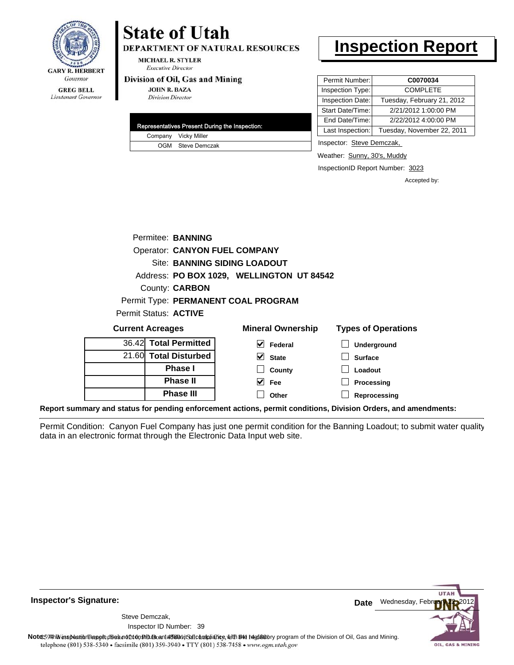

#### **GREG BELL** Lieutenant Governor

# **State of Utah**

**DEPARTMENT OF NATURAL RESOURCES** 

**MICHAEL R. STYLER Executive Director** 

#### Division of Oil, Gas and Mining

**JOHN R. BAZA Division Director** 

| Representatives Present During the Inspection: |
|------------------------------------------------|
| Company Vicky Miller                           |
| OGM Steve Demczak                              |

# **Inspection Report**

| Permit Number:   | C0070034                   |
|------------------|----------------------------|
| Inspection Type: | <b>COMPLETE</b>            |
| Inspection Date: | Tuesday, February 21, 2012 |
| Start Date/Time: | 2/21/2012 1:00:00 PM       |
| End Date/Time:   | 2/22/2012 4:00:00 PM       |
| Last Inspection: | Tuesday, November 22, 2011 |

Inspector: Steve Demczak,

Weather: Sunny, 30's, Muddy

InspectionID Report Number: 3023

Accepted by:

|                              | Permitee: BANNING     |                                           |                            |
|------------------------------|-----------------------|-------------------------------------------|----------------------------|
|                              |                       | <b>Operator: CANYON FUEL COMPANY</b>      |                            |
|                              |                       | <b>Site: BANNING SIDING LOADOUT</b>       |                            |
|                              |                       | Address: PO BOX 1029, WELLINGTON UT 84542 |                            |
|                              | County: <b>CARBON</b> |                                           |                            |
|                              |                       | Permit Type: PERMANENT COAL PROGRAM       |                            |
| <b>Permit Status: ACTIVE</b> |                       |                                           |                            |
| <b>Current Acreages</b>      |                       | <b>Mineral Ownership</b>                  | <b>Types of Operations</b> |
|                              | 36.42 Total Permitted | Federal                                   | <b>Underground</b>         |

| 36.421 Total Permitted |
|------------------------|
| 21.60 Total Disturbed  |
| <b>Phase I</b>         |
| <b>Phase II</b>        |
| <b>Phase III</b>       |

| eral Ownership               | <b>Types of Op</b> |
|------------------------------|--------------------|
| $\sqrt{\phantom{a}}$ Federal | $\Box$ Undergro    |
| $\vee$ State                 | $\Box$ Surface     |
| $\Box$ County                | $\Box$ Loadout     |
| $\vee$ Fee                   | $\Box$ Processi    |

**Processing Reprocessing**

**Report summary and status for pending enforcement actions, permit conditions, Division Orders, and amendments:**

Permit Condition: Canyon Fuel Company has just one permit condition for the Banning Loadout; to submit water quality data in an electronic format through the Electronic Data Input web site.

**Other**



**Inspector's Signature:**

39 Inspector ID Number:Steve Demczak,

Note: This inspection report does not constitute and affidavitor compliance, with the regulatory program of the Division of Oil, Gas and Mining. telephone (801) 538-5340 · facsimile (801) 359-3940 · TTY (801) 538-7458 · www.ogm.utah.gov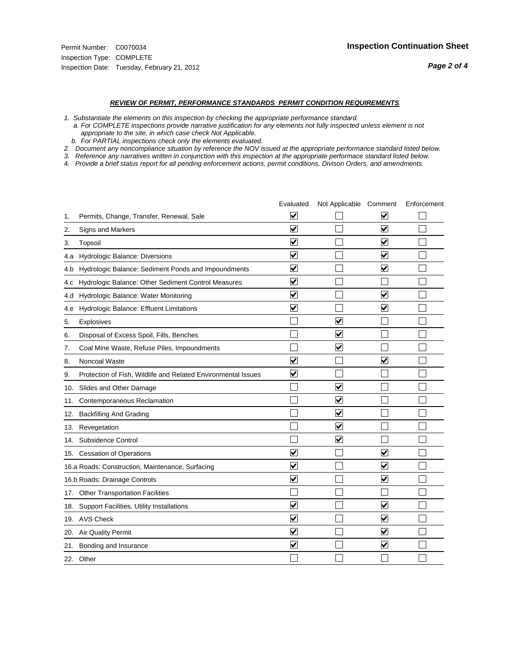#### *REVIEW OF PERMIT, PERFORMANCE STANDARDS PERMIT CONDITION REQUIREMENTS*

*1. Substantiate the elements on this inspection by checking the appropriate performance standard.*

 *a. For COMPLETE inspections provide narrative justification for any elements not fully inspected unless element is not appropriate to the site, in which case check Not Applicable.*

 *b. For PARTIAL inspections check only the elements evaluated.*

*2. Document any noncompliance situation by reference the NOV issued at the appropriate performance standard listed below.*

*3. Reference any narratives written in conjunction with this inspection at the appropriate performace standard listed below.*

*4. Provide a brief status report for all pending enforcement actions, permit conditions, Divison Orders, and amendments.*

|     |                                                               | Evaluated               | Not Applicable Comment          |                         | Enforcement |
|-----|---------------------------------------------------------------|-------------------------|---------------------------------|-------------------------|-------------|
| 1.  | Permits, Change, Transfer, Renewal, Sale                      | ⊻                       |                                 | V                       |             |
| 2.  | <b>Signs and Markers</b>                                      | $\overline{\mathbf{v}}$ |                                 | $\blacktriangledown$    |             |
| 3.  | Topsoil                                                       | $\overline{\mathbf{v}}$ |                                 | $\overline{\mathbf{v}}$ |             |
| 4.a | Hydrologic Balance: Diversions                                | $\blacktriangledown$    |                                 | $\blacktriangledown$    |             |
| 4.b | Hydrologic Balance: Sediment Ponds and Impoundments           | $\overline{\mathsf{v}}$ |                                 | $\blacktriangledown$    |             |
| 4.c | Hydrologic Balance: Other Sediment Control Measures           | $\overline{\mathbf{v}}$ |                                 |                         |             |
| 4.d | Hydrologic Balance: Water Monitoring                          | $\overline{\mathbf{v}}$ |                                 | $\overline{\mathbf{v}}$ |             |
| 4.e | Hydrologic Balance: Effluent Limitations                      | $\overline{\mathbf{v}}$ |                                 | $\blacktriangledown$    |             |
| 5.  | Explosives                                                    |                         | $\blacktriangledown$            |                         |             |
| 6.  | Disposal of Excess Spoil, Fills, Benches                      |                         | $\overline{\mathsf{v}}$         |                         |             |
| 7.  | Coal Mine Waste, Refuse Piles, Impoundments                   |                         | ☑                               |                         |             |
| 8.  | Noncoal Waste                                                 | $\overline{\mathbf{v}}$ |                                 | $\overline{\mathbf{v}}$ |             |
| 9.  | Protection of Fish, Wildlife and Related Environmental Issues | $\blacktriangledown$    |                                 |                         |             |
| 10. | Slides and Other Damage                                       |                         | $\blacktriangledown$            |                         |             |
| 11. | Contemporaneous Reclamation                                   |                         | $\blacktriangledown$            |                         |             |
| 12. | <b>Backfilling And Grading</b>                                |                         | $\overline{\mathbf{v}}$         |                         |             |
| 13. | Revegetation                                                  |                         | $\overline{\blacktriangledown}$ |                         |             |
| 14. | Subsidence Control                                            |                         | $\overline{\mathbf{v}}$         |                         |             |
|     | 15. Cessation of Operations                                   | $\overline{\mathbf{v}}$ |                                 | $\blacktriangledown$    |             |
|     | 16.a Roads: Construction, Maintenance, Surfacing              | $\overline{\mathsf{v}}$ |                                 | $\blacktriangledown$    |             |
|     | 16.b Roads: Drainage Controls                                 | $\overline{\mathsf{v}}$ |                                 | $\blacktriangledown$    |             |
| 17. | <b>Other Transportation Facilities</b>                        |                         |                                 |                         |             |
|     | 18. Support Facilities, Utility Installations                 | $\overline{\mathbf{v}}$ |                                 | $\overline{\mathbf{v}}$ |             |
|     | 19. AVS Check                                                 | $\overline{\mathbf{v}}$ |                                 | $\blacktriangledown$    |             |
| 20. | <b>Air Quality Permit</b>                                     | $\overline{\mathsf{v}}$ |                                 | $\blacktriangledown$    |             |
| 21. | Bonding and Insurance                                         | $\overline{\mathbf{v}}$ |                                 | $\blacktriangledown$    |             |
|     | 22. Other                                                     |                         |                                 |                         |             |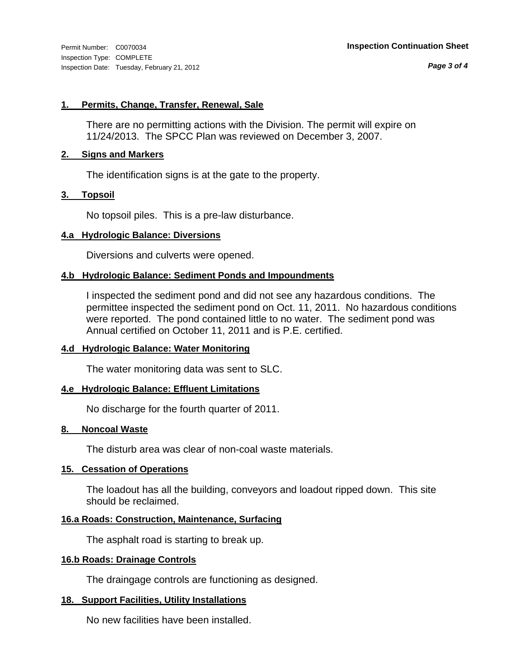*Page 3 of 4*

#### **1. Permits, Change, Transfer, Renewal, Sale**

There are no permitting actions with the Division. The permit will expire on 11/24/2013. The SPCC Plan was reviewed on December 3, 2007.

#### **2. Signs and Markers**

The identification signs is at the gate to the property.

#### **3. Topsoil**

No topsoil piles. This is a pre-law disturbance.

#### **4.a Hydrologic Balance: Diversions**

Diversions and culverts were opened.

### **4.b Hydrologic Balance: Sediment Ponds and Impoundments**

I inspected the sediment pond and did not see any hazardous conditions. The permittee inspected the sediment pond on Oct. 11, 2011. No hazardous conditions were reported. The pond contained little to no water. The sediment pond was Annual certified on October 11, 2011 and is P.E. certified.

#### **4.d Hydrologic Balance: Water Monitoring**

The water monitoring data was sent to SLC.

#### **4.e Hydrologic Balance: Effluent Limitations**

No discharge for the fourth quarter of 2011.

#### **8. Noncoal Waste**

The disturb area was clear of non-coal waste materials.

#### **15. Cessation of Operations**

The loadout has all the building, conveyors and loadout ripped down. This site should be reclaimed.

#### **16.a Roads: Construction, Maintenance, Surfacing**

The asphalt road is starting to break up.

#### **16.b Roads: Drainage Controls**

The draingage controls are functioning as designed.

#### **18. Support Facilities, Utility Installations**

No new facilities have been installed.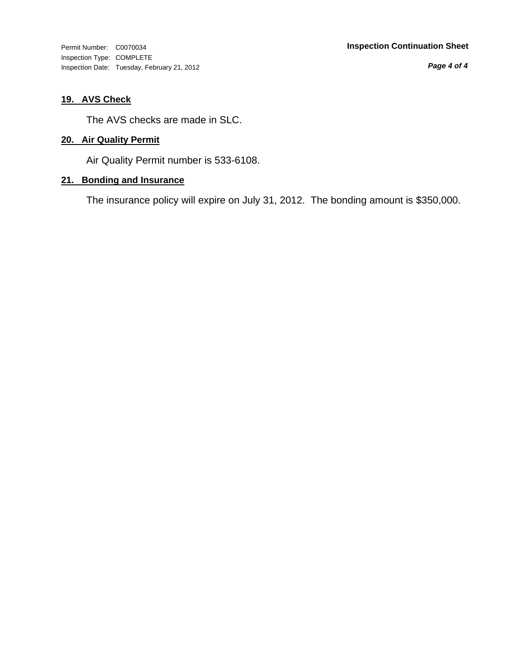Inspection Type: COMPLETE Inspection Date: Tuesday, February 21, 2012

*Page 4 of 4*

## **19. AVS Check**

The AVS checks are made in SLC.

### **20. Air Quality Permit**

Air Quality Permit number is 533-6108.

## **21. Bonding and Insurance**

The insurance policy will expire on July 31, 2012. The bonding amount is \$350,000.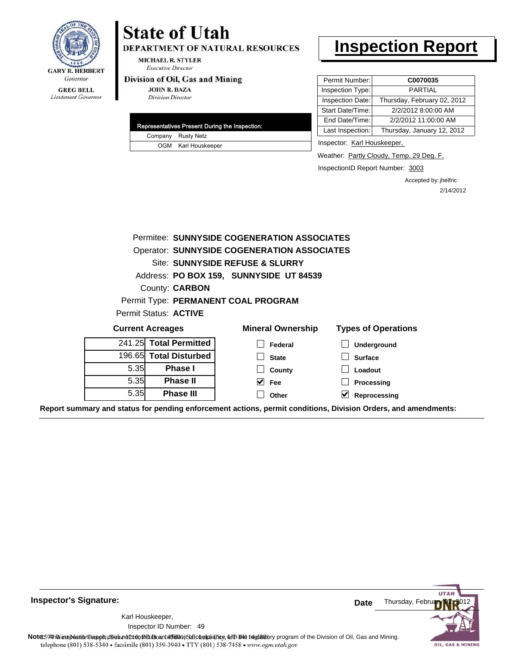

#### **GREG BELL** Lieutenant Governor

# **State of Utah**

DEPARTMENT OF NATURAL RESOURCES

**MICHAEL R. STYLER Executive Director** 

#### Division of Oil, Gas and Mining

**JOHN R. BAZA Division Director** 

| Representatives Present During the Inspection: |
|------------------------------------------------|
| Company Rusty Netz                             |
| OGM Karl Houskeeper                            |

# **Inspection Report**

| Permit Number:   | C0070035                    |
|------------------|-----------------------------|
| Inspection Type: | PARTIAL                     |
| Inspection Date: | Thursday, February 02, 2012 |
| Start Date/Time: | 2/2/2012 8:00:00 AM         |
| End Date/Time:   | 2/2/2012 11:00:00 AM        |
| Last Inspection: | Thursday, January 12, 2012  |

Inspector: Karl Houskeeper,

Weather: Partly Cloudy, Temp. 29 Deg. F.

InspectionID Report Number: 3003

Accepted by: jhelfric 2/14/2012

| Permitee: SUNNYSIDE COGENERATION ASSOCIATES                                                                    |                                 |                                         |                            |  |  |
|----------------------------------------------------------------------------------------------------------------|---------------------------------|-----------------------------------------|----------------------------|--|--|
| <b>Operator: SUNNYSIDE COGENERATION ASSOCIATES</b>                                                             |                                 |                                         |                            |  |  |
|                                                                                                                | Site: SUNNYSIDE REFUSE & SLURRY |                                         |                            |  |  |
|                                                                                                                |                                 | Address: PO BOX 159, SUNNYSIDE UT 84539 |                            |  |  |
|                                                                                                                | County: <b>CARBON</b>           |                                         |                            |  |  |
|                                                                                                                |                                 | Permit Type: PERMANENT COAL PROGRAM     |                            |  |  |
| Permit Status: ACTIVE                                                                                          |                                 |                                         |                            |  |  |
| <b>Current Acreages</b>                                                                                        |                                 | <b>Mineral Ownership</b>                | <b>Types of Operations</b> |  |  |
|                                                                                                                | 241.25 Total Permitted          | Federal                                 | <b>Underground</b>         |  |  |
|                                                                                                                | 196.65 Total Disturbed          | <b>State</b>                            | <b>Surface</b>             |  |  |
| 5.35                                                                                                           | <b>Phase I</b>                  | County                                  | Loadout                    |  |  |
| 5.35                                                                                                           | <b>Phase II</b>                 | $\vee$ Fee                              | Processing                 |  |  |
| 5.35                                                                                                           | <b>Phase III</b>                | Other                                   | V<br>Reprocessing          |  |  |
| Report summary and status for pending enforcement actions, permit conditions, Division Orders, and amendments: |                                 |                                         |                            |  |  |

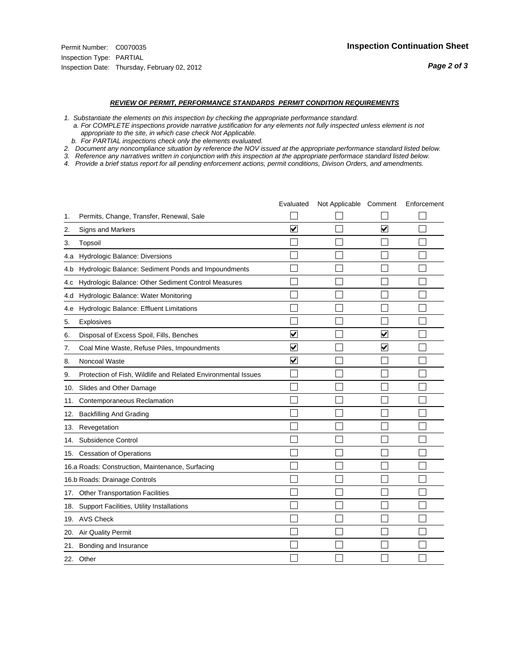#### *REVIEW OF PERMIT, PERFORMANCE STANDARDS PERMIT CONDITION REQUIREMENTS*

- *1. Substantiate the elements on this inspection by checking the appropriate performance standard.*
- *a. For COMPLETE inspections provide narrative justification for any elements not fully inspected unless element is not appropriate to the site, in which case check Not Applicable.*
- *b. For PARTIAL inspections check only the elements evaluated.*
- *2. Document any noncompliance situation by reference the NOV issued at the appropriate performance standard listed below.*
- *3. Reference any narratives written in conjunction with this inspection at the appropriate performace standard listed below.*
- *4. Provide a brief status report for all pending enforcement actions, permit conditions, Divison Orders, and amendments.*

|     |                                                               | Evaluated                       | Not Applicable Comment |                         | Enforcement |
|-----|---------------------------------------------------------------|---------------------------------|------------------------|-------------------------|-------------|
| 1.  | Permits, Change, Transfer, Renewal, Sale                      |                                 |                        |                         |             |
| 2.  | <b>Signs and Markers</b>                                      | $\overline{\mathbf{v}}$         |                        | $\overline{\mathbf{v}}$ |             |
| 3.  | Topsoil                                                       |                                 |                        |                         |             |
| 4.a | Hydrologic Balance: Diversions                                |                                 |                        |                         |             |
| 4.b | Hydrologic Balance: Sediment Ponds and Impoundments           |                                 |                        |                         |             |
| 4.C | Hydrologic Balance: Other Sediment Control Measures           |                                 |                        |                         |             |
| 4.d | Hydrologic Balance: Water Monitoring                          |                                 |                        |                         |             |
| 4.e | Hydrologic Balance: Effluent Limitations                      |                                 |                        |                         |             |
| 5.  | <b>Explosives</b>                                             |                                 |                        |                         |             |
| 6.  | Disposal of Excess Spoil, Fills, Benches                      | $\blacktriangledown$            |                        | ⊻                       |             |
| 7.  | Coal Mine Waste, Refuse Piles, Impoundments                   | $\overline{\mathbf{v}}$         |                        | $\overline{\mathbf{v}}$ |             |
| 8.  | Noncoal Waste                                                 | $\overline{\blacktriangledown}$ |                        |                         |             |
| 9.  | Protection of Fish, Wildlife and Related Environmental Issues |                                 |                        |                         |             |
| 10. | Slides and Other Damage                                       |                                 |                        |                         |             |
| 11. | Contemporaneous Reclamation                                   |                                 |                        |                         |             |
| 12. | <b>Backfilling And Grading</b>                                |                                 |                        |                         |             |
| 13. | Revegetation                                                  |                                 |                        |                         |             |
| 14. | Subsidence Control                                            |                                 |                        |                         |             |
|     | 15. Cessation of Operations                                   |                                 |                        |                         |             |
|     | 16.a Roads: Construction, Maintenance, Surfacing              |                                 |                        |                         |             |
|     | 16.b Roads: Drainage Controls                                 |                                 |                        |                         |             |
|     | 17. Other Transportation Facilities                           |                                 |                        |                         |             |
| 18. | Support Facilities, Utility Installations                     |                                 |                        |                         |             |
|     | 19. AVS Check                                                 |                                 |                        |                         |             |
| 20. | Air Quality Permit                                            |                                 |                        |                         |             |
|     | 21. Bonding and Insurance                                     |                                 |                        |                         |             |
|     | 22. Other                                                     |                                 |                        |                         |             |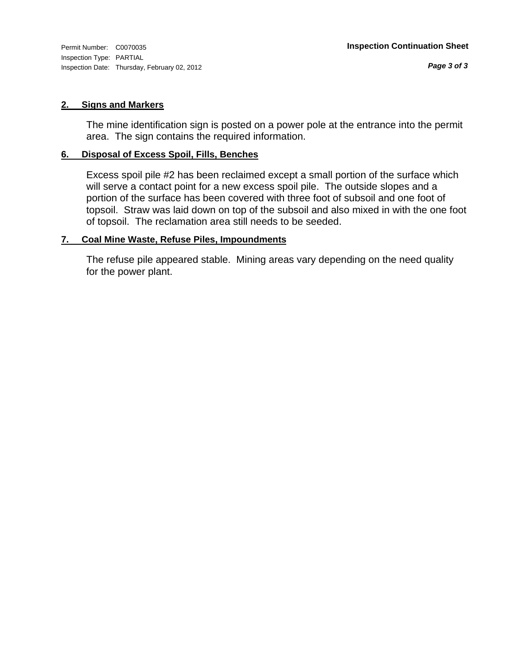Inspection Type: PARTIAL Inspection Date: Thursday, February 02, 2012

#### **2. Signs and Markers**

The mine identification sign is posted on a power pole at the entrance into the permit area. The sign contains the required information.

#### **6. Disposal of Excess Spoil, Fills, Benches**

Excess spoil pile #2 has been reclaimed except a small portion of the surface which will serve a contact point for a new excess spoil pile. The outside slopes and a portion of the surface has been covered with three foot of subsoil and one foot of topsoil. Straw was laid down on top of the subsoil and also mixed in with the one foot of topsoil. The reclamation area still needs to be seeded.

#### **7. Coal Mine Waste, Refuse Piles, Impoundments**

The refuse pile appeared stable. Mining areas vary depending on the need quality for the power plant.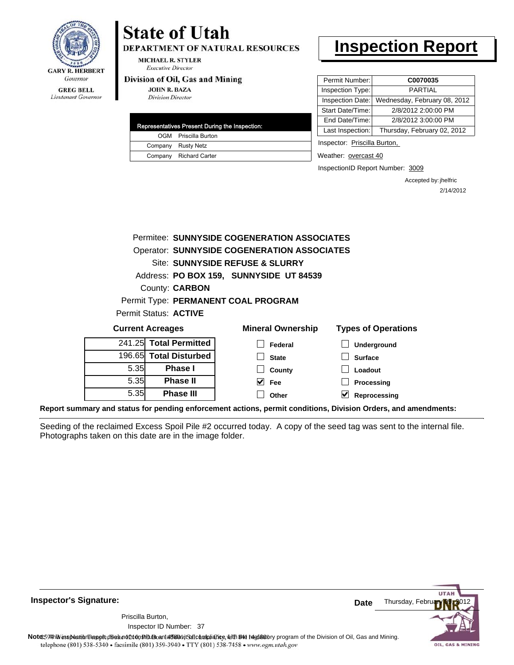

# **State of Utah**

**DEPARTMENT OF NATURAL RESOURCES** 

**MICHAEL R. STYLER Executive Director** 

#### Division of Oil, Gas and Mining

**JOHN R. BAZA Division Director** 

|  | Representatives Present During the Inspection: |
|--|------------------------------------------------|
|  | OGM Priscilla Burton                           |
|  | Company Rusty Netz                             |
|  | Company Richard Carter                         |
|  |                                                |

# **Inspection Report**

| Permit Number:   | C0070035                     |
|------------------|------------------------------|
| Inspection Type: | PARTIAI                      |
| Inspection Date: | Wednesday, February 08, 2012 |
| Start Date/Time: | 2/8/2012 2:00:00 PM          |
| End Date/Time:   | 2/8/2012 3:00:00 PM          |
| Last Inspection: | Thursday, February 02, 2012  |
|                  |                              |

Inspector: Priscilla Burton,

Weather: overcast 40

InspectionID Report Number: 3009

Accepted by: jhelfric 2/14/2012

|      | Permitee: SUNNYSIDE COGENERATION ASSOCIATES        |                                         |                            |  |  |  |
|------|----------------------------------------------------|-----------------------------------------|----------------------------|--|--|--|
|      | <b>Operator: SUNNYSIDE COGENERATION ASSOCIATES</b> |                                         |                            |  |  |  |
|      | Site: SUNNYSIDE REFUSE & SLURRY                    |                                         |                            |  |  |  |
|      |                                                    | Address: PO BOX 159, SUNNYSIDE UT 84539 |                            |  |  |  |
|      | <b>County: CARBON</b>                              |                                         |                            |  |  |  |
|      |                                                    | Permit Type: PERMANENT COAL PROGRAM     |                            |  |  |  |
|      | Permit Status: ACTIVE                              |                                         |                            |  |  |  |
|      | <b>Current Acreages</b>                            | <b>Mineral Ownership</b>                | <b>Types of Operations</b> |  |  |  |
|      | 241.25 Total Permitted                             | Federal                                 | Underground                |  |  |  |
|      | 196.65 Total Disturbed                             | <b>State</b>                            | <b>Surface</b>             |  |  |  |
| 5.35 | <b>Phase I</b>                                     | County                                  | Loadout                    |  |  |  |
| 5.35 | <b>Phase II</b>                                    | V<br><b>Fee</b>                         | Processing                 |  |  |  |
| 5.35 | <b>Phase III</b>                                   | Other                                   | Reprocessing               |  |  |  |

**Report summary and status for pending enforcement actions, permit conditions, Division Orders, and amendments:**

Seeding of the reclaimed Excess Spoil Pile #2 occurred today. A copy of the seed tag was sent to the internal file. Photographs taken on this date are in the image folder.



**Inspector's Signature:**

Priscilla Burton,

Inspector ID Number: 37

Note: This inspection report does not constitute and affidavitor compliance, with the regulatory program of the Division of Oil, Gas and Mining. telephone (801) 538-5340 · facsimile (801) 359-3940 · TTY (801) 538-7458 · www.ogm.utah.gov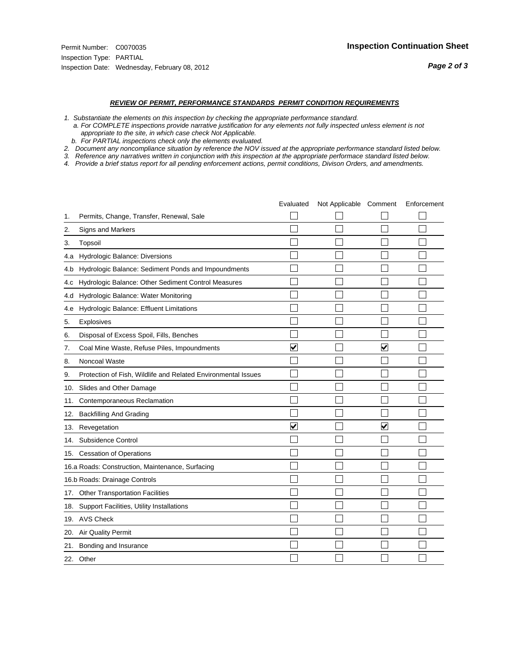#### *REVIEW OF PERMIT, PERFORMANCE STANDARDS PERMIT CONDITION REQUIREMENTS*

- *1. Substantiate the elements on this inspection by checking the appropriate performance standard.*
- *a. For COMPLETE inspections provide narrative justification for any elements not fully inspected unless element is not appropriate to the site, in which case check Not Applicable.*
- *b. For PARTIAL inspections check only the elements evaluated.*
- *2. Document any noncompliance situation by reference the NOV issued at the appropriate performance standard listed below.*
- *3. Reference any narratives written in conjunction with this inspection at the appropriate performace standard listed below.*
- *4. Provide a brief status report for all pending enforcement actions, permit conditions, Divison Orders, and amendments.*

|     |                                                               | Evaluated               | Not Applicable Comment |                         | Enforcement |
|-----|---------------------------------------------------------------|-------------------------|------------------------|-------------------------|-------------|
| 1.  | Permits, Change, Transfer, Renewal, Sale                      |                         |                        |                         |             |
| 2.  | <b>Signs and Markers</b>                                      |                         |                        |                         |             |
| 3.  | Topsoil                                                       |                         |                        |                         |             |
| 4.a | Hydrologic Balance: Diversions                                |                         |                        |                         |             |
| 4.b | Hydrologic Balance: Sediment Ponds and Impoundments           |                         |                        |                         |             |
| 4.C | Hydrologic Balance: Other Sediment Control Measures           |                         |                        |                         |             |
| 4.d | Hydrologic Balance: Water Monitoring                          |                         |                        |                         |             |
| 4.e | Hydrologic Balance: Effluent Limitations                      |                         |                        |                         |             |
| 5.  | <b>Explosives</b>                                             |                         |                        |                         |             |
| 6.  | Disposal of Excess Spoil, Fills, Benches                      |                         |                        |                         |             |
| 7.  | Coal Mine Waste, Refuse Piles, Impoundments                   | $\overline{\mathbf{v}}$ |                        | $\overline{\mathbf{v}}$ |             |
| 8.  | Noncoal Waste                                                 |                         |                        |                         |             |
| 9.  | Protection of Fish, Wildlife and Related Environmental Issues |                         |                        |                         |             |
| 10. | Slides and Other Damage                                       |                         |                        |                         |             |
| 11. | Contemporaneous Reclamation                                   |                         |                        |                         |             |
| 12. | <b>Backfilling And Grading</b>                                |                         |                        |                         |             |
| 13. | Revegetation                                                  | $\overline{\mathbf{v}}$ |                        | $\overline{\mathsf{v}}$ |             |
| 14. | Subsidence Control                                            |                         |                        |                         |             |
|     | 15. Cessation of Operations                                   |                         |                        |                         |             |
|     | 16.a Roads: Construction, Maintenance, Surfacing              |                         |                        |                         |             |
|     | 16.b Roads: Drainage Controls                                 |                         |                        |                         |             |
|     | 17. Other Transportation Facilities                           |                         |                        |                         |             |
| 18. | Support Facilities, Utility Installations                     |                         |                        |                         |             |
|     | 19. AVS Check                                                 |                         |                        |                         |             |
| 20. | Air Quality Permit                                            |                         |                        |                         |             |
|     | 21. Bonding and Insurance                                     |                         |                        |                         |             |
|     | 22. Other                                                     |                         |                        |                         |             |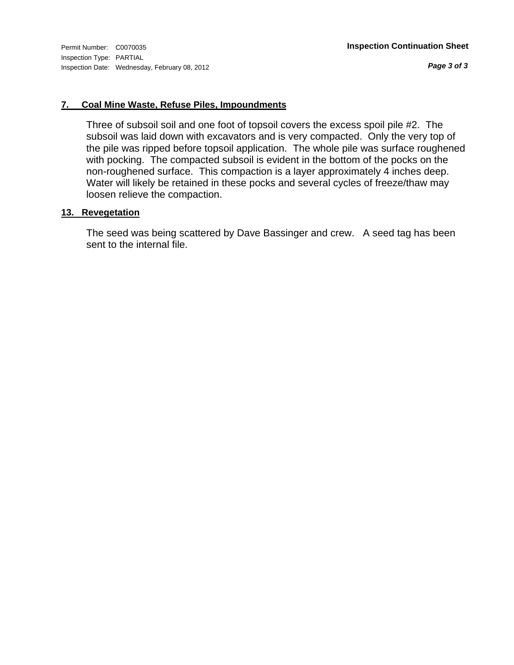*Page 3 of 3*

### **7. Coal Mine Waste, Refuse Piles, Impoundments**

Three of subsoil soil and one foot of topsoil covers the excess spoil pile #2. The subsoil was laid down with excavators and is very compacted. Only the very top of the pile was ripped before topsoil application. The whole pile was surface roughened with pocking. The compacted subsoil is evident in the bottom of the pocks on the non-roughened surface. This compaction is a layer approximately 4 inches deep. Water will likely be retained in these pocks and several cycles of freeze/thaw may loosen relieve the compaction.

#### **13. Revegetation**

The seed was being scattered by Dave Bassinger and crew. A seed tag has been sent to the internal file.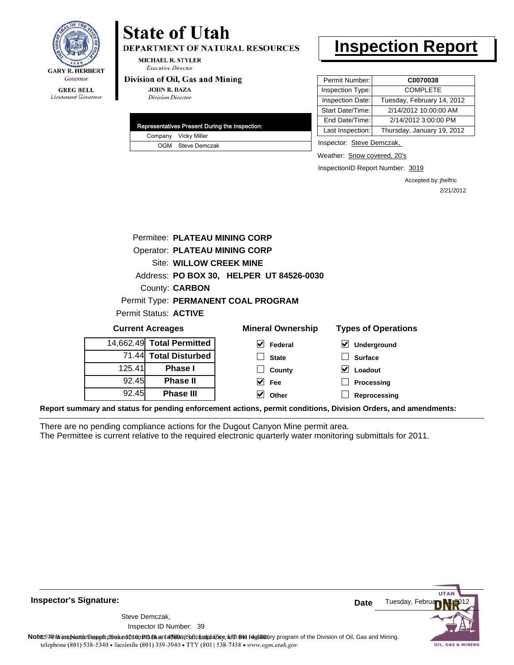

#### **GREG BELL** Lieutenant Governor

# **State of Utah**

**DEPARTMENT OF NATURAL RESOURCES** 

**MICHAEL R. STYLER Executive Director** 

#### Division of Oil, Gas and Mining

**JOHN R. BAZA Division Director** 

|  | Representatives Present During the Inspection: |
|--|------------------------------------------------|
|  | Company Vicky Miller                           |
|  | OGM Steve Demczak                              |

# **Inspection Report**

| Permit Number:   | C0070038                   |
|------------------|----------------------------|
| Inspection Type: | <b>COMPLETE</b>            |
| Inspection Date: | Tuesday, February 14, 2012 |
| Start Date/Time: | 2/14/2012 10:00:00 AM      |
| End Date/Time:   | 2/14/2012 3:00:00 PM       |
| Last Inspection: | Thursday, January 19, 2012 |

Inspector: Steve Demczak,

Weather: Snow covered, 20's

InspectionID Report Number: 3019

Accepted by: jhelfric 2/21/2012

|        | Permitee: PLATEAU MINING CORP        |                                          |                            |
|--------|--------------------------------------|------------------------------------------|----------------------------|
|        | <b>Operator: PLATEAU MINING CORP</b> |                                          |                            |
|        | Site: WILLOW CREEK MINE              |                                          |                            |
|        |                                      | Address: PO BOX 30, HELPER UT 84526-0030 |                            |
|        | County: <b>CARBON</b>                |                                          |                            |
|        |                                      | Permit Type: PERMANENT COAL PROGRAM      |                            |
|        | Permit Status: ACTIVE                |                                          |                            |
|        | <b>Current Acreages</b>              | <b>Mineral Ownership</b>                 | <b>Types of Operations</b> |
|        | 14,662.49 Total Permitted            | $\vee$ Federal                           | Underground                |
|        | 71.44 Total Disturbed                | <b>State</b>                             | <b>Surface</b>             |
| 125.41 | <b>Phase I</b>                       | County                                   | V<br>Loadout               |
| 92.45  | <b>Phase II</b>                      | $\vert$ Fee                              | Processing                 |
| 92.45  | <b>Phase III</b>                     | Other                                    | Reprocessing               |
|        |                                      |                                          |                            |

**Report summary and status for pending enforcement actions, permit conditions, Division Orders, and amendments:**

There are no pending compliance actions for the Dugout Canyon Mine permit area. The Permittee is current relative to the required electronic quarterly water monitoring submittals for 2011.



**Inspector's Signature:**

39 Inspector ID Number:Steve Demczak,

Note: This inspection report does not constitute and affidavitor compliance, with the regulatory program of the Division of Oil, Gas and Mining.

telephone (801) 538-5340 · facsimile (801) 359-3940 · TTY (801) 538-7458 · www.ogm.utah.gov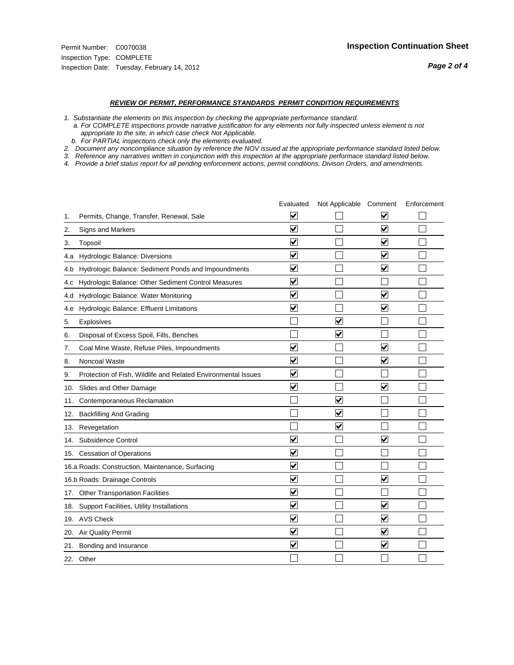#### *REVIEW OF PERMIT, PERFORMANCE STANDARDS PERMIT CONDITION REQUIREMENTS*

*1. Substantiate the elements on this inspection by checking the appropriate performance standard.*

 *a. For COMPLETE inspections provide narrative justification for any elements not fully inspected unless element is not appropriate to the site, in which case check Not Applicable.*

 *b. For PARTIAL inspections check only the elements evaluated.*

*2. Document any noncompliance situation by reference the NOV issued at the appropriate performance standard listed below.*

*3. Reference any narratives written in conjunction with this inspection at the appropriate performace standard listed below.*

*4. Provide a brief status report for all pending enforcement actions, permit conditions, Divison Orders, and amendments.*

|     |                                                               | Evaluated               | Not Applicable Comment  |                         | Enforcement |
|-----|---------------------------------------------------------------|-------------------------|-------------------------|-------------------------|-------------|
| 1.  | Permits, Change, Transfer, Renewal, Sale                      | ⊻                       |                         | V                       |             |
| 2.  | Signs and Markers                                             | $\overline{\mathbf{v}}$ |                         | $\blacktriangledown$    |             |
| 3.  | Topsoil                                                       | $\overline{\mathbf{v}}$ |                         | $\overline{\mathbf{v}}$ |             |
| 4.a | <b>Hydrologic Balance: Diversions</b>                         | $\overline{\mathsf{v}}$ |                         | $\blacktriangledown$    |             |
| 4.b | Hydrologic Balance: Sediment Ponds and Impoundments           | $\blacktriangledown$    |                         | $\blacktriangledown$    |             |
| 4.C | Hydrologic Balance: Other Sediment Control Measures           | $\checkmark$            |                         |                         |             |
| 4.d | Hydrologic Balance: Water Monitoring                          | $\overline{\mathbf{v}}$ |                         | $\blacktriangledown$    |             |
| 4.e | Hydrologic Balance: Effluent Limitations                      | $\overline{\mathbf{v}}$ |                         | $\blacktriangledown$    |             |
| 5.  | <b>Explosives</b>                                             |                         | $\overline{\mathbf{v}}$ |                         |             |
| 6.  | Disposal of Excess Spoil, Fills, Benches                      |                         | $\blacktriangledown$    |                         |             |
| 7.  | Coal Mine Waste, Refuse Piles, Impoundments                   | $\overline{\mathbf{v}}$ |                         | $\overline{\mathbf{v}}$ |             |
| 8.  | Noncoal Waste                                                 | $\overline{\mathbf{v}}$ |                         | $\blacktriangledown$    |             |
| 9.  | Protection of Fish, Wildlife and Related Environmental Issues | $\blacktriangledown$    |                         |                         |             |
| 10. | Slides and Other Damage                                       | $\overline{\mathsf{v}}$ |                         | $\overline{\mathbf{v}}$ |             |
| 11. | Contemporaneous Reclamation                                   |                         | $\blacktriangledown$    |                         |             |
| 12. | <b>Backfilling And Grading</b>                                |                         | $\blacktriangledown$    |                         |             |
| 13. | Revegetation                                                  |                         | $\overline{\mathbf{v}}$ |                         |             |
| 14. | Subsidence Control                                            | $\overline{\mathbf{v}}$ |                         | $\overline{\mathbf{v}}$ |             |
|     | 15. Cessation of Operations                                   | $\blacktriangledown$    |                         |                         |             |
|     | 16.a Roads: Construction, Maintenance, Surfacing              | $\overline{\mathsf{v}}$ |                         |                         |             |
|     | 16.b Roads: Drainage Controls                                 | $\blacktriangledown$    |                         | $\overline{\mathbf{v}}$ |             |
| 17. | <b>Other Transportation Facilities</b>                        | $\overline{\mathbf{v}}$ |                         |                         |             |
| 18. | Support Facilities, Utility Installations                     | $\overline{\mathbf{v}}$ |                         | $\blacktriangledown$    |             |
|     | 19. AVS Check                                                 | $\overline{\mathbf{v}}$ |                         | $\overline{\mathsf{v}}$ |             |
| 20. | <b>Air Quality Permit</b>                                     | $\checkmark$            |                         | $\blacktriangledown$    |             |
| 21. | Bonding and Insurance                                         | $\overline{\mathbf{v}}$ |                         | $\blacktriangledown$    |             |
|     | 22. Other                                                     |                         |                         |                         |             |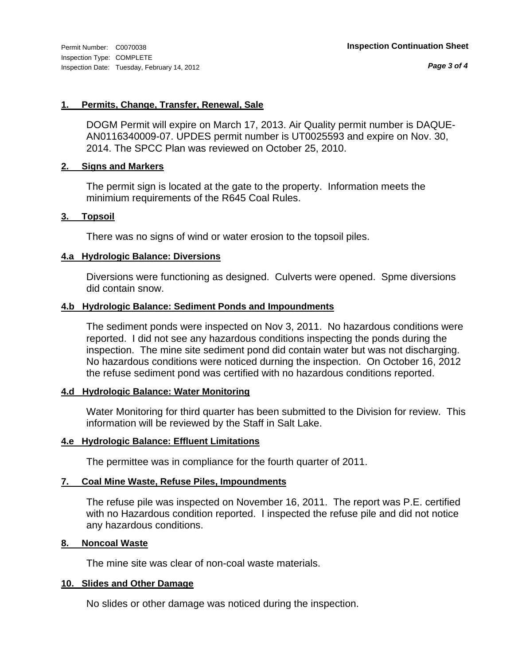*Page 3 of 4*

#### **1. Permits, Change, Transfer, Renewal, Sale**

DOGM Permit will expire on March 17, 2013. Air Quality permit number is DAQUE-AN0116340009-07. UPDES permit number is UT0025593 and expire on Nov. 30, 2014. The SPCC Plan was reviewed on October 25, 2010.

#### **2. Signs and Markers**

The permit sign is located at the gate to the property. Information meets the minimium requirements of the R645 Coal Rules.

#### **3. Topsoil**

There was no signs of wind or water erosion to the topsoil piles.

#### **4.a Hydrologic Balance: Diversions**

Diversions were functioning as designed. Culverts were opened. Spme diversions did contain snow.

#### **4.b Hydrologic Balance: Sediment Ponds and Impoundments**

The sediment ponds were inspected on Nov 3, 2011. No hazardous conditions were reported. I did not see any hazardous conditions inspecting the ponds during the inspection. The mine site sediment pond did contain water but was not discharging. No hazardous conditions were noticed durning the inspection. On October 16, 2012 the refuse sediment pond was certified with no hazardous conditions reported.

### **4.d Hydrologic Balance: Water Monitoring**

Water Monitoring for third quarter has been submitted to the Division for review. This information will be reviewed by the Staff in Salt Lake.

#### **4.e Hydrologic Balance: Effluent Limitations**

The permittee was in compliance for the fourth quarter of 2011.

#### **7. Coal Mine Waste, Refuse Piles, Impoundments**

The refuse pile was inspected on November 16, 2011. The report was P.E. certified with no Hazardous condition reported. I inspected the refuse pile and did not notice any hazardous conditions.

#### **8. Noncoal Waste**

The mine site was clear of non-coal waste materials.

#### **10. Slides and Other Damage**

No slides or other damage was noticed during the inspection.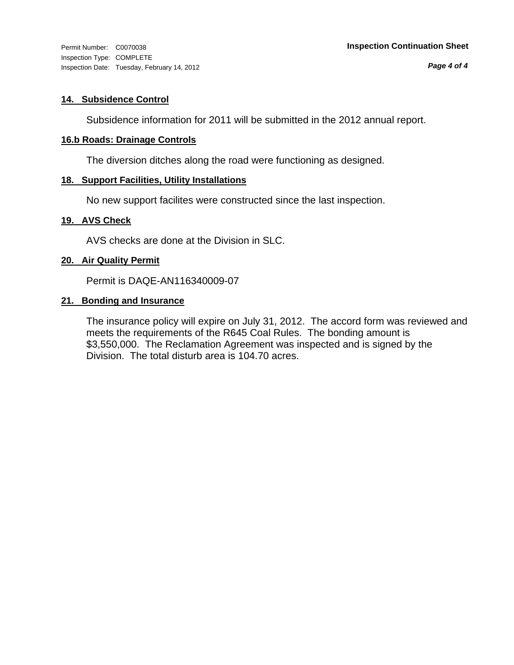Inspection Type: COMPLETE Inspection Date: Tuesday, February 14, 2012

#### **14. Subsidence Control**

Subsidence information for 2011 will be submitted in the 2012 annual report.

#### **16.b Roads: Drainage Controls**

The diversion ditches along the road were functioning as designed.

#### **18. Support Facilities, Utility Installations**

No new support facilites were constructed since the last inspection.

#### **19. AVS Check**

AVS checks are done at the Division in SLC.

#### **20. Air Quality Permit**

Permit is DAQE-AN116340009-07

#### **21. Bonding and Insurance**

The insurance policy will expire on July 31, 2012. The accord form was reviewed and meets the requirements of the R645 Coal Rules. The bonding amount is \$3,550,000. The Reclamation Agreement was inspected and is signed by the Division. The total disturb area is 104.70 acres.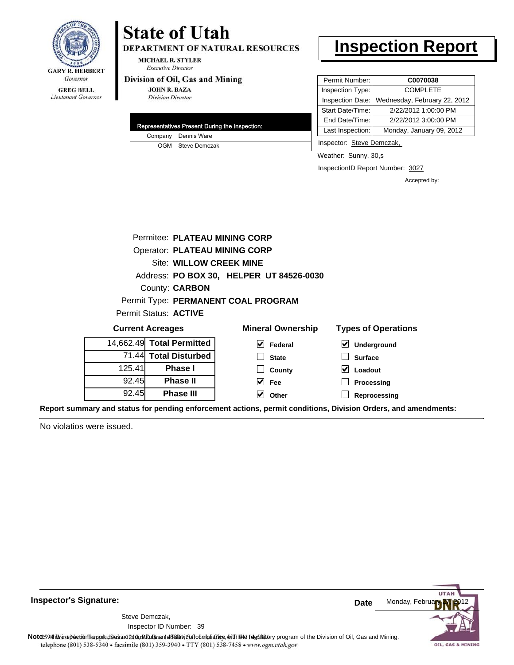

#### **GREG BELL** Lieutenant Governor

# **State of Utah**

DEPARTMENT OF NATURAL RESOURCES

**MICHAEL R. STYLER Executive Director** 

#### Division of Oil, Gas and Mining

**JOHN R. BAZA Division Director** 

| <b>Representatives Present During the Inspection:</b> |
|-------------------------------------------------------|
| Company Dennis Ware                                   |
| OGM Steve Demczak                                     |

# **Inspection Report**

| Permit Number:   | C0070038                     |
|------------------|------------------------------|
| Inspection Type: | <b>COMPLETE</b>              |
| Inspection Date: | Wednesday, February 22, 2012 |
| Start Date/Time: | 2/22/2012 1:00:00 PM         |
| End Date/Time:   | 2/22/2012 3:00:00 PM         |
| Last Inspection: | Monday, January 09, 2012     |

Inspector: Steve Demczak,

Weather: Sunny, 30,s

InspectionID Report Number: 3027

**Reprocessing**

Accepted by:

|        | Permitee: PLATEAU MINING CORP        |                                          |                            |
|--------|--------------------------------------|------------------------------------------|----------------------------|
|        | <b>Operator: PLATEAU MINING CORP</b> |                                          |                            |
|        | Site: WILLOW CREEK MINE              |                                          |                            |
|        |                                      | Address: PO BOX 30, HELPER UT 84526-0030 |                            |
|        | County: <b>CARBON</b>                |                                          |                            |
|        |                                      | Permit Type: PERMANENT COAL PROGRAM      |                            |
|        | Permit Status: ACTIVE                |                                          |                            |
|        | <b>Current Acreages</b>              | <b>Mineral Ownership</b>                 | <b>Types of Operations</b> |
|        | 14,662.49 Total Permitted            | V<br>Federal                             | V<br>Underground           |
|        | 71.44 Total Disturbed                | <b>State</b>                             | <b>Surface</b>             |
| 125.41 | <b>Phase I</b>                       | County                                   | Loadout                    |
| 92.45  | <b>Phase II</b>                      | Fee<br>V                                 | Processing                 |

**Other**

**Report summary and status for pending enforcement actions, permit conditions, Division Orders, and amendments:**

No violatios were issued.

92.45

**Phase III**



**Inspector's Signature:**

39 Inspector ID Number:Steve Demczak,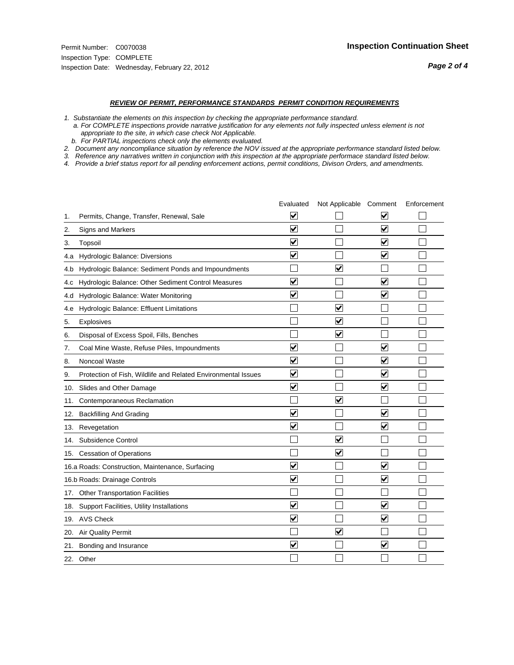#### *REVIEW OF PERMIT, PERFORMANCE STANDARDS PERMIT CONDITION REQUIREMENTS*

*1. Substantiate the elements on this inspection by checking the appropriate performance standard.*

 *a. For COMPLETE inspections provide narrative justification for any elements not fully inspected unless element is not appropriate to the site, in which case check Not Applicable.*

 *b. For PARTIAL inspections check only the elements evaluated.*

*2. Document any noncompliance situation by reference the NOV issued at the appropriate performance standard listed below.*

*3. Reference any narratives written in conjunction with this inspection at the appropriate performace standard listed below.*

*4. Provide a brief status report for all pending enforcement actions, permit conditions, Divison Orders, and amendments.*

|     |                                                               | Evaluated               | Not Applicable Comment  |                                 | Enforcement |
|-----|---------------------------------------------------------------|-------------------------|-------------------------|---------------------------------|-------------|
| 1.  | Permits, Change, Transfer, Renewal, Sale                      | V                       |                         | V                               |             |
| 2.  | Signs and Markers                                             | $\overline{\mathbf{v}}$ |                         | $\overline{\blacktriangledown}$ |             |
| 3.  | Topsoil                                                       | $\overline{\mathbf{v}}$ |                         | $\overline{\mathbf{v}}$         |             |
| 4.a | Hydrologic Balance: Diversions                                | ⊻                       |                         | $\checkmark$                    |             |
| 4.b | Hydrologic Balance: Sediment Ponds and Impoundments           |                         | V                       |                                 |             |
| 4.c | Hydrologic Balance: Other Sediment Control Measures           | $\overline{\mathbf{v}}$ |                         | $\overline{\mathsf{v}}$         |             |
| 4.d | Hydrologic Balance: Water Monitoring                          | $\overline{\mathbf{v}}$ |                         | $\overline{\mathbf{v}}$         |             |
| 4.e | Hydrologic Balance: Effluent Limitations                      |                         | $\overline{\mathbf{v}}$ |                                 |             |
| 5.  | <b>Explosives</b>                                             |                         | ☑                       |                                 |             |
| 6.  | Disposal of Excess Spoil, Fills, Benches                      |                         | ⊻                       |                                 |             |
| 7.  | Coal Mine Waste, Refuse Piles, Impoundments                   | $\blacktriangledown$    |                         | V                               |             |
| 8.  | Noncoal Waste                                                 | $\overline{\mathbf{v}}$ |                         | $\overline{\mathbf{v}}$         |             |
| 9.  | Protection of Fish, Wildlife and Related Environmental Issues | ⊽                       |                         | $\blacktriangledown$            |             |
| 10. | Slides and Other Damage                                       | $\blacktriangledown$    |                         | $\overline{\mathbf{v}}$         |             |
| 11. | Contemporaneous Reclamation                                   |                         | $\blacktriangledown$    |                                 |             |
| 12. | <b>Backfilling And Grading</b>                                | $\blacktriangledown$    |                         | $\blacktriangledown$            |             |
| 13. | Revegetation                                                  | $\overline{\mathbf{v}}$ |                         | $\blacktriangledown$            |             |
| 14. | Subsidence Control                                            |                         | $\blacktriangledown$    |                                 |             |
|     | 15. Cessation of Operations                                   |                         | $\blacktriangledown$    |                                 |             |
|     | 16.a Roads: Construction, Maintenance, Surfacing              | $\overline{\mathsf{v}}$ |                         | $\overline{\mathbf{v}}$         |             |
|     | 16.b Roads: Drainage Controls                                 | $\overline{\mathbf{v}}$ |                         | $\blacktriangledown$            |             |
| 17. | <b>Other Transportation Facilities</b>                        |                         |                         |                                 |             |
|     | 18. Support Facilities, Utility Installations                 | $\blacktriangledown$    |                         | V                               |             |
|     | 19. AVS Check                                                 | $\overline{\mathbf{v}}$ |                         | $\blacktriangledown$            |             |
| 20. | <b>Air Quality Permit</b>                                     |                         | $\blacktriangledown$    |                                 |             |
| 21. | Bonding and Insurance                                         | ⊽                       |                         | $\blacktriangledown$            |             |
|     | 22. Other                                                     |                         |                         |                                 |             |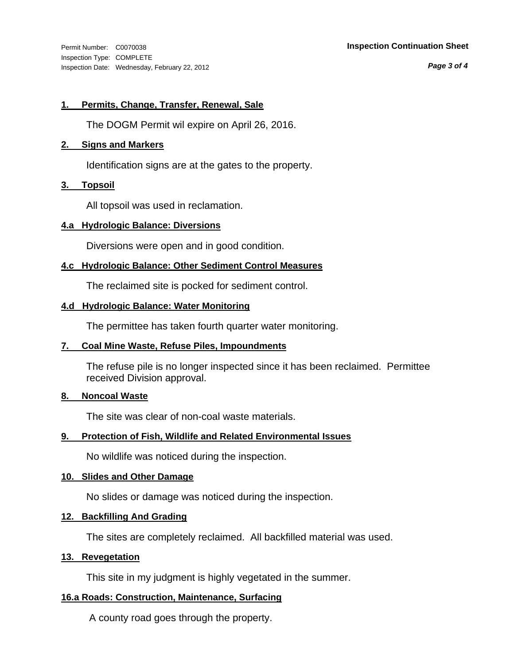Inspection Type: COMPLETE Inspection Date: Wednesday, February 22, 2012

#### Permit Number: C0070038 **Inspection Continuation Sheet**

*Page 3 of 4*

#### **1. Permits, Change, Transfer, Renewal, Sale**

The DOGM Permit wil expire on April 26, 2016.

#### **2. Signs and Markers**

Identification signs are at the gates to the property.

#### **3. Topsoil**

All topsoil was used in reclamation.

#### **4.a Hydrologic Balance: Diversions**

Diversions were open and in good condition.

#### **4.c Hydrologic Balance: Other Sediment Control Measures**

The reclaimed site is pocked for sediment control.

#### **4.d Hydrologic Balance: Water Monitoring**

The permittee has taken fourth quarter water monitoring.

#### **7. Coal Mine Waste, Refuse Piles, Impoundments**

The refuse pile is no longer inspected since it has been reclaimed. Permittee received Division approval.

#### **8. Noncoal Waste**

The site was clear of non-coal waste materials.

### **9. Protection of Fish, Wildlife and Related Environmental Issues**

No wildlife was noticed during the inspection.

#### **10. Slides and Other Damage**

No slides or damage was noticed during the inspection.

#### **12. Backfilling And Grading**

The sites are completely reclaimed. All backfilled material was used.

#### **13. Revegetation**

This site in my judgment is highly vegetated in the summer.

### **16.a Roads: Construction, Maintenance, Surfacing**

A county road goes through the property.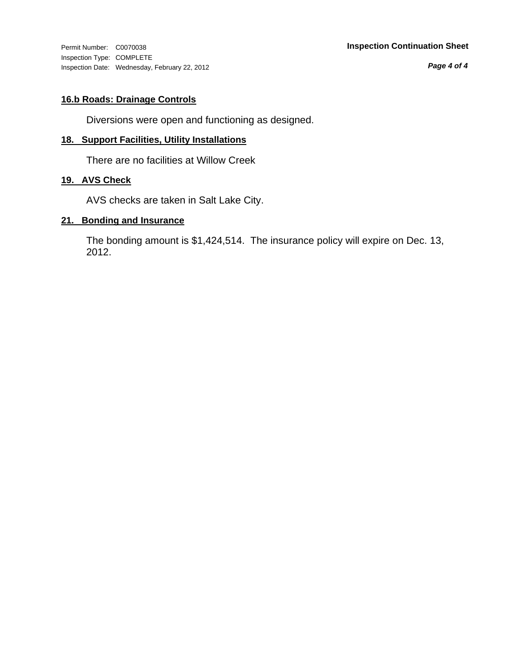Inspection Type: COMPLETE Inspection Date: Wednesday, February 22, 2012

*Page 4 of 4*

## **16.b Roads: Drainage Controls**

Diversions were open and functioning as designed.

### **18. Support Facilities, Utility Installations**

There are no facilities at Willow Creek

## **19. AVS Check**

AVS checks are taken in Salt Lake City.

#### **21. Bonding and Insurance**

The bonding amount is \$1,424,514. The insurance policy will expire on Dec. 13, 2012.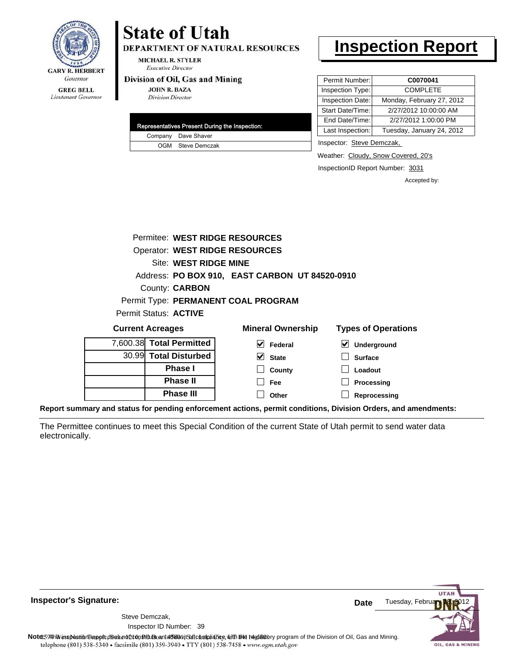

#### **GREG BELL** Lieutenant Governor

# **State of Utah**

**DEPARTMENT OF NATURAL RESOURCES** 

**MICHAEL R. STYLER Executive Director** 

#### Division of Oil, Gas and Mining

**JOHN R. BAZA Division Director** 

|  | Representatives Present During the Inspection: |
|--|------------------------------------------------|
|  | Company Dave Shaver                            |
|  | OGM Steve Demczak                              |

# **Inspection Report**

| Permit Number:   | C0070041                  |
|------------------|---------------------------|
| Inspection Type: | <b>COMPLETE</b>           |
| Inspection Date: | Monday, February 27, 2012 |
| Start Date/Time: | 2/27/2012 10:00:00 AM     |
| End Date/Time:   | 2/27/2012 1:00:00 PM      |
| Last Inspection: | Tuesday, January 24, 2012 |
|                  |                           |

Inspector: Steve Demczak,

Weather: Cloudy, Snow Covered, 20's

InspectionID Report Number: 3031

Accepted by:

|                              | Permitee: WEST RIDGE RESOURCES        |   |                                                |                            |
|------------------------------|---------------------------------------|---|------------------------------------------------|----------------------------|
|                              | <b>Operator: WEST RIDGE RESOURCES</b> |   |                                                |                            |
|                              | Site: WEST RIDGE MINE                 |   |                                                |                            |
|                              |                                       |   | Address: PO BOX 910, EAST CARBON UT 84520-0910 |                            |
|                              | County: <b>CARBON</b>                 |   |                                                |                            |
|                              | Permit Type: PERMANENT COAL PROGRAM   |   |                                                |                            |
| <b>Permit Status: ACTIVE</b> |                                       |   |                                                |                            |
| <b>Current Acreages</b>      |                                       |   | <b>Mineral Ownership</b>                       | <b>Types of Operations</b> |
|                              | 7,600.38 Total Permitted              | V | Federal                                        | Underground                |
|                              | 30.99 Total Disturbed                 |   | <b>State</b>                                   | <b>Surface</b>             |

**County Fee Other**

| 7,600.38 Total Permitted |
|--------------------------|
| 30.99 Total Disturbed    |
| <b>Phase I</b>           |
| <b>Phase II</b>          |
| <b>Phase III</b>         |

| $\triangledown$ Underground |
|-----------------------------|
| $\Box$ Surface              |
| $\Box$ Loadout              |

**Processing**

**Reprocessing**

**Report summary and status for pending enforcement actions, permit conditions, Division Orders, and amendments:**

The Permittee continues to meet this Special Condition of the current State of Utah permit to send water data electronically.



**Inspector's Signature:**

39 Inspector ID Number:Steve Demczak,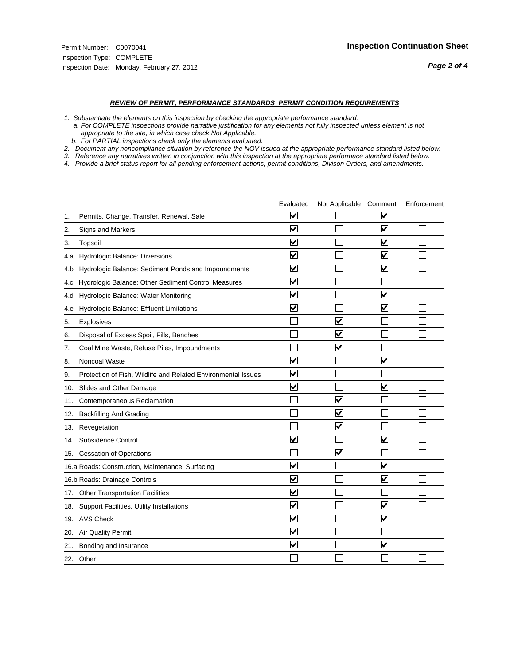#### *REVIEW OF PERMIT, PERFORMANCE STANDARDS PERMIT CONDITION REQUIREMENTS*

*1. Substantiate the elements on this inspection by checking the appropriate performance standard.*

 *a. For COMPLETE inspections provide narrative justification for any elements not fully inspected unless element is not appropriate to the site, in which case check Not Applicable.*

 *b. For PARTIAL inspections check only the elements evaluated.*

*2. Document any noncompliance situation by reference the NOV issued at the appropriate performance standard listed below.*

*3. Reference any narratives written in conjunction with this inspection at the appropriate performace standard listed below.*

*4. Provide a brief status report for all pending enforcement actions, permit conditions, Divison Orders, and amendments.*

|     |                                                               | Evaluated               | Not Applicable Comment  |                         | Enforcement |
|-----|---------------------------------------------------------------|-------------------------|-------------------------|-------------------------|-------------|
| 1.  | Permits, Change, Transfer, Renewal, Sale                      | $\overline{\mathsf{v}}$ |                         | $\overline{\mathbf{v}}$ |             |
| 2.  | Signs and Markers                                             | $\overline{\mathbf{v}}$ |                         | $\blacktriangledown$    |             |
| 3.  | Topsoil                                                       | $\overline{\mathbf{v}}$ |                         | $\overline{\mathbf{v}}$ |             |
| 4.a | Hydrologic Balance: Diversions                                | V                       |                         | V                       |             |
| 4.b | Hydrologic Balance: Sediment Ponds and Impoundments           | $\blacktriangledown$    |                         | $\blacktriangledown$    |             |
| 4.C | Hydrologic Balance: Other Sediment Control Measures           | $\overline{\mathbf{v}}$ |                         |                         |             |
| 4.d | Hydrologic Balance: Water Monitoring                          | $\overline{\mathbf{v}}$ |                         | $\blacktriangledown$    |             |
| 4.e | Hydrologic Balance: Effluent Limitations                      | $\overline{\mathbf{v}}$ |                         | $\blacktriangledown$    |             |
| 5.  | <b>Explosives</b>                                             |                         | ⊽                       |                         |             |
| 6.  | Disposal of Excess Spoil, Fills, Benches                      |                         | $\overline{\mathbf{v}}$ |                         |             |
| 7.  | Coal Mine Waste, Refuse Piles, Impoundments                   |                         | $\overline{\mathbf{v}}$ |                         |             |
| 8.  | Noncoal Waste                                                 | $\overline{\mathsf{v}}$ |                         | $\overline{\mathbf{v}}$ |             |
| 9.  | Protection of Fish, Wildlife and Related Environmental Issues | $\overline{\mathbf{v}}$ |                         |                         |             |
|     | 10. Slides and Other Damage                                   | $\overline{\mathbf{v}}$ |                         | $\overline{\mathbf{v}}$ |             |
| 11. | Contemporaneous Reclamation                                   |                         | $\blacktriangledown$    |                         |             |
| 12. | <b>Backfilling And Grading</b>                                |                         | $\overline{\mathbf{v}}$ |                         |             |
| 13. | Revegetation                                                  |                         | $\overline{\mathbf{v}}$ |                         |             |
| 14. | Subsidence Control                                            | $\overline{\mathbf{v}}$ |                         | $\blacktriangledown$    |             |
|     | 15. Cessation of Operations                                   |                         | $\blacktriangledown$    |                         |             |
|     | 16.a Roads: Construction, Maintenance, Surfacing              | $\overline{\mathsf{v}}$ |                         | $\overline{\mathbf{v}}$ |             |
|     | 16.b Roads: Drainage Controls                                 | $\overline{\mathsf{v}}$ |                         | $\overline{\mathbf{v}}$ |             |
| 17. | <b>Other Transportation Facilities</b>                        | $\overline{\mathbf{v}}$ |                         |                         |             |
| 18. | Support Facilities, Utility Installations                     | $\overline{\mathbf{v}}$ |                         | $\overline{\mathbf{v}}$ |             |
|     | 19. AVS Check                                                 | $\overline{\mathbf{v}}$ |                         | $\blacktriangledown$    |             |
| 20. | <b>Air Quality Permit</b>                                     | $\blacktriangledown$    |                         |                         |             |
| 21. | Bonding and Insurance                                         | $\overline{\mathbf{v}}$ |                         | $\blacktriangledown$    |             |
|     | 22. Other                                                     |                         |                         |                         |             |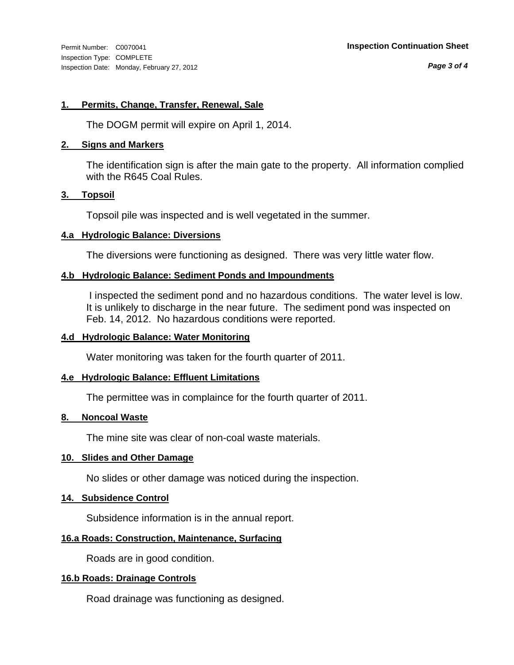*Page 3 of 4*

#### **1. Permits, Change, Transfer, Renewal, Sale**

The DOGM permit will expire on April 1, 2014.

#### **2. Signs and Markers**

The identification sign is after the main gate to the property. All information complied with the R645 Coal Rules.

#### **3. Topsoil**

Topsoil pile was inspected and is well vegetated in the summer.

#### **4.a Hydrologic Balance: Diversions**

The diversions were functioning as designed. There was very little water flow.

### **4.b Hydrologic Balance: Sediment Ponds and Impoundments**

 I inspected the sediment pond and no hazardous conditions. The water level is low. It is unlikely to discharge in the near future. The sediment pond was inspected on Feb. 14, 2012. No hazardous conditions were reported.

#### **4.d Hydrologic Balance: Water Monitoring**

Water monitoring was taken for the fourth quarter of 2011.

#### **4.e Hydrologic Balance: Effluent Limitations**

The permittee was in complaince for the fourth quarter of 2011.

#### **8. Noncoal Waste**

The mine site was clear of non-coal waste materials.

#### **10. Slides and Other Damage**

No slides or other damage was noticed during the inspection.

### **14. Subsidence Control**

Subsidence information is in the annual report.

### **16.a Roads: Construction, Maintenance, Surfacing**

Roads are in good condition.

#### **16.b Roads: Drainage Controls**

Road drainage was functioning as designed.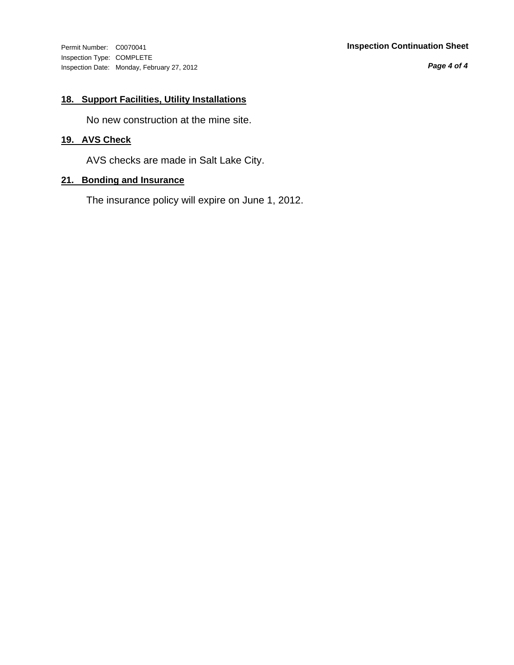Inspection Type: COMPLETE Inspection Date: Monday, February 27, 2012

#### Permit Number: C0070041 **Inspection Continuation Sheet**

*Page 4 of 4*

## **18. Support Facilities, Utility Installations**

No new construction at the mine site.

## **19. AVS Check**

AVS checks are made in Salt Lake City.

### **21. Bonding and Insurance**

The insurance policy will expire on June 1, 2012.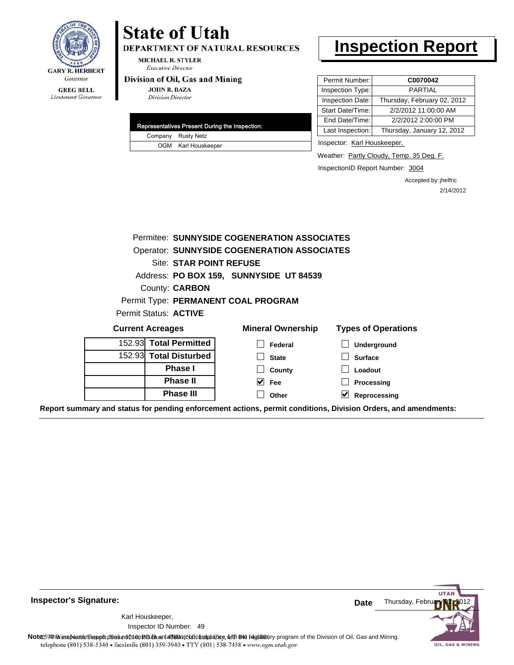

## **GREG BELL** Lieutenant Governor

# **State of Utah**

DEPARTMENT OF NATURAL RESOURCES

**MICHAEL R. STYLER Executive Director** 

#### Division of Oil, Gas and Mining

**JOHN R. BAZA Division Director** 

|  |  | Representatives Present During the Inspection: |
|--|--|------------------------------------------------|
|  |  | Company Rusty Netz                             |
|  |  | OGM Karl Houskeeper                            |

# **Inspection Report**

| Permit Number:   | C0070042                    |
|------------------|-----------------------------|
| Inspection Type: | PARTIAL                     |
| Inspection Date: | Thursday, February 02, 2012 |
| Start Date/Time: | 2/2/2012 11:00:00 AM        |
| End Date/Time:   | 2/2/2012 2:00:00 PM         |
| Last Inspection: | Thursday, January 12, 2012  |
|                  |                             |

Inspector: Karl Houskeeper,

Weather: Partly Cloudy, Temp. 35 Deg. F.

InspectionID Report Number: 3004

Accepted by: jhelfric 2/14/2012

|                                     | Permitee: SUNNYSIDE COGENERATION ASSOCIATES        |                            |
|-------------------------------------|----------------------------------------------------|----------------------------|
|                                     | <b>Operator: SUNNYSIDE COGENERATION ASSOCIATES</b> |                            |
| Site: STAR POINT REFUSE             |                                                    |                            |
|                                     | Address: PO BOX 159, SUNNYSIDE UT 84539            |                            |
| County: <b>CARBON</b>               |                                                    |                            |
| Permit Type: PERMANENT COAL PROGRAM |                                                    |                            |
| Permit Status: ACTIVE               |                                                    |                            |
|                                     |                                                    |                            |
| <b>Current Acreages</b>             | <b>Mineral Ownership</b>                           | <b>Types of Operations</b> |
| 152.93 Total Permitted              | Federal                                            | Underground                |
| 152.93 Total Disturbed              | <b>State</b>                                       | <b>Surface</b>             |
| <b>Phase I</b>                      | County                                             | Loadout                    |
| <b>Phase II</b>                     | $\vee$ Fee                                         | Processing                 |



**Inspector's Signature:**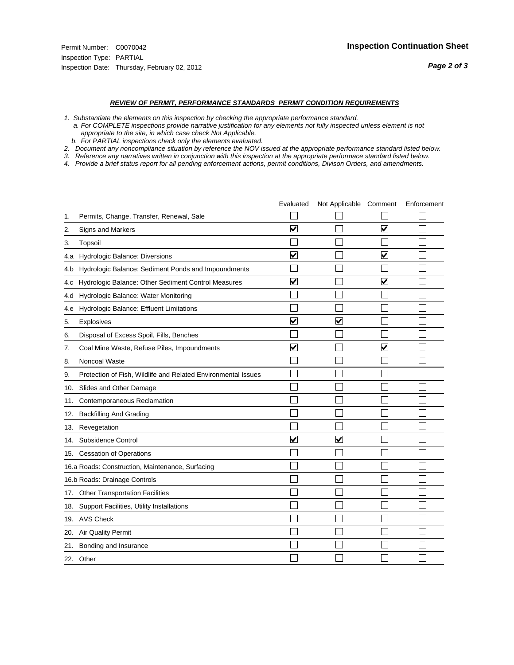#### *REVIEW OF PERMIT, PERFORMANCE STANDARDS PERMIT CONDITION REQUIREMENTS*

- *1. Substantiate the elements on this inspection by checking the appropriate performance standard.*
- *a. For COMPLETE inspections provide narrative justification for any elements not fully inspected unless element is not appropriate to the site, in which case check Not Applicable.*
- *b. For PARTIAL inspections check only the elements evaluated.*
- *2. Document any noncompliance situation by reference the NOV issued at the appropriate performance standard listed below.*
- *3. Reference any narratives written in conjunction with this inspection at the appropriate performace standard listed below.*
- *4. Provide a brief status report for all pending enforcement actions, permit conditions, Divison Orders, and amendments.*

|     |                                                               | Evaluated               | Not Applicable Comment  |                         | Enforcement |
|-----|---------------------------------------------------------------|-------------------------|-------------------------|-------------------------|-------------|
| 1.  | Permits, Change, Transfer, Renewal, Sale                      |                         |                         |                         |             |
| 2.  | <b>Signs and Markers</b>                                      | $\overline{\mathbf{v}}$ |                         | $\overline{\mathbf{v}}$ |             |
| 3.  | Topsoil                                                       |                         |                         |                         |             |
| 4.a | Hydrologic Balance: Diversions                                | $\blacktriangledown$    |                         | $\blacktriangledown$    |             |
| 4.b | Hydrologic Balance: Sediment Ponds and Impoundments           |                         |                         |                         |             |
| 4.c | Hydrologic Balance: Other Sediment Control Measures           | $\overline{\mathbf{v}}$ |                         | $\blacktriangledown$    |             |
| 4.d | Hydrologic Balance: Water Monitoring                          |                         |                         |                         |             |
| 4.e | Hydrologic Balance: Effluent Limitations                      |                         |                         |                         |             |
| 5.  | <b>Explosives</b>                                             | $\overline{\mathbf{v}}$ | $\overline{\mathbf{v}}$ |                         |             |
| 6.  | Disposal of Excess Spoil, Fills, Benches                      |                         |                         |                         |             |
| 7.  | Coal Mine Waste, Refuse Piles, Impoundments                   | $\overline{\mathbf{v}}$ |                         | $\blacktriangledown$    |             |
| 8.  | Noncoal Waste                                                 |                         |                         |                         |             |
| 9.  | Protection of Fish, Wildlife and Related Environmental Issues |                         |                         |                         |             |
|     | 10. Slides and Other Damage                                   |                         |                         |                         |             |
| 11. | Contemporaneous Reclamation                                   |                         |                         |                         |             |
| 12. | <b>Backfilling And Grading</b>                                |                         |                         |                         |             |
| 13. | Revegetation                                                  |                         |                         |                         |             |
| 14. | Subsidence Control                                            | $\overline{\mathbf{v}}$ | ✓                       |                         |             |
|     | 15. Cessation of Operations                                   |                         |                         |                         |             |
|     | 16.a Roads: Construction, Maintenance, Surfacing              |                         |                         |                         |             |
|     | 16.b Roads: Drainage Controls                                 |                         |                         |                         |             |
| 17. | <b>Other Transportation Facilities</b>                        |                         |                         |                         |             |
| 18. | Support Facilities, Utility Installations                     |                         |                         |                         |             |
|     | 19. AVS Check                                                 |                         |                         |                         |             |
| 20. | Air Quality Permit                                            |                         |                         |                         |             |
| 21. | Bonding and Insurance                                         |                         |                         |                         |             |
|     | 22. Other                                                     |                         |                         |                         |             |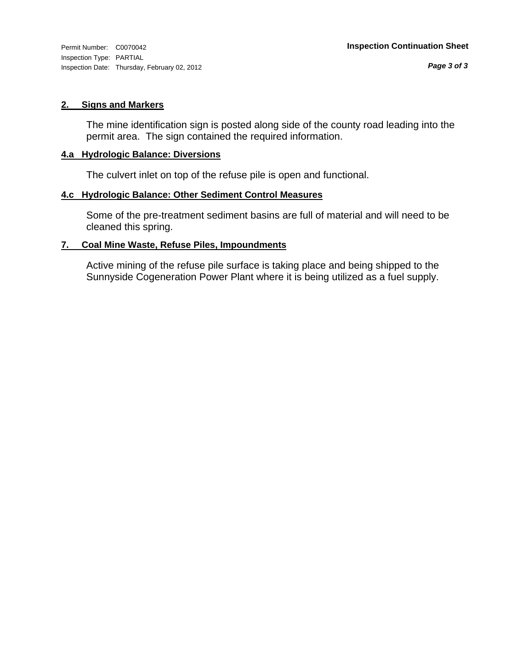Inspection Type: PARTIAL Inspection Date: Thursday, February 02, 2012

#### **2. Signs and Markers**

The mine identification sign is posted along side of the county road leading into the permit area. The sign contained the required information.

#### **4.a Hydrologic Balance: Diversions**

The culvert inlet on top of the refuse pile is open and functional.

### **4.c Hydrologic Balance: Other Sediment Control Measures**

Some of the pre-treatment sediment basins are full of material and will need to be cleaned this spring.

#### **7. Coal Mine Waste, Refuse Piles, Impoundments**

Active mining of the refuse pile surface is taking place and being shipped to the Sunnyside Cogeneration Power Plant where it is being utilized as a fuel supply.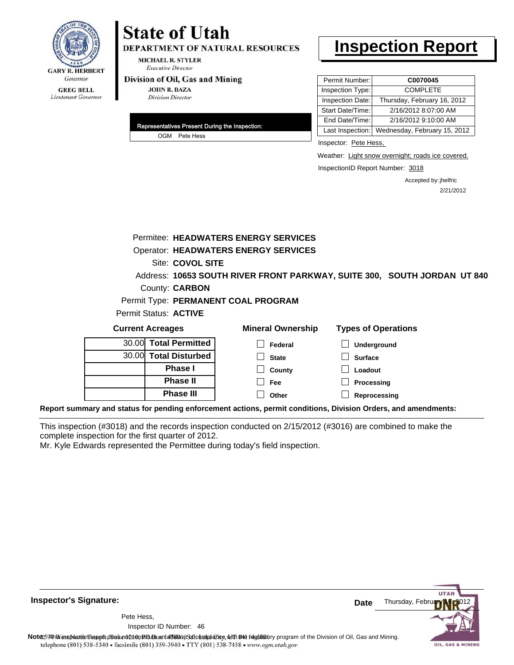

# **State of Utah**

DEPARTMENT OF NATURAL RESOURCES

**MICHAEL R. STYLER Executive Director** 

#### Division of Oil, Gas and Mining

**JOHN R. BAZA Division Director** 

| Representatives Present During the Inspection: |
|------------------------------------------------|
| OGM Pete Hess                                  |

# **Inspection Report**

| Permit Number:   | C0070045                     |
|------------------|------------------------------|
| Inspection Type: | <b>COMPLETE</b>              |
| Inspection Date: | Thursday, February 16, 2012  |
| Start Date/Time: | 2/16/2012 8:07:00 AM         |
| End Date/Time:   | 2/16/2012 9:10:00 AM         |
| Last Inspection: | Wednesday, February 15, 2012 |

Inspector: Pete Hess,

Weather: Light snow overnight; roads ice covered.

InspectionID Report Number: 3018

Accepted by: jhelfric 2/21/2012

|                              |                       | Permitee: HEADWATERS ENERGY SERVICES        |                                                                                                                |
|------------------------------|-----------------------|---------------------------------------------|----------------------------------------------------------------------------------------------------------------|
|                              |                       | <b>Operator: HEADWATERS ENERGY SERVICES</b> |                                                                                                                |
|                              | Site: COVOL SITE      |                                             |                                                                                                                |
|                              |                       |                                             | Address: 10653 SOUTH RIVER FRONT PARKWAY, SUITE 300, SOUTH JORDAN UT 840                                       |
|                              | County: <b>CARBON</b> |                                             |                                                                                                                |
|                              |                       | Permit Type: PERMANENT COAL PROGRAM         |                                                                                                                |
| <b>Permit Status: ACTIVE</b> |                       |                                             |                                                                                                                |
| <b>Current Acreages</b>      |                       | <b>Mineral Ownership</b>                    | <b>Types of Operations</b>                                                                                     |
|                              | 30.00 Total Permitted | Federal                                     | <b>Underground</b>                                                                                             |
|                              | 30.00 Total Disturbed | <b>State</b>                                | <b>Surface</b>                                                                                                 |
|                              | <b>Phase I</b>        | County                                      | Loadout                                                                                                        |
|                              | <b>Phase II</b>       | Fee                                         | Processing                                                                                                     |
|                              | <b>Phase III</b>      | Other                                       | Reprocessing                                                                                                   |
|                              |                       |                                             | Report summary and status for pending enforcement actions, permit conditions, Division Orders, and amendments: |

This inspection (#3018) and the records inspection conducted on 2/15/2012 (#3016) are combined to make the complete inspection for the first quarter of 2012.

Mr. Kyle Edwards represented the Permittee during today's field inspection.

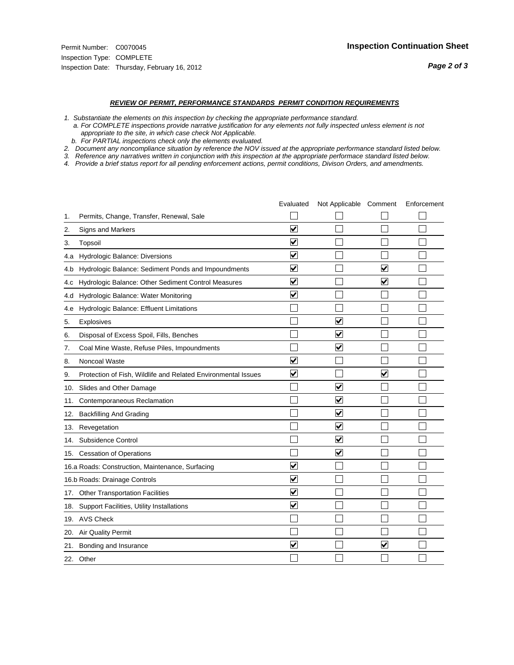#### *REVIEW OF PERMIT, PERFORMANCE STANDARDS PERMIT CONDITION REQUIREMENTS*

*1. Substantiate the elements on this inspection by checking the appropriate performance standard.*

 *a. For COMPLETE inspections provide narrative justification for any elements not fully inspected unless element is not appropriate to the site, in which case check Not Applicable.*

 *b. For PARTIAL inspections check only the elements evaluated.*

*2. Document any noncompliance situation by reference the NOV issued at the appropriate performance standard listed below.*

*3. Reference any narratives written in conjunction with this inspection at the appropriate performace standard listed below.*

*4. Provide a brief status report for all pending enforcement actions, permit conditions, Divison Orders, and amendments.*

|     |                                                               | Evaluated               | Not Applicable Comment          |                         | Enforcement |
|-----|---------------------------------------------------------------|-------------------------|---------------------------------|-------------------------|-------------|
| 1.  | Permits, Change, Transfer, Renewal, Sale                      |                         |                                 |                         |             |
| 2.  | <b>Signs and Markers</b>                                      | $\overline{\mathbf{v}}$ |                                 |                         |             |
| 3.  | Topsoil                                                       | $\overline{\mathbf{v}}$ |                                 |                         |             |
| 4.a | Hydrologic Balance: Diversions                                | ⊻                       |                                 |                         |             |
| 4.b | Hydrologic Balance: Sediment Ponds and Impoundments           | ⊻                       |                                 | V                       |             |
| 4.C | Hydrologic Balance: Other Sediment Control Measures           | $\overline{\mathbf{v}}$ |                                 | $\overline{\mathbf{v}}$ |             |
| 4.d | Hydrologic Balance: Water Monitoring                          | $\overline{\mathbf{v}}$ |                                 |                         |             |
| 4.e | Hydrologic Balance: Effluent Limitations                      |                         |                                 |                         |             |
| 5.  | Explosives                                                    |                         | ⊽                               |                         |             |
| 6.  | Disposal of Excess Spoil, Fills, Benches                      |                         | ⊽                               |                         |             |
| 7.  | Coal Mine Waste, Refuse Piles, Impoundments                   |                         | $\blacktriangledown$            |                         |             |
| 8.  | Noncoal Waste                                                 | $\overline{\mathsf{v}}$ |                                 |                         |             |
| 9.  | Protection of Fish, Wildlife and Related Environmental Issues | $\overline{\mathbf{v}}$ |                                 | $\blacktriangledown$    |             |
| 10. | Slides and Other Damage                                       |                         | $\overline{\mathbf{v}}$         |                         |             |
| 11. | Contemporaneous Reclamation                                   |                         | $\overline{\mathsf{v}}$         |                         |             |
| 12. | <b>Backfilling And Grading</b>                                |                         | $\overline{\mathbf{v}}$         |                         |             |
| 13. | Revegetation                                                  |                         | $\overline{\blacktriangledown}$ |                         |             |
| 14. | Subsidence Control                                            |                         | ✓                               |                         |             |
|     | 15. Cessation of Operations                                   |                         | $\blacktriangledown$            |                         |             |
|     | 16.a Roads: Construction, Maintenance, Surfacing              | $\overline{\mathsf{v}}$ |                                 |                         |             |
|     | 16.b Roads: Drainage Controls                                 | $\overline{\mathbf{v}}$ |                                 |                         |             |
|     | 17. Other Transportation Facilities                           | $\overline{\mathbf{v}}$ |                                 |                         |             |
| 18. | Support Facilities, Utility Installations                     | $\overline{\mathbf{v}}$ |                                 |                         |             |
|     | 19. AVS Check                                                 |                         |                                 |                         |             |
| 20. | <b>Air Quality Permit</b>                                     |                         |                                 |                         |             |
| 21. | Bonding and Insurance                                         | $\overline{\mathbf{v}}$ |                                 | $\overline{\mathbf{v}}$ |             |
|     | 22. Other                                                     |                         |                                 |                         |             |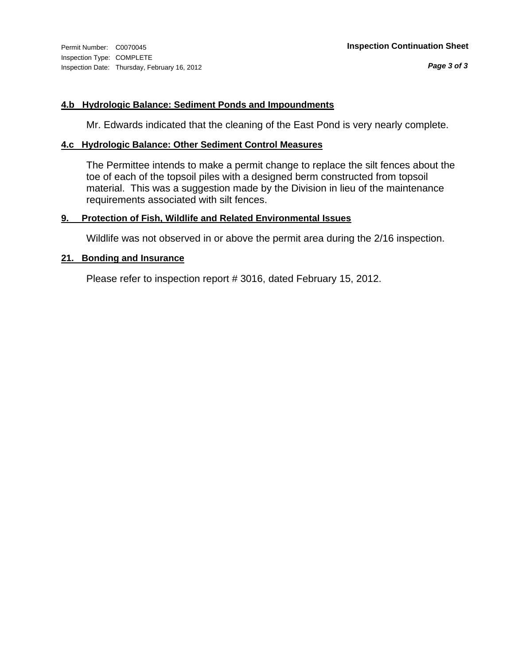#### **4.b Hydrologic Balance: Sediment Ponds and Impoundments**

Mr. Edwards indicated that the cleaning of the East Pond is very nearly complete.

#### **4.c Hydrologic Balance: Other Sediment Control Measures**

The Permittee intends to make a permit change to replace the silt fences about the toe of each of the topsoil piles with a designed berm constructed from topsoil material. This was a suggestion made by the Division in lieu of the maintenance requirements associated with silt fences.

### **9. Protection of Fish, Wildlife and Related Environmental Issues**

Wildlife was not observed in or above the permit area during the 2/16 inspection.

#### **21. Bonding and Insurance**

Please refer to inspection report # 3016, dated February 15, 2012.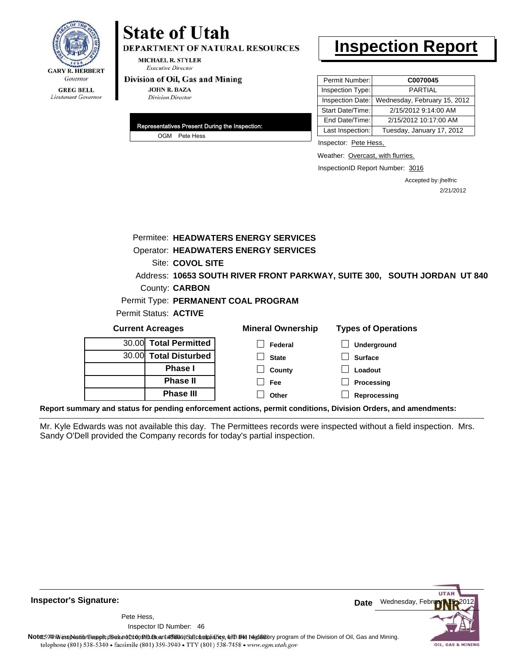

## **State of Utah**

DEPARTMENT OF NATURAL RESOURCES

**MICHAEL R. STYLER Executive Director** 

#### Division of Oil, Gas and Mining

**JOHN R. BAZA Division Director** 

| Representatives Present During the Inspection: |
|------------------------------------------------|
| OGM Pete Hess                                  |

## **Inspection Report**

| Permit Number:   | C0070045                     |
|------------------|------------------------------|
| Inspection Type: | <b>PARTIAL</b>               |
| Inspection Date: | Wednesday, February 15, 2012 |
| Start Date/Time: | 2/15/2012 9:14:00 AM         |
| End Date/Time:   | 2/15/2012 10:17:00 AM        |
| Last Inspection: | Tuesday, January 17, 2012    |

Inspector: Pete Hess,

Weather: Overcast, with flurries.

InspectionID Report Number: 3016

Accepted by: jhelfric 2/21/2012

|                         |                        | Permitee: HEADWATERS ENERGY SERVICES        |                                                                                                                |
|-------------------------|------------------------|---------------------------------------------|----------------------------------------------------------------------------------------------------------------|
|                         |                        | <b>Operator: HEADWATERS ENERGY SERVICES</b> |                                                                                                                |
|                         | Site: COVOL SITE       |                                             |                                                                                                                |
|                         |                        |                                             | Address: 10653 SOUTH RIVER FRONT PARKWAY, SUITE 300, SOUTH JORDAN UT 840                                       |
|                         | County: <b>CARBON</b>  |                                             |                                                                                                                |
|                         |                        | Permit Type: PERMANENT COAL PROGRAM         |                                                                                                                |
| Permit Status: ACTIVE   |                        |                                             |                                                                                                                |
| <b>Current Acreages</b> |                        | <b>Mineral Ownership</b>                    | <b>Types of Operations</b>                                                                                     |
|                         | 30.00 Total Permitted  | Federal                                     | Underground                                                                                                    |
| 30.00                   | <b>Total Disturbed</b> | <b>State</b>                                | <b>Surface</b>                                                                                                 |
|                         | <b>Phase I</b>         | County                                      | Loadout                                                                                                        |
|                         | <b>Phase II</b>        | Fee                                         | Processing                                                                                                     |
|                         | <b>Phase III</b>       | Other                                       | Reprocessing                                                                                                   |
|                         |                        |                                             | Report summary and status for pending enforcement actions, permit conditions, Division Orders, and amendments: |

Mr. Kyle Edwards was not available this day. The Permittees records were inspected without a field inspection. Mrs. Sandy O'Dell provided the Company records for today's partial inspection.



**Inspector's Signature:**

46 Inspector ID Number:Pete Hess,

Note: This inspection report does not constitute and affidavitor compliance, with the regulatory program of the Division of Oil, Gas and Mining. telephone (801) 538-5340 · facsimile (801) 359-3940 · TTY (801) 538-7458 · www.ogm.utah.gov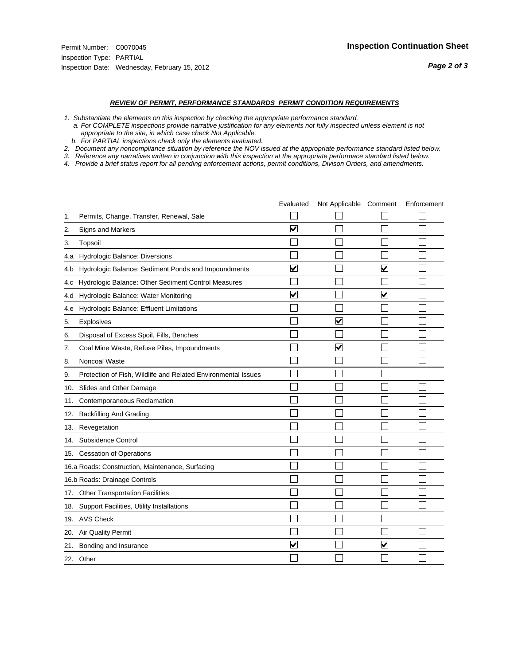#### *REVIEW OF PERMIT, PERFORMANCE STANDARDS PERMIT CONDITION REQUIREMENTS*

*1. Substantiate the elements on this inspection by checking the appropriate performance standard.*

 *a. For COMPLETE inspections provide narrative justification for any elements not fully inspected unless element is not appropriate to the site, in which case check Not Applicable.*

 *b. For PARTIAL inspections check only the elements evaluated.*

*2. Document any noncompliance situation by reference the NOV issued at the appropriate performance standard listed below.*

*3. Reference any narratives written in conjunction with this inspection at the appropriate performace standard listed below.*

|     |                                                               | Evaluated               | Not Applicable Comment  |                      | Enforcement |
|-----|---------------------------------------------------------------|-------------------------|-------------------------|----------------------|-------------|
| 1.  | Permits, Change, Transfer, Renewal, Sale                      |                         |                         |                      |             |
| 2.  | Signs and Markers                                             | $\overline{\mathbf{v}}$ |                         |                      |             |
| 3.  | Topsoil                                                       |                         |                         |                      |             |
| 4.a | Hydrologic Balance: Diversions                                |                         |                         |                      |             |
| 4.b | Hydrologic Balance: Sediment Ponds and Impoundments           | $\blacktriangledown$    |                         | V                    |             |
| 4.C | Hydrologic Balance: Other Sediment Control Measures           |                         |                         |                      |             |
| 4.d | Hydrologic Balance: Water Monitoring                          | $\overline{\mathbf{v}}$ |                         | $\blacktriangledown$ |             |
| 4.e | Hydrologic Balance: Effluent Limitations                      |                         |                         |                      |             |
| 5.  | Explosives                                                    |                         | $\overline{\mathbf{v}}$ |                      |             |
| 6.  | Disposal of Excess Spoil, Fills, Benches                      |                         |                         |                      |             |
| 7.  | Coal Mine Waste, Refuse Piles, Impoundments                   |                         | $\overline{\mathbf{v}}$ |                      |             |
| 8.  | Noncoal Waste                                                 |                         |                         |                      |             |
| 9.  | Protection of Fish, Wildlife and Related Environmental Issues |                         |                         |                      |             |
| 10. | Slides and Other Damage                                       |                         |                         |                      |             |
| 11. | Contemporaneous Reclamation                                   |                         |                         |                      |             |
| 12. | <b>Backfilling And Grading</b>                                |                         |                         |                      |             |
| 13. | Revegetation                                                  |                         |                         |                      |             |
| 14. | Subsidence Control                                            |                         |                         |                      |             |
|     | 15. Cessation of Operations                                   |                         |                         |                      |             |
|     | 16.a Roads: Construction, Maintenance, Surfacing              |                         |                         |                      |             |
|     | 16.b Roads: Drainage Controls                                 |                         |                         |                      |             |
| 17. | <b>Other Transportation Facilities</b>                        |                         |                         |                      |             |
| 18. | Support Facilities, Utility Installations                     |                         |                         |                      |             |
|     | 19. AVS Check                                                 |                         |                         |                      |             |
| 20. | <b>Air Quality Permit</b>                                     |                         |                         |                      |             |
| 21. | Bonding and Insurance                                         | $\overline{\mathbf{v}}$ |                         | $\blacktriangledown$ |             |
|     | 22. Other                                                     |                         |                         |                      |             |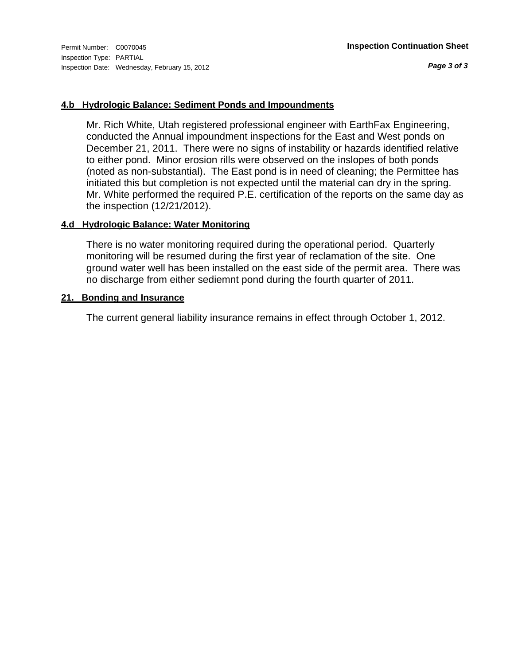### **4.b Hydrologic Balance: Sediment Ponds and Impoundments**

Mr. Rich White, Utah registered professional engineer with EarthFax Engineering, conducted the Annual impoundment inspections for the East and West ponds on December 21, 2011. There were no signs of instability or hazards identified relative to either pond. Minor erosion rills were observed on the inslopes of both ponds (noted as non-substantial). The East pond is in need of cleaning; the Permittee has initiated this but completion is not expected until the material can dry in the spring. Mr. White performed the required P.E. certification of the reports on the same day as the inspection (12/21/2012).

### **4.d Hydrologic Balance: Water Monitoring**

There is no water monitoring required during the operational period. Quarterly monitoring will be resumed during the first year of reclamation of the site. One ground water well has been installed on the east side of the permit area. There was no discharge from either sediemnt pond during the fourth quarter of 2011.

#### **21. Bonding and Insurance**

The current general liability insurance remains in effect through October 1, 2012.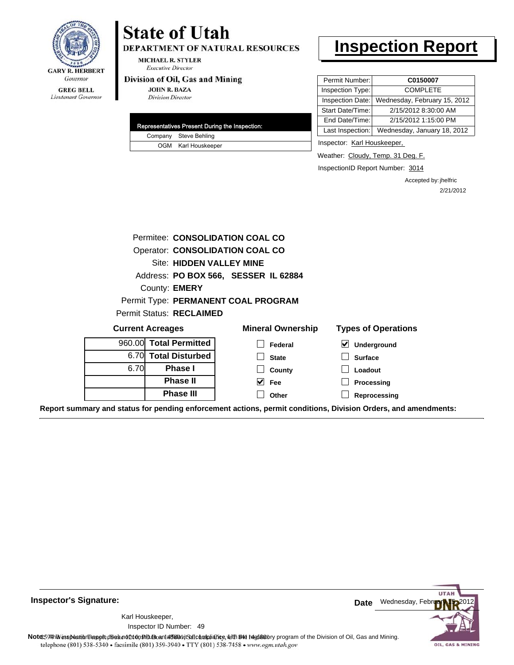

#### **GREG BELL** Lieutenant Governor

# **State of Utah**

DEPARTMENT OF NATURAL RESOURCES

**MICHAEL R. STYLER Executive Director** 

#### Division of Oil, Gas and Mining

**JOHN R. BAZA Division Director** 

| Representatives Present During the Inspection: |
|------------------------------------------------|
| Company Steve Behling                          |
| OGM Karl Houskeeper                            |

## **Inspection Report**

| Permit Number:   | C0150007                     |
|------------------|------------------------------|
| Inspection Type: | <b>COMPLETE</b>              |
| Inspection Date: | Wednesday, February 15, 2012 |
| Start Date/Time: | 2/15/2012 8:30:00 AM         |
| End Date/Time:   | 2/15/2012 1:15:00 PM         |
| Last Inspection: | Wednesday, January 18, 2012  |

Inspector: Karl Houskeeper,

Weather: Cloudy, Temp. 31 Deg. F.

InspectionID Report Number: 3014

Accepted by: jhelfric 2/21/2012

|                         |                                 | Permitee: CONSOLIDATION COAL CO      |                                                                                                                |
|-------------------------|---------------------------------|--------------------------------------|----------------------------------------------------------------------------------------------------------------|
|                         |                                 | Operator: CONSOLIDATION COAL CO      |                                                                                                                |
|                         | Site: HIDDEN VALLEY MINE        |                                      |                                                                                                                |
|                         |                                 | Address: PO BOX 566, SESSER IL 62884 |                                                                                                                |
|                         | County: <b>EMERY</b>            |                                      |                                                                                                                |
|                         |                                 | Permit Type: PERMANENT COAL PROGRAM  |                                                                                                                |
|                         | <b>Permit Status: RECLAIMED</b> |                                      |                                                                                                                |
| <b>Current Acreages</b> |                                 | <b>Mineral Ownership</b>             | <b>Types of Operations</b>                                                                                     |
|                         | 960.00 Total Permitted          | Federal                              | ⊻<br>Underground                                                                                               |
|                         | 6.70 Total Disturbed            | <b>State</b>                         | <b>Surface</b>                                                                                                 |
| 6.70                    | <b>Phase I</b>                  | County                               | Loadout                                                                                                        |
|                         | <b>Phase II</b>                 | $\vee$ Fee                           | Processing                                                                                                     |
|                         | <b>Phase III</b>                | Other                                | Reprocessing                                                                                                   |
|                         |                                 |                                      | Report summary and status for pending enforcement actions, permit conditions, Division Orders, and amendments: |

**Inspector's Signature:**

49 Inspector ID Number:Karl Houskeeper,



**Note**: **59HhV** inspection report does not 260n Studio and affidavit Suite and suith the deptatory program of the Division of Oil, Gas and Mining.<br>telephone (801) 538-5340 • facsimile (801) 359-3940 • TTY (801) 538-7458 •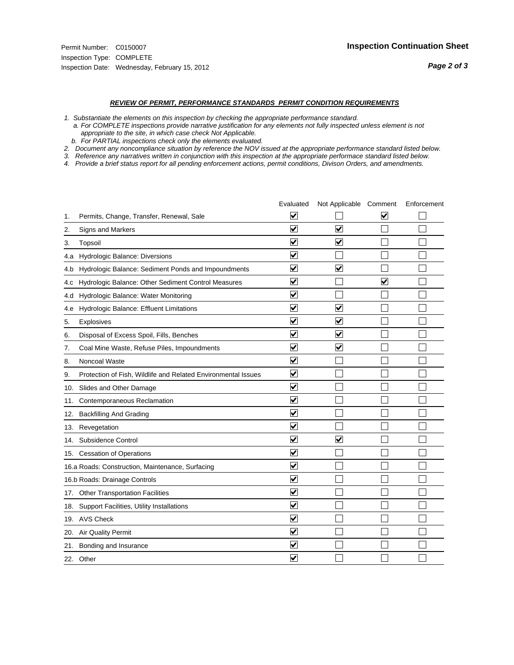#### *REVIEW OF PERMIT, PERFORMANCE STANDARDS PERMIT CONDITION REQUIREMENTS*

*1. Substantiate the elements on this inspection by checking the appropriate performance standard.*

 *a. For COMPLETE inspections provide narrative justification for any elements not fully inspected unless element is not appropriate to the site, in which case check Not Applicable.*

 *b. For PARTIAL inspections check only the elements evaluated.*

*2. Document any noncompliance situation by reference the NOV issued at the appropriate performance standard listed below.*

*3. Reference any narratives written in conjunction with this inspection at the appropriate performace standard listed below.*

|     |                                                               | Evaluated               | Not Applicable Comment          |                      | Enforcement |
|-----|---------------------------------------------------------------|-------------------------|---------------------------------|----------------------|-------------|
| 1.  | Permits, Change, Transfer, Renewal, Sale                      | $\overline{\mathsf{v}}$ |                                 | V                    |             |
| 2.  | Signs and Markers                                             | $\overline{\mathbf{v}}$ | $\overline{\mathbf{v}}$         |                      |             |
| 3.  | Topsoil                                                       | $\overline{\mathbf{v}}$ | $\overline{\blacktriangledown}$ |                      |             |
| 4.a | Hydrologic Balance: Diversions                                | $\blacktriangledown$    |                                 |                      |             |
| 4.b | Hydrologic Balance: Sediment Ponds and Impoundments           | $\blacktriangledown$    | ⊽                               |                      |             |
| 4.C | Hydrologic Balance: Other Sediment Control Measures           | $\overline{\mathbf{v}}$ |                                 | $\blacktriangledown$ |             |
| 4.d | Hydrologic Balance: Water Monitoring                          | $\overline{\mathbf{v}}$ |                                 |                      |             |
| 4.e | Hydrologic Balance: Effluent Limitations                      | $\overline{\mathbf{v}}$ | $\overline{\mathbf{v}}$         |                      |             |
| 5.  | Explosives                                                    | $\overline{\mathbf{v}}$ | $\overline{\mathbf{v}}$         |                      |             |
| 6.  | Disposal of Excess Spoil, Fills, Benches                      | $\blacktriangledown$    | $\blacktriangledown$            |                      |             |
| 7.  | Coal Mine Waste, Refuse Piles, Impoundments                   | $\overline{\mathsf{v}}$ | $\overline{\mathbf{v}}$         |                      |             |
| 8.  | Noncoal Waste                                                 | $\overline{\mathbf{v}}$ |                                 |                      |             |
| 9.  | Protection of Fish, Wildlife and Related Environmental Issues | $\overline{\mathbf{v}}$ |                                 |                      |             |
|     | 10. Slides and Other Damage                                   | $\overline{\mathbf{v}}$ |                                 |                      |             |
| 11. | Contemporaneous Reclamation                                   | ⊽                       |                                 |                      |             |
| 12. | <b>Backfilling And Grading</b>                                | $\overline{\mathbf{v}}$ |                                 |                      |             |
| 13. | Revegetation                                                  | $\overline{\mathbf{v}}$ |                                 |                      |             |
| 14. | Subsidence Control                                            | $\overline{\mathbf{v}}$ | $\overline{\mathbf{v}}$         |                      |             |
|     | 15. Cessation of Operations                                   | $\overline{\mathbf{v}}$ |                                 |                      |             |
|     | 16.a Roads: Construction, Maintenance, Surfacing              | $\blacktriangledown$    |                                 |                      |             |
|     | 16.b Roads: Drainage Controls                                 | $\overline{\mathbf{v}}$ |                                 |                      |             |
| 17. | <b>Other Transportation Facilities</b>                        | $\overline{\mathbf{v}}$ |                                 |                      |             |
| 18. | Support Facilities, Utility Installations                     | $\overline{\mathbf{v}}$ |                                 |                      |             |
|     | 19. AVS Check                                                 | $\overline{\mathbf{v}}$ |                                 |                      |             |
| 20. | <b>Air Quality Permit</b>                                     | $\checkmark$            |                                 |                      |             |
| 21. | Bonding and Insurance                                         | $\blacktriangledown$    |                                 |                      |             |
|     | 22. Other                                                     | $\overline{\mathbf{v}}$ |                                 |                      |             |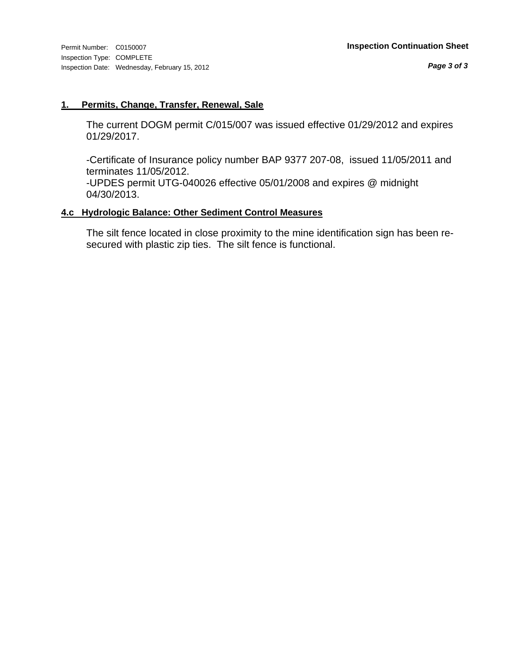#### **1. Permits, Change, Transfer, Renewal, Sale**

The current DOGM permit C/015/007 was issued effective 01/29/2012 and expires 01/29/2017.

-Certificate of Insurance policy number BAP 9377 207-08, issued 11/05/2011 and terminates 11/05/2012.

-UPDES permit UTG-040026 effective 05/01/2008 and expires @ midnight 04/30/2013.

#### **4.c Hydrologic Balance: Other Sediment Control Measures**

The silt fence located in close proximity to the mine identification sign has been resecured with plastic zip ties. The silt fence is functional.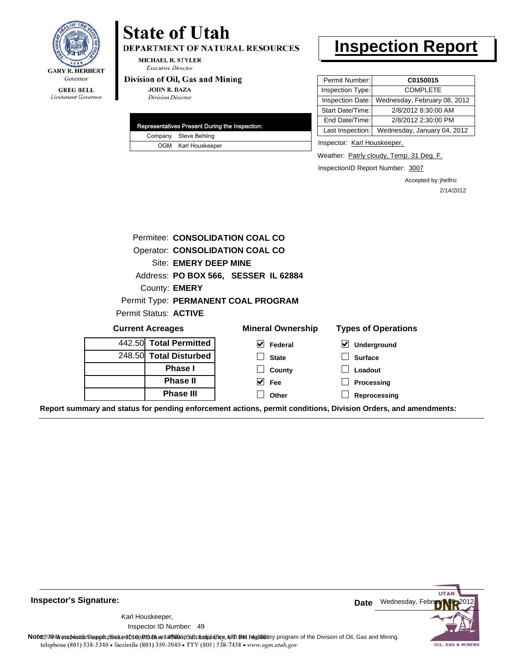

### **GREG BELL**

Lieutenant Governor

## **State of Utah**

DEPARTMENT OF NATURAL RESOURCES

**MICHAEL R. STYLER Executive Director** 

#### Division of Oil, Gas and Mining

**JOHN R. BAZA Division Director** 

| Representatives Present During the Inspection: |
|------------------------------------------------|
| Company Steve Behling                          |
| OGM Karl Houskeeper                            |

## **Inspection Report**

| Permit Number:   | C0150015                     |
|------------------|------------------------------|
| Inspection Type: | <b>COMPLETE</b>              |
| Inspection Date: | Wednesday, February 08, 2012 |
| Start Date/Time: | 2/8/2012 8:30:00 AM          |
| End Date/Time:   | 2/8/2012 2:30:00 PM          |
| Last Inspection: | Wednesday, January 04, 2012  |

Inspector: Karl Houskeeper,

Weather: **Patrly cloudy, Temp. 31 Deg. F.** 

InspectionID Report Number: 3007

Accepted by: jhelfric 2/14/2012

|                              |                         | Permitee: CONSOLIDATION COAL CO        |                                                 |  |  |
|------------------------------|-------------------------|----------------------------------------|-------------------------------------------------|--|--|
|                              |                         | <b>Operator: CONSOLIDATION COAL CO</b> |                                                 |  |  |
| Site: EMERY DEEP MINE        |                         |                                        |                                                 |  |  |
|                              |                         | Address: PO BOX 566, SESSER IL 62884   |                                                 |  |  |
|                              | County: <b>EMERY</b>    |                                        |                                                 |  |  |
|                              |                         | Permit Type: PERMANENT COAL PROGRAM    |                                                 |  |  |
| Permit Status: <b>ACTIVE</b> |                         |                                        |                                                 |  |  |
|                              |                         |                                        |                                                 |  |  |
|                              | <b>Current Acreages</b> | <b>Mineral Ownership</b>               | <b>Types of Operations</b>                      |  |  |
|                              | 442.50 Total Permitted  | M<br>Federal                           | $\boldsymbol{\mathsf{v}}$<br><b>Underground</b> |  |  |
|                              | 248.50 Total Disturbed  | <b>State</b>                           | <b>Surface</b>                                  |  |  |
|                              | <b>Phase I</b>          | County                                 | Loadout                                         |  |  |
|                              | <b>Phase II</b>         | <b>Fee</b>                             | <b>Processing</b>                               |  |  |
|                              | <b>Phase III</b>        | Other                                  | Reprocessing                                    |  |  |

**Report summary and status for pending enforcement actions, permit conditions, Division Orders, and amendments:**

**Inspector's Signature:**

49 Inspector ID Number:Karl Houskeeper,



**Note**: This inspection report does not constitute and affidavit and compliance, with the regulatory program of the Division of Oil, Gas and Mining. telephone (801) 538-5340 · facsimile (801) 359-3940 · TTY (801) 538-7458 · www.ogm.utah.gov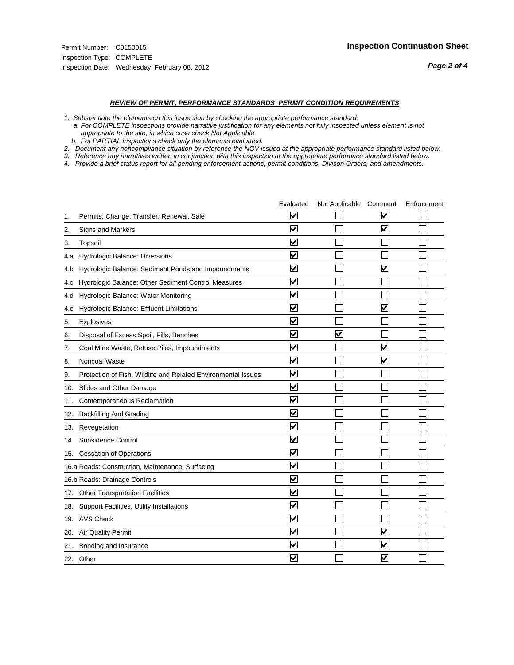#### *REVIEW OF PERMIT, PERFORMANCE STANDARDS PERMIT CONDITION REQUIREMENTS*

*1. Substantiate the elements on this inspection by checking the appropriate performance standard.*

 *a. For COMPLETE inspections provide narrative justification for any elements not fully inspected unless element is not appropriate to the site, in which case check Not Applicable.*

 *b. For PARTIAL inspections check only the elements evaluated.*

*2. Document any noncompliance situation by reference the NOV issued at the appropriate performance standard listed below.*

*3. Reference any narratives written in conjunction with this inspection at the appropriate performace standard listed below.*

|     |                                                               | Evaluated               | Not Applicable Comment |                         | Enforcement |
|-----|---------------------------------------------------------------|-------------------------|------------------------|-------------------------|-------------|
| 1.  | Permits, Change, Transfer, Renewal, Sale                      | $\overline{\mathsf{v}}$ |                        | V                       |             |
| 2.  | Signs and Markers                                             | $\overline{\mathbf{v}}$ |                        | $\blacktriangledown$    |             |
| 3.  | Topsoil                                                       | $\overline{\mathbf{v}}$ |                        |                         |             |
| 4.a | Hydrologic Balance: Diversions                                | $\overline{\mathsf{v}}$ |                        |                         |             |
| 4.b | Hydrologic Balance: Sediment Ponds and Impoundments           | $\blacktriangledown$    |                        | V                       |             |
| 4.C | Hydrologic Balance: Other Sediment Control Measures           | $\overline{\mathbf{v}}$ |                        |                         |             |
| 4.d | Hydrologic Balance: Water Monitoring                          | $\overline{\mathbf{v}}$ |                        |                         |             |
| 4.e | Hydrologic Balance: Effluent Limitations                      | $\overline{\mathbf{v}}$ |                        | $\blacktriangledown$    |             |
| 5.  | <b>Explosives</b>                                             | $\overline{\mathbf{v}}$ |                        |                         |             |
| 6.  | Disposal of Excess Spoil, Fills, Benches                      | $\blacktriangledown$    | $\blacktriangledown$   |                         |             |
| 7.  | Coal Mine Waste, Refuse Piles, Impoundments                   | $\overline{\mathsf{v}}$ |                        | $\overline{\mathbf{v}}$ |             |
| 8.  | Noncoal Waste                                                 | $\overline{\mathbf{v}}$ |                        | $\overline{\mathbf{v}}$ |             |
| 9.  | Protection of Fish, Wildlife and Related Environmental Issues | $\overline{\mathbf{v}}$ |                        |                         |             |
|     | 10. Slides and Other Damage                                   | $\overline{\mathbf{v}}$ |                        |                         |             |
| 11. | Contemporaneous Reclamation                                   | ⊽                       |                        |                         |             |
| 12. | <b>Backfilling And Grading</b>                                | $\overline{\mathbf{v}}$ |                        |                         |             |
| 13. | Revegetation                                                  | $\overline{\mathbf{v}}$ |                        |                         |             |
| 14. | Subsidence Control                                            | $\overline{\mathbf{v}}$ |                        |                         |             |
|     | 15. Cessation of Operations                                   | $\overline{\mathbf{v}}$ |                        |                         |             |
|     | 16.a Roads: Construction, Maintenance, Surfacing              | $\blacktriangledown$    |                        |                         |             |
|     | 16.b Roads: Drainage Controls                                 | $\overline{\mathbf{v}}$ |                        |                         |             |
| 17. | <b>Other Transportation Facilities</b>                        | $\overline{\mathbf{v}}$ |                        |                         |             |
| 18. | Support Facilities, Utility Installations                     | $\overline{\mathbf{v}}$ |                        |                         |             |
|     | 19. AVS Check                                                 | $\overline{\mathbf{v}}$ |                        |                         |             |
| 20. | Air Quality Permit                                            | $\checkmark$            |                        | $\blacktriangledown$    |             |
| 21. | Bonding and Insurance                                         | $\blacktriangledown$    |                        | $\blacktriangledown$    |             |
|     | 22. Other                                                     | $\overline{\mathbf{v}}$ |                        | $\blacktriangledown$    |             |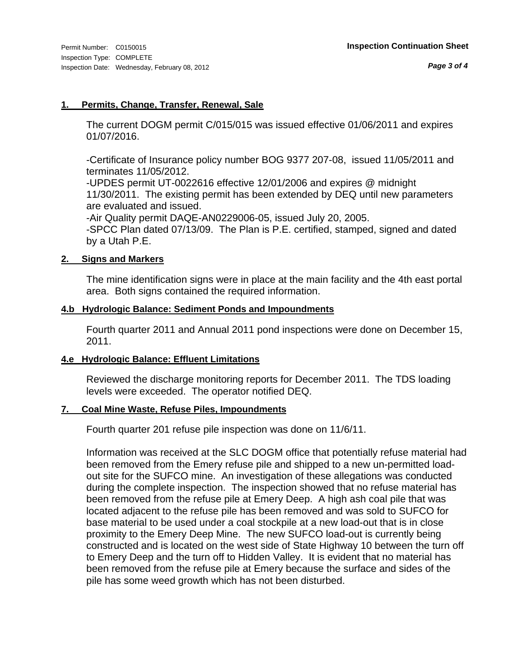### **1. Permits, Change, Transfer, Renewal, Sale**

The current DOGM permit C/015/015 was issued effective 01/06/2011 and expires 01/07/2016.

-Certificate of Insurance policy number BOG 9377 207-08, issued 11/05/2011 and terminates 11/05/2012.

-UPDES permit UT-0022616 effective 12/01/2006 and expires @ midnight 11/30/2011. The existing permit has been extended by DEQ until new parameters are evaluated and issued.

-Air Quality permit DAQE-AN0229006-05, issued July 20, 2005.

-SPCC Plan dated 07/13/09. The Plan is P.E. certified, stamped, signed and dated by a Utah P.E.

#### **2. Signs and Markers**

The mine identification signs were in place at the main facility and the 4th east portal area. Both signs contained the required information.

### **4.b Hydrologic Balance: Sediment Ponds and Impoundments**

Fourth quarter 2011 and Annual 2011 pond inspections were done on December 15, 2011.

### **4.e Hydrologic Balance: Effluent Limitations**

Reviewed the discharge monitoring reports for December 2011. The TDS loading levels were exceeded. The operator notified DEQ.

### **7. Coal Mine Waste, Refuse Piles, Impoundments**

Fourth quarter 201 refuse pile inspection was done on 11/6/11.

Information was received at the SLC DOGM office that potentially refuse material had been removed from the Emery refuse pile and shipped to a new un-permitted loadout site for the SUFCO mine. An investigation of these allegations was conducted during the complete inspection. The inspection showed that no refuse material has been removed from the refuse pile at Emery Deep. A high ash coal pile that was located adjacent to the refuse pile has been removed and was sold to SUFCO for base material to be used under a coal stockpile at a new load-out that is in close proximity to the Emery Deep Mine. The new SUFCO load-out is currently being constructed and is located on the west side of State Highway 10 between the turn off to Emery Deep and the turn off to Hidden Valley. It is evident that no material has been removed from the refuse pile at Emery because the surface and sides of the pile has some weed growth which has not been disturbed.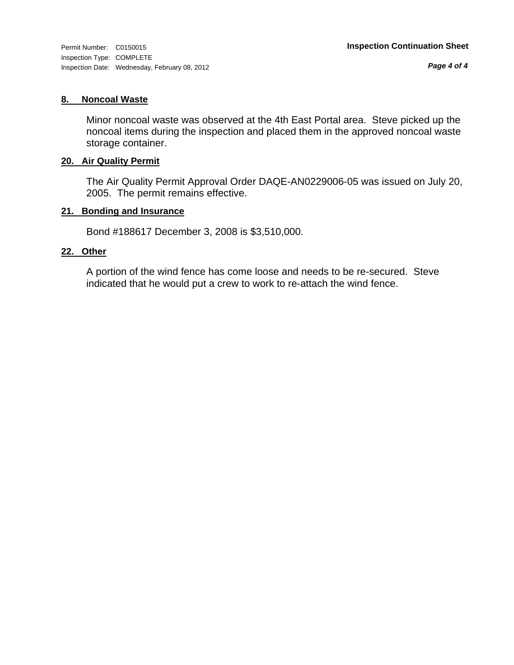*Page 4 of 4*

#### **8. Noncoal Waste**

Minor noncoal waste was observed at the 4th East Portal area. Steve picked up the noncoal items during the inspection and placed them in the approved noncoal waste storage container.

#### **20. Air Quality Permit**

The Air Quality Permit Approval Order DAQE-AN0229006-05 was issued on July 20, 2005. The permit remains effective.

#### **21. Bonding and Insurance**

Bond #188617 December 3, 2008 is \$3,510,000.

#### **22. Other**

A portion of the wind fence has come loose and needs to be re-secured. Steve indicated that he would put a crew to work to re-attach the wind fence.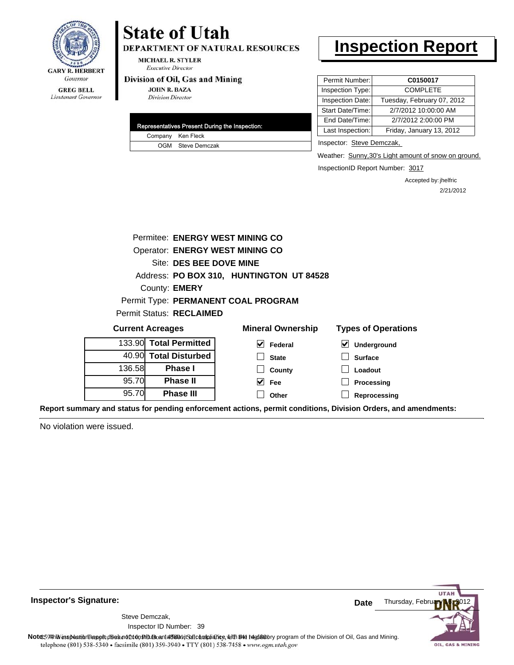

#### **GREG BELL** Lieutenant Governor

## **State of Utah**

DEPARTMENT OF NATURAL RESOURCES

**MICHAEL R. STYLER Executive Director** 

#### Division of Oil, Gas and Mining

**JOHN R. BAZA Division Director** 

|  | Representatives Present During the Inspection: |
|--|------------------------------------------------|
|  | Company Ken Fleck                              |
|  | OGM Steve Demczak                              |

### **Inspection Report**

| Permit Number:   | C0150017                   |
|------------------|----------------------------|
| Inspection Type: | <b>COMPLETE</b>            |
| Inspection Date: | Tuesday, February 07, 2012 |
| Start Date/Time: | 2/7/2012 10:00:00 AM       |
| End Date/Time:   | 2/7/2012 2:00:00 PM        |
| Last Inspection: | Friday, January 13, 2012   |
|                  |                            |

Inspector: Steve Demczak,

Weather: Sunny, 30's Light amount of snow on ground.

InspectionID Report Number: 3017

Accepted by: jhelfric 2/21/2012

|                                        | Permitee: ENERGY WEST MINING CO          |                                     |                                     |  |  |  |  |
|----------------------------------------|------------------------------------------|-------------------------------------|-------------------------------------|--|--|--|--|
| <b>Operator: ENERGY WEST MINING CO</b> |                                          |                                     |                                     |  |  |  |  |
| Site: DES BEE DOVE MINE                |                                          |                                     |                                     |  |  |  |  |
|                                        | Address: PO BOX 310, HUNTINGTON UT 84528 |                                     |                                     |  |  |  |  |
|                                        | County: <b>EMERY</b>                     |                                     |                                     |  |  |  |  |
|                                        |                                          | Permit Type: PERMANENT COAL PROGRAM |                                     |  |  |  |  |
|                                        | <b>Permit Status: RECLAIMED</b>          |                                     |                                     |  |  |  |  |
|                                        | <b>Current Acreages</b>                  | <b>Mineral Ownership</b>            | <b>Types of Operations</b>          |  |  |  |  |
|                                        | 133.90 Total Permitted                   | M<br>Federal                        | $\blacktriangledown$<br>Underground |  |  |  |  |
|                                        | 40.90 Total Disturbed                    | <b>State</b>                        | <b>Surface</b>                      |  |  |  |  |
| 136.58                                 | <b>Phase I</b>                           | County                              | Loadout                             |  |  |  |  |
| 95.70                                  | <b>Phase II</b>                          | <b>Fee</b>                          | Processing                          |  |  |  |  |
| 95.70                                  | <b>Phase III</b>                         |                                     |                                     |  |  |  |  |

**Report summary and status for pending enforcement actions, permit conditions, Division Orders, and amendments:**

No violation were issued.



**Inspector's Signature:**

Inspector ID Number: 39 Steve Demczak,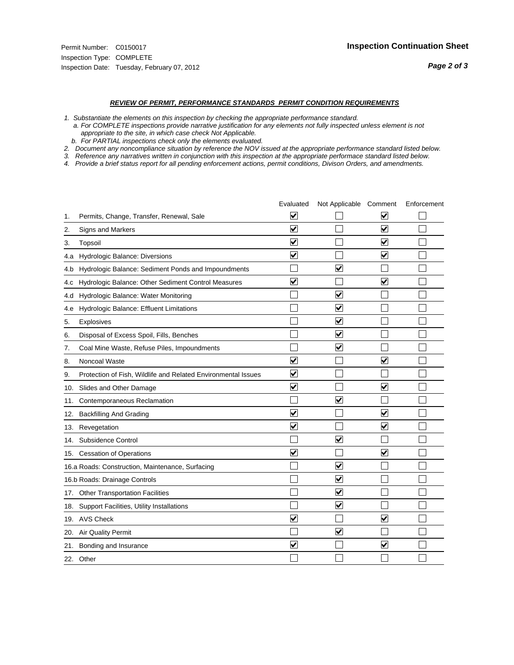#### *REVIEW OF PERMIT, PERFORMANCE STANDARDS PERMIT CONDITION REQUIREMENTS*

*1. Substantiate the elements on this inspection by checking the appropriate performance standard.*

 *a. For COMPLETE inspections provide narrative justification for any elements not fully inspected unless element is not appropriate to the site, in which case check Not Applicable.*

 *b. For PARTIAL inspections check only the elements evaluated.*

*2. Document any noncompliance situation by reference the NOV issued at the appropriate performance standard listed below.*

*3. Reference any narratives written in conjunction with this inspection at the appropriate performace standard listed below.*

|     |                                                               | Evaluated               | Not Applicable Comment  |                         | Enforcement |
|-----|---------------------------------------------------------------|-------------------------|-------------------------|-------------------------|-------------|
| 1.  | Permits, Change, Transfer, Renewal, Sale                      | $\overline{\mathsf{v}}$ |                         | V                       |             |
| 2.  | Signs and Markers                                             | $\overline{\mathbf{v}}$ |                         | $\blacktriangledown$    |             |
| 3.  | Topsoil                                                       | $\overline{\mathbf{v}}$ |                         | $\overline{\mathsf{v}}$ |             |
| 4.a | Hydrologic Balance: Diversions                                | $\blacktriangledown$    |                         | $\blacktriangledown$    |             |
| 4.b | Hydrologic Balance: Sediment Ponds and Impoundments           |                         | ⊽                       |                         |             |
| 4.C | Hydrologic Balance: Other Sediment Control Measures           | $\overline{\mathbf{v}}$ |                         | $\blacktriangledown$    |             |
| 4.d | Hydrologic Balance: Water Monitoring                          |                         | $\overline{\mathbf{v}}$ |                         |             |
| 4.e | Hydrologic Balance: Effluent Limitations                      |                         | $\blacktriangledown$    |                         |             |
| 5.  | <b>Explosives</b>                                             |                         | $\overline{\mathbf{v}}$ |                         |             |
| 6.  | Disposal of Excess Spoil, Fills, Benches                      |                         | $\blacktriangledown$    |                         |             |
| 7.  | Coal Mine Waste, Refuse Piles, Impoundments                   |                         | $\overline{\mathbf{v}}$ |                         |             |
| 8.  | Noncoal Waste                                                 | $\overline{\mathsf{v}}$ |                         | $\overline{\mathbf{v}}$ |             |
| 9.  | Protection of Fish, Wildlife and Related Environmental Issues | $\overline{\mathbf{v}}$ |                         |                         |             |
|     | 10. Slides and Other Damage                                   | $\overline{\mathbf{v}}$ |                         | ⊽                       |             |
| 11. | Contemporaneous Reclamation                                   |                         | ☑                       |                         |             |
| 12. | <b>Backfilling And Grading</b>                                | $\overline{\mathbf{v}}$ |                         | $\blacktriangledown$    |             |
| 13. | Revegetation                                                  | $\overline{\mathbf{v}}$ |                         | $\overline{\mathbf{v}}$ |             |
| 14. | Subsidence Control                                            |                         | $\overline{\mathbf{v}}$ |                         |             |
|     | 15. Cessation of Operations                                   | $\overline{\mathbf{v}}$ |                         | $\blacktriangledown$    |             |
|     | 16.a Roads: Construction, Maintenance, Surfacing              |                         | ☑                       |                         |             |
|     | 16.b Roads: Drainage Controls                                 |                         | $\blacktriangledown$    |                         |             |
| 17. | Other Transportation Facilities                               |                         | $\overline{\mathbf{v}}$ |                         |             |
| 18. | Support Facilities, Utility Installations                     |                         | $\blacktriangledown$    |                         |             |
|     | 19. AVS Check                                                 | $\blacktriangledown$    |                         | $\blacktriangledown$    |             |
| 20. | <b>Air Quality Permit</b>                                     |                         | $\blacktriangledown$    |                         |             |
| 21. | Bonding and Insurance                                         | $\overline{\mathbf{v}}$ |                         | $\blacktriangledown$    |             |
|     | 22. Other                                                     |                         |                         |                         |             |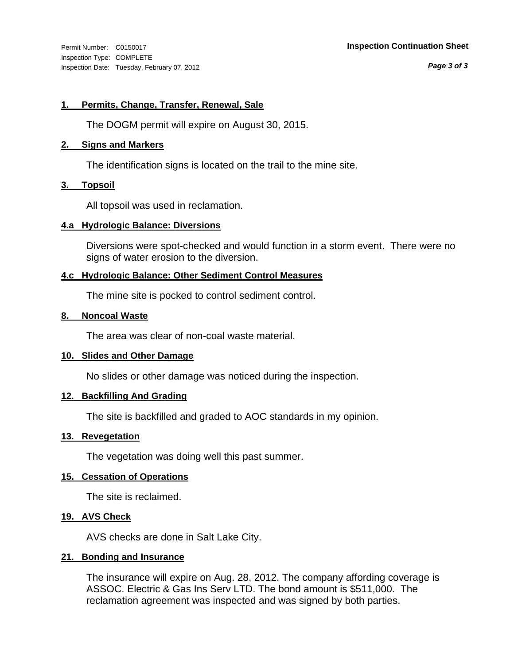Inspection Type: COMPLETE Inspection Date: Tuesday, February 07, 2012

#### Permit Number: C0150017 **Inspection Continuation Sheet**

*Page 3 of 3*

#### **1. Permits, Change, Transfer, Renewal, Sale**

The DOGM permit will expire on August 30, 2015.

#### **2. Signs and Markers**

The identification signs is located on the trail to the mine site.

#### **3. Topsoil**

All topsoil was used in reclamation.

#### **4.a Hydrologic Balance: Diversions**

Diversions were spot-checked and would function in a storm event. There were no signs of water erosion to the diversion.

#### **4.c Hydrologic Balance: Other Sediment Control Measures**

The mine site is pocked to control sediment control.

#### **8. Noncoal Waste**

The area was clear of non-coal waste material.

#### **10. Slides and Other Damage**

No slides or other damage was noticed during the inspection.

#### **12. Backfilling And Grading**

The site is backfilled and graded to AOC standards in my opinion.

#### **13. Revegetation**

The vegetation was doing well this past summer.

#### **15. Cessation of Operations**

The site is reclaimed.

### **19. AVS Check**

AVS checks are done in Salt Lake City.

#### **21. Bonding and Insurance**

The insurance will expire on Aug. 28, 2012. The company affording coverage is ASSOC. Electric & Gas Ins Serv LTD. The bond amount is \$511,000. The reclamation agreement was inspected and was signed by both parties.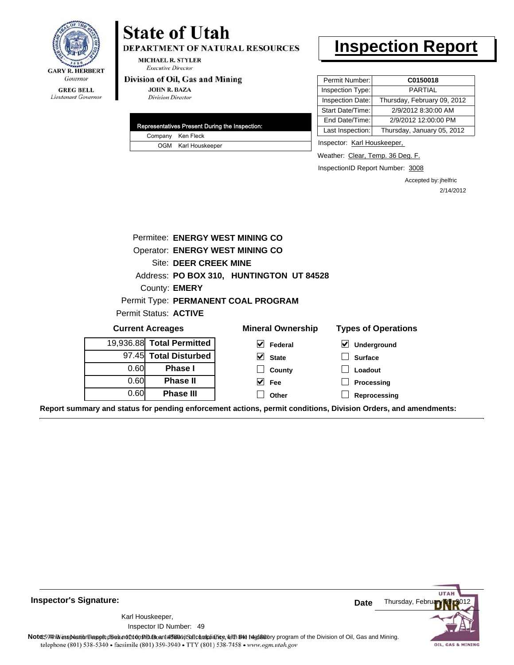

**GREG BELL** Lieutenant Governor

## **State of Utah**

DEPARTMENT OF NATURAL RESOURCES

**MICHAEL R. STYLER Executive Director** 

#### Division of Oil, Gas and Mining

**JOHN R. BAZA Division Director** 

| Representatives Present During the Inspection: |
|------------------------------------------------|
| Company Ken Fleck                              |
| OGM Karl Houskeeper                            |

## **Inspection Report**

| Permit Number:   | C0150018                    |
|------------------|-----------------------------|
| Inspection Type: | <b>PARTIAL</b>              |
| Inspection Date: | Thursday, February 09, 2012 |
| Start Date/Time: | 2/9/2012 8:30:00 AM         |
| End Date/Time:   | 2/9/2012 12:00:00 PM        |
| Last Inspection: | Thursday, January 05, 2012  |

Inspector: Karl Houskeeper,

Weather: Clear, Temp. 36 Deg. F.

InspectionID Report Number: 3008

Accepted by: jhelfric 2/14/2012

| Permitee: ENERGY WEST MINING CO |                                          |                                     |                                          |  |  |  |  |  |  |
|---------------------------------|------------------------------------------|-------------------------------------|------------------------------------------|--|--|--|--|--|--|
| Operator: ENERGY WEST MINING CO |                                          |                                     |                                          |  |  |  |  |  |  |
| <b>Site: DEER CREEK MINE</b>    |                                          |                                     |                                          |  |  |  |  |  |  |
|                                 | Address: PO BOX 310, HUNTINGTON UT 84528 |                                     |                                          |  |  |  |  |  |  |
|                                 | County: <b>EMERY</b>                     |                                     |                                          |  |  |  |  |  |  |
|                                 |                                          | Permit Type: PERMANENT COAL PROGRAM |                                          |  |  |  |  |  |  |
|                                 | Permit Status: ACTIVE                    |                                     |                                          |  |  |  |  |  |  |
|                                 | <b>Current Acreages</b>                  | <b>Mineral Ownership</b>            | <b>Types of Operations</b>               |  |  |  |  |  |  |
|                                 | 19,936.88 Total Permitted                | V<br>Federal                        | $\boldsymbol{\mathsf{v}}$<br>Underground |  |  |  |  |  |  |
|                                 | 97.45 Total Disturbed                    | $\vee$ State                        | <b>Surface</b>                           |  |  |  |  |  |  |
| 0.60                            | <b>Phase I</b>                           | County                              | Loadout                                  |  |  |  |  |  |  |
| 0.60                            | <b>Phase II</b>                          | $\vee$ Fee                          | Processing                               |  |  |  |  |  |  |
| 0.60                            | <b>Phase III</b>                         | Other                               | Reprocessing                             |  |  |  |  |  |  |
|                                 |                                          |                                     |                                          |  |  |  |  |  |  |

**Report summary and status for pending enforcement actions, permit conditions, Division Orders, and amendments:**

**Inspector's Signature:**

49 Inspector ID Number:Karl Houskeeper,

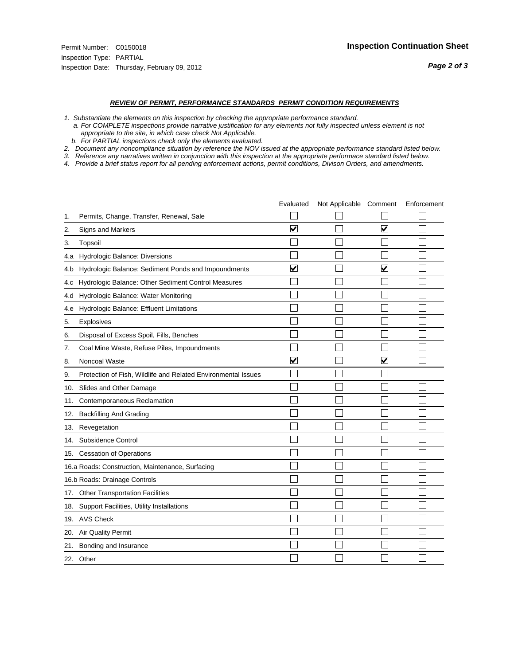#### *REVIEW OF PERMIT, PERFORMANCE STANDARDS PERMIT CONDITION REQUIREMENTS*

- *1. Substantiate the elements on this inspection by checking the appropriate performance standard.*
- *a. For COMPLETE inspections provide narrative justification for any elements not fully inspected unless element is not appropriate to the site, in which case check Not Applicable.*
- *b. For PARTIAL inspections check only the elements evaluated.*
- *2. Document any noncompliance situation by reference the NOV issued at the appropriate performance standard listed below.*
- *3. Reference any narratives written in conjunction with this inspection at the appropriate performace standard listed below.*
- *4. Provide a brief status report for all pending enforcement actions, permit conditions, Divison Orders, and amendments.*

|     |                                                               | Evaluated               | Not Applicable Comment |                         | Enforcement |
|-----|---------------------------------------------------------------|-------------------------|------------------------|-------------------------|-------------|
| 1.  | Permits, Change, Transfer, Renewal, Sale                      |                         |                        |                         |             |
| 2.  | <b>Signs and Markers</b>                                      | $\overline{\mathbf{v}}$ |                        | $\overline{\mathbf{v}}$ |             |
| 3.  | Topsoil                                                       |                         |                        |                         |             |
| 4.a | Hydrologic Balance: Diversions                                |                         |                        |                         |             |
| 4.b | Hydrologic Balance: Sediment Ponds and Impoundments           | $\blacktriangledown$    |                        | V                       |             |
| 4.c | Hydrologic Balance: Other Sediment Control Measures           |                         |                        |                         |             |
| 4.d | Hydrologic Balance: Water Monitoring                          |                         |                        |                         |             |
| 4.e | Hydrologic Balance: Effluent Limitations                      |                         |                        |                         |             |
| 5.  | Explosives                                                    |                         |                        |                         |             |
| 6.  | Disposal of Excess Spoil, Fills, Benches                      |                         |                        |                         |             |
| 7.  | Coal Mine Waste, Refuse Piles, Impoundments                   |                         |                        |                         |             |
| 8.  | Noncoal Waste                                                 | $\overline{\mathsf{v}}$ |                        | $\overline{\mathbf{v}}$ |             |
| 9.  | Protection of Fish, Wildlife and Related Environmental Issues |                         |                        |                         |             |
| 10. | Slides and Other Damage                                       |                         |                        |                         |             |
| 11. | Contemporaneous Reclamation                                   |                         |                        |                         |             |
| 12. | <b>Backfilling And Grading</b>                                |                         |                        |                         |             |
| 13. | Revegetation                                                  |                         |                        |                         |             |
| 14. | Subsidence Control                                            |                         |                        |                         |             |
|     | 15. Cessation of Operations                                   |                         |                        |                         |             |
|     | 16.a Roads: Construction, Maintenance, Surfacing              |                         |                        |                         |             |
|     | 16.b Roads: Drainage Controls                                 |                         |                        |                         |             |
| 17. | <b>Other Transportation Facilities</b>                        |                         |                        |                         |             |
| 18. | Support Facilities, Utility Installations                     |                         |                        |                         |             |
|     | 19. AVS Check                                                 |                         |                        |                         |             |
| 20. | <b>Air Quality Permit</b>                                     |                         |                        |                         |             |
| 21. | Bonding and Insurance                                         |                         |                        |                         |             |
|     | 22. Other                                                     |                         |                        |                         |             |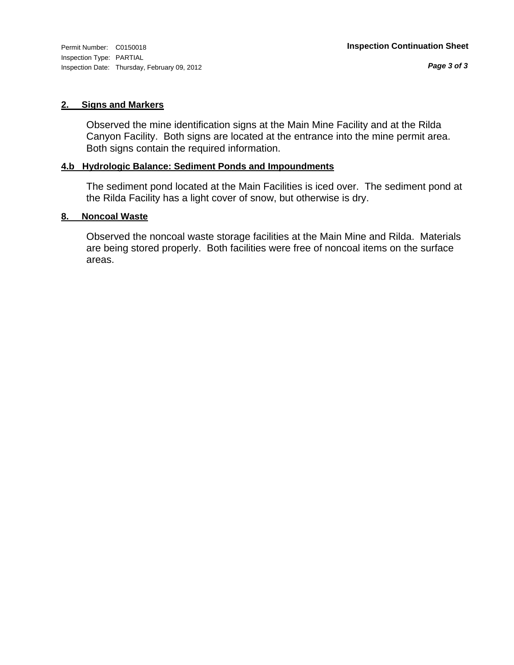Inspection Type: PARTIAL Inspection Date: Thursday, February 09, 2012

#### **2. Signs and Markers**

Observed the mine identification signs at the Main Mine Facility and at the Rilda Canyon Facility. Both signs are located at the entrance into the mine permit area. Both signs contain the required information.

### **4.b Hydrologic Balance: Sediment Ponds and Impoundments**

The sediment pond located at the Main Facilities is iced over. The sediment pond at the Rilda Facility has a light cover of snow, but otherwise is dry.

#### **8. Noncoal Waste**

Observed the noncoal waste storage facilities at the Main Mine and Rilda. Materials are being stored properly. Both facilities were free of noncoal items on the surface areas.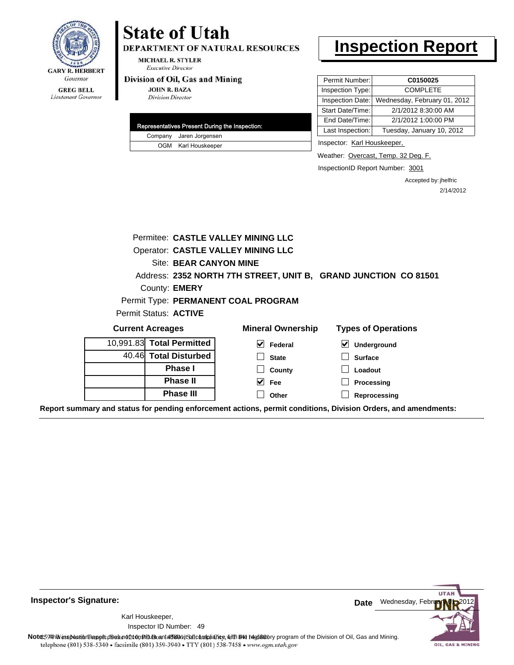

#### **GREG BELL** Lieutenant Governor

# **State of Utah**

DEPARTMENT OF NATURAL RESOURCES

**MICHAEL R. STYLER Executive Director** 

#### Division of Oil, Gas and Mining

**JOHN R. BAZA Division Director** 

|                         | Representatives Present During the Inspection: |
|-------------------------|------------------------------------------------|
| Company Jaren Jorgensen |                                                |
| OGM Karl Houskeeper     |                                                |

## **Inspection Report**

| Permit Number:   | C0150025                     |
|------------------|------------------------------|
| Inspection Type: | <b>COMPLETE</b>              |
| Inspection Date: | Wednesday, February 01, 2012 |
| Start Date/Time: | 2/1/2012 8:30:00 AM          |
| End Date/Time:   | 2/1/2012 1:00:00 PM          |
| Last Inspection: | Tuesday, January 10, 2012    |
|                  |                              |

Inspector: Karl Houskeeper,

Weather: Overcast, Temp. 32 Deg. F.

InspectionID Report Number: 3001

Accepted by: jhelfric 2/14/2012

|                                           |  | Site: BEAR CANYON MINE    | Permitee: CASTLE VALLEY MINING LLC<br>Operator: CASTLE VALLEY MINING LLC |                                                                                                                |
|-------------------------------------------|--|---------------------------|--------------------------------------------------------------------------|----------------------------------------------------------------------------------------------------------------|
| County: <b>EMERY</b>                      |  |                           | Address: 2352 NORTH 7TH STREET, UNIT B, GRAND JUNCTION CO 81501          |                                                                                                                |
|                                           |  | Permit Status: ACTIVE     | Permit Type: PERMANENT COAL PROGRAM                                      |                                                                                                                |
|                                           |  | <b>Current Acreages</b>   | <b>Mineral Ownership</b>                                                 | <b>Types of Operations</b>                                                                                     |
|                                           |  | 10,991.83 Total Permitted | V<br>Federal                                                             | V<br>Underground                                                                                               |
|                                           |  | 40.46 Total Disturbed     | <b>State</b>                                                             | <b>Surface</b>                                                                                                 |
|                                           |  | <b>Phase I</b>            | County                                                                   | Loadout                                                                                                        |
| <b>Phase II</b>                           |  |                           | $\vee$ Fee                                                               | Processing                                                                                                     |
| <b>Phase III</b><br>Other<br>Reprocessing |  |                           |                                                                          |                                                                                                                |
|                                           |  |                           |                                                                          | Report summary and status for pending enforcement actions, permit conditions, Division Orders, and amendments: |



**Inspector's Signature:**

49 Inspector ID Number:Karl Houskeeper,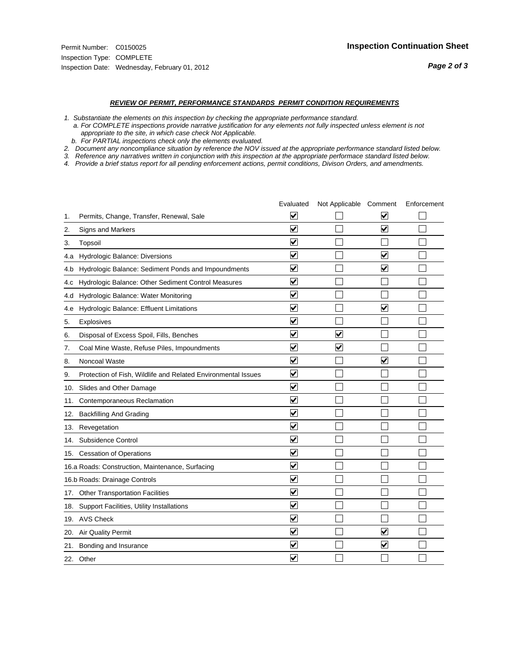#### *REVIEW OF PERMIT, PERFORMANCE STANDARDS PERMIT CONDITION REQUIREMENTS*

*1. Substantiate the elements on this inspection by checking the appropriate performance standard.*

 *a. For COMPLETE inspections provide narrative justification for any elements not fully inspected unless element is not appropriate to the site, in which case check Not Applicable.*

 *b. For PARTIAL inspections check only the elements evaluated.*

*2. Document any noncompliance situation by reference the NOV issued at the appropriate performance standard listed below.*

*3. Reference any narratives written in conjunction with this inspection at the appropriate performace standard listed below.*

|     |                                                               | Evaluated               | Not Applicable Comment  |                         | Enforcement |
|-----|---------------------------------------------------------------|-------------------------|-------------------------|-------------------------|-------------|
| 1.  | Permits, Change, Transfer, Renewal, Sale                      | $\overline{\mathsf{v}}$ |                         | V                       |             |
| 2.  | Signs and Markers                                             | $\overline{\mathbf{v}}$ |                         | $\blacktriangledown$    |             |
| 3.  | Topsoil                                                       | $\overline{\mathbf{v}}$ |                         |                         |             |
| 4.a | Hydrologic Balance: Diversions                                | $\overline{\mathsf{v}}$ |                         | $\overline{\mathbf{v}}$ |             |
| 4.b | Hydrologic Balance: Sediment Ponds and Impoundments           | $\blacktriangledown$    |                         | V                       |             |
| 4.C | Hydrologic Balance: Other Sediment Control Measures           | $\overline{\mathbf{v}}$ |                         |                         |             |
| 4.d | Hydrologic Balance: Water Monitoring                          | $\overline{\mathbf{v}}$ |                         |                         |             |
| 4.e | Hydrologic Balance: Effluent Limitations                      | $\overline{\mathbf{v}}$ |                         | $\blacktriangledown$    |             |
| 5.  | <b>Explosives</b>                                             | $\overline{\mathbf{v}}$ |                         |                         |             |
| 6.  | Disposal of Excess Spoil, Fills, Benches                      | $\blacktriangledown$    | $\blacktriangledown$    |                         |             |
| 7.  | Coal Mine Waste, Refuse Piles, Impoundments                   | $\overline{\mathbf{v}}$ | $\overline{\mathbf{v}}$ |                         |             |
| 8.  | Noncoal Waste                                                 | $\overline{\mathbf{v}}$ |                         | $\overline{\mathbf{v}}$ |             |
| 9.  | Protection of Fish, Wildlife and Related Environmental Issues | $\overline{\mathbf{v}}$ |                         |                         |             |
|     | 10. Slides and Other Damage                                   | $\overline{\mathbf{v}}$ |                         |                         |             |
| 11. | Contemporaneous Reclamation                                   | ⊽                       |                         |                         |             |
| 12. | <b>Backfilling And Grading</b>                                | $\overline{\mathbf{v}}$ |                         |                         |             |
| 13. | Revegetation                                                  | $\overline{\mathbf{v}}$ |                         |                         |             |
| 14. | Subsidence Control                                            | $\overline{\mathbf{v}}$ |                         |                         |             |
|     | 15. Cessation of Operations                                   | $\overline{\mathbf{v}}$ |                         |                         |             |
|     | 16.a Roads: Construction, Maintenance, Surfacing              | $\blacktriangledown$    |                         |                         |             |
|     | 16.b Roads: Drainage Controls                                 | $\overline{\mathbf{v}}$ |                         |                         |             |
| 17. | <b>Other Transportation Facilities</b>                        | $\overline{\mathbf{v}}$ |                         |                         |             |
| 18. | Support Facilities, Utility Installations                     | $\overline{\mathbf{v}}$ |                         |                         |             |
|     | 19. AVS Check                                                 | $\overline{\mathbf{v}}$ |                         |                         |             |
| 20. | Air Quality Permit                                            | $\checkmark$            |                         | $\blacktriangledown$    |             |
| 21. | Bonding and Insurance                                         | $\blacktriangledown$    |                         | $\blacktriangledown$    |             |
|     | 22. Other                                                     | $\overline{\mathbf{v}}$ |                         |                         |             |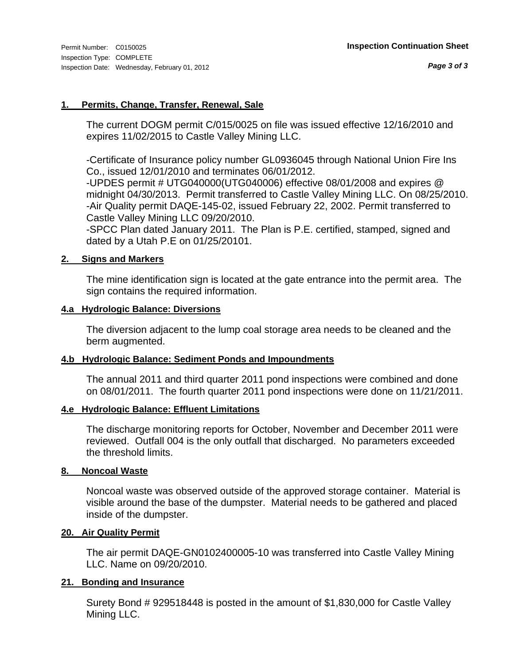### **1. Permits, Change, Transfer, Renewal, Sale**

The current DOGM permit C/015/0025 on file was issued effective 12/16/2010 and expires 11/02/2015 to Castle Valley Mining LLC.

-Certificate of Insurance policy number GL0936045 through National Union Fire Ins Co., issued 12/01/2010 and terminates 06/01/2012.

-UPDES permit # UTG040000(UTG040006) effective 08/01/2008 and expires @ midnight 04/30/2013. Permit transferred to Castle Valley Mining LLC. On 08/25/2010. -Air Quality permit DAQE-145-02, issued February 22, 2002. Permit transferred to Castle Valley Mining LLC 09/20/2010.

-SPCC Plan dated January 2011. The Plan is P.E. certified, stamped, signed and dated by a Utah P.E on 01/25/20101.

#### **2. Signs and Markers**

The mine identification sign is located at the gate entrance into the permit area. The sign contains the required information.

#### **4.a Hydrologic Balance: Diversions**

The diversion adjacent to the lump coal storage area needs to be cleaned and the berm augmented.

### **4.b Hydrologic Balance: Sediment Ponds and Impoundments**

The annual 2011 and third quarter 2011 pond inspections were combined and done on 08/01/2011. The fourth quarter 2011 pond inspections were done on 11/21/2011.

### **4.e Hydrologic Balance: Effluent Limitations**

The discharge monitoring reports for October, November and December 2011 were reviewed. Outfall 004 is the only outfall that discharged. No parameters exceeded the threshold limits.

### **8. Noncoal Waste**

Noncoal waste was observed outside of the approved storage container. Material is visible around the base of the dumpster. Material needs to be gathered and placed inside of the dumpster.

### **20. Air Quality Permit**

The air permit DAQE-GN0102400005-10 was transferred into Castle Valley Mining LLC. Name on 09/20/2010.

### **21. Bonding and Insurance**

Surety Bond # 929518448 is posted in the amount of \$1,830,000 for Castle Valley Mining LLC.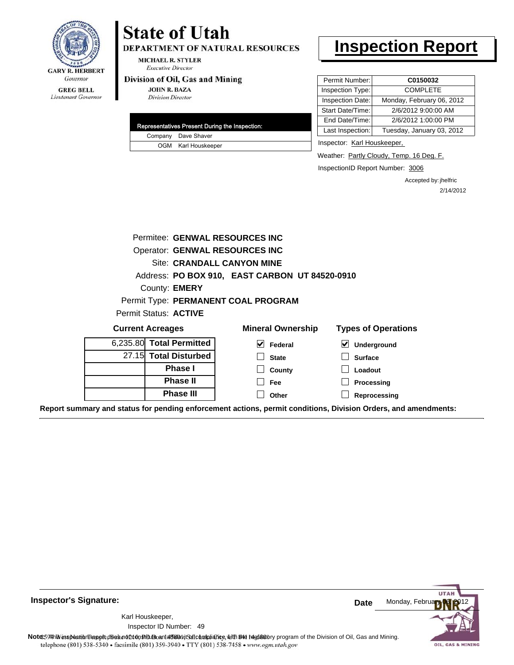

#### DEPARTMENT OF NATURAL RESOURCES **MICHAEL R. STYLER Executive Director**

#### Division of Oil, Gas and Mining

**GREG BELL** Lieutenant Governor

| <b>JOHN R. BAZA</b>      |  |
|--------------------------|--|
| <b>Division Director</b> |  |

**State of Utah** 

|  | Representatives Present During the Inspection: |
|--|------------------------------------------------|
|  | Company Dave Shaver                            |
|  | OGM Karl Houskeeper                            |

### **Inspection Report**

| Permit Number:   | C0150032                  |
|------------------|---------------------------|
| Inspection Type: | <b>COMPLETE</b>           |
| Inspection Date: | Monday, February 06, 2012 |
| Start Date/Time: | 2/6/2012 9:00:00 AM       |
| End Date/Time:   | 2/6/2012 1:00:00 PM       |
| Last Inspection: | Tuesday, January 03, 2012 |
|                  |                           |

Inspector: Karl Houskeeper,

Weather: Partly Cloudy, Temp. 16 Deg. F.

InspectionID Report Number: 3006

Accepted by: jhelfric 2/14/2012

|                                                                                                                | Permitee: GENWAL RESOURCES INC                 |                            |
|----------------------------------------------------------------------------------------------------------------|------------------------------------------------|----------------------------|
|                                                                                                                | <b>Operator: GENWAL RESOURCES INC</b>          |                            |
|                                                                                                                | Site: CRANDALL CANYON MINE                     |                            |
|                                                                                                                | Address: PO BOX 910, EAST CARBON UT 84520-0910 |                            |
| County: <b>EMERY</b>                                                                                           |                                                |                            |
|                                                                                                                | Permit Type: PERMANENT COAL PROGRAM            |                            |
| <b>Permit Status: ACTIVE</b>                                                                                   |                                                |                            |
| <b>Current Acreages</b>                                                                                        | <b>Mineral Ownership</b>                       | <b>Types of Operations</b> |
| 6,235.80 Total Permitted                                                                                       | $\blacktriangledown$<br>Federal                | V<br>Underground           |
| 27.15 Total Disturbed                                                                                          | <b>State</b>                                   | <b>Surface</b>             |
| <b>Phase I</b>                                                                                                 | County                                         | Loadout                    |
| <b>Phase II</b>                                                                                                | Fee                                            | Processing                 |
| <b>Phase III</b>                                                                                               | Other                                          | Reprocessing               |
| Report summary and status for pending enforcement actions, permit conditions, Division Orders, and amendments: |                                                |                            |

**UTA** Monday, Februa **Date** Karl Houskeeper, 49 Inspector ID Number:**Note**: **59HhV** inspection report does not 260n Studio and affidavit Suite and suith the deptatory program of the Division of Oil, Gas and Mining.<br>telephone (801) 538-5340 • facsimile (801) 359-3940 • TTY (801) 538-7458 • OIL, GAS & MINING

**Inspector's Signature:**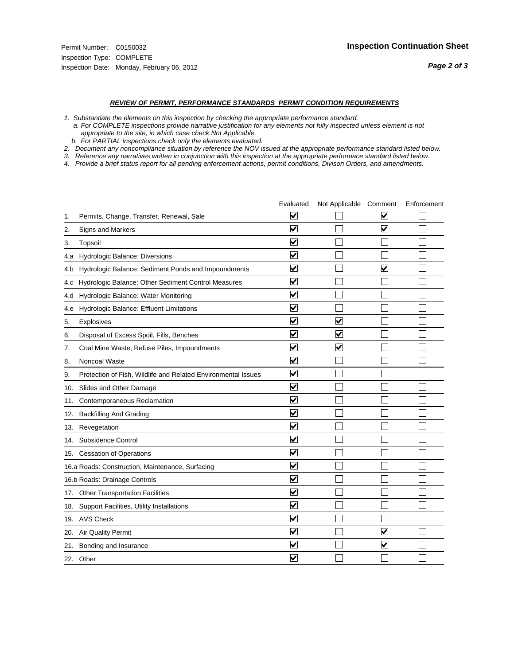#### *REVIEW OF PERMIT, PERFORMANCE STANDARDS PERMIT CONDITION REQUIREMENTS*

*1. Substantiate the elements on this inspection by checking the appropriate performance standard.*

 *a. For COMPLETE inspections provide narrative justification for any elements not fully inspected unless element is not appropriate to the site, in which case check Not Applicable.*

 *b. For PARTIAL inspections check only the elements evaluated.*

*2. Document any noncompliance situation by reference the NOV issued at the appropriate performance standard listed below.*

*3. Reference any narratives written in conjunction with this inspection at the appropriate performace standard listed below.*

|     |                                                               | Evaluated               | Not Applicable Comment  |                      | Enforcement |
|-----|---------------------------------------------------------------|-------------------------|-------------------------|----------------------|-------------|
| 1.  | Permits, Change, Transfer, Renewal, Sale                      | $\overline{\mathsf{v}}$ |                         | V                    |             |
| 2.  | Signs and Markers                                             | $\overline{\mathbf{v}}$ |                         | ☑                    |             |
| 3.  | Topsoil                                                       | $\overline{\mathbf{v}}$ |                         |                      |             |
| 4.a | Hydrologic Balance: Diversions                                | $\overline{\mathbf{v}}$ |                         |                      |             |
| 4.b | Hydrologic Balance: Sediment Ponds and Impoundments           | $\blacktriangledown$    |                         | V                    |             |
| 4.C | Hydrologic Balance: Other Sediment Control Measures           | $\overline{\mathbf{v}}$ |                         |                      |             |
| 4.d | Hydrologic Balance: Water Monitoring                          | $\overline{\mathbf{v}}$ |                         |                      |             |
| 4.e | Hydrologic Balance: Effluent Limitations                      | $\overline{\mathbf{v}}$ |                         |                      |             |
| 5.  | <b>Explosives</b>                                             | $\overline{\mathbf{v}}$ | ⊽                       |                      |             |
| 6.  | Disposal of Excess Spoil, Fills, Benches                      | $\blacktriangledown$    | $\blacktriangledown$    |                      |             |
| 7.  | Coal Mine Waste, Refuse Piles, Impoundments                   | $\overline{\mathbf{v}}$ | $\overline{\mathbf{v}}$ |                      |             |
| 8.  | Noncoal Waste                                                 | $\overline{\mathbf{v}}$ |                         |                      |             |
| 9.  | Protection of Fish, Wildlife and Related Environmental Issues | $\overline{\mathbf{v}}$ |                         |                      |             |
|     | 10. Slides and Other Damage                                   | $\overline{\mathbf{v}}$ |                         |                      |             |
| 11. | Contemporaneous Reclamation                                   | ⊽                       |                         |                      |             |
| 12. | <b>Backfilling And Grading</b>                                | $\overline{\mathbf{v}}$ |                         |                      |             |
| 13. | Revegetation                                                  | $\overline{\mathbf{v}}$ |                         |                      |             |
| 14. | Subsidence Control                                            | $\overline{\mathbf{v}}$ |                         |                      |             |
|     | 15. Cessation of Operations                                   | $\overline{\mathbf{v}}$ |                         |                      |             |
|     | 16.a Roads: Construction, Maintenance, Surfacing              | $\blacktriangledown$    |                         |                      |             |
|     | 16.b Roads: Drainage Controls                                 | $\overline{\mathbf{v}}$ |                         |                      |             |
| 17. | <b>Other Transportation Facilities</b>                        | $\overline{\mathbf{v}}$ |                         |                      |             |
| 18. | Support Facilities, Utility Installations                     | $\overline{\mathbf{v}}$ |                         |                      |             |
|     | 19. AVS Check                                                 | $\overline{\mathbf{v}}$ |                         |                      |             |
| 20. | Air Quality Permit                                            | $\checkmark$            |                         | $\blacktriangledown$ |             |
| 21. | Bonding and Insurance                                         | $\blacktriangledown$    |                         | $\blacktriangledown$ |             |
|     | 22. Other                                                     | $\overline{\mathbf{v}}$ |                         |                      |             |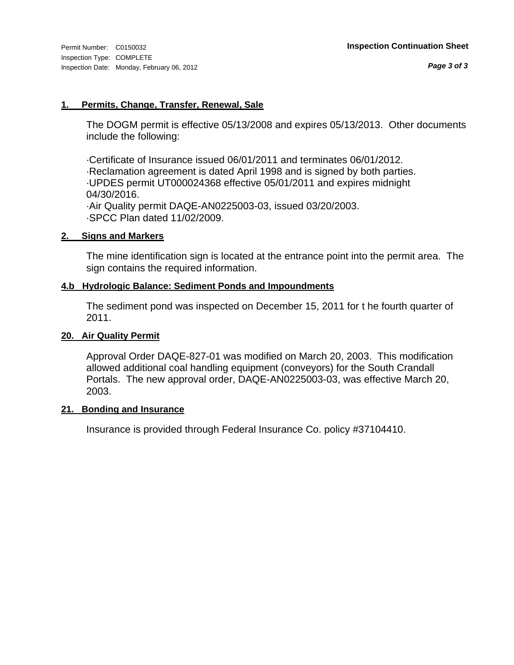#### **1. Permits, Change, Transfer, Renewal, Sale**

The DOGM permit is effective 05/13/2008 and expires 05/13/2013. Other documents include the following:

·Certificate of Insurance issued 06/01/2011 and terminates 06/01/2012. ·Reclamation agreement is dated April 1998 and is signed by both parties. ·UPDES permit UT000024368 effective 05/01/2011 and expires midnight 04/30/2016. ·Air Quality permit DAQE-AN0225003-03, issued 03/20/2003. ·SPCC Plan dated 11/02/2009.

#### **2. Signs and Markers**

The mine identification sign is located at the entrance point into the permit area. The sign contains the required information.

#### **4.b Hydrologic Balance: Sediment Ponds and Impoundments**

The sediment pond was inspected on December 15, 2011 for t he fourth quarter of 2011.

#### **20. Air Quality Permit**

Approval Order DAQE-827-01 was modified on March 20, 2003. This modification allowed additional coal handling equipment (conveyors) for the South Crandall Portals. The new approval order, DAQE-AN0225003-03, was effective March 20, 2003.

#### **21. Bonding and Insurance**

Insurance is provided through Federal Insurance Co. policy #37104410.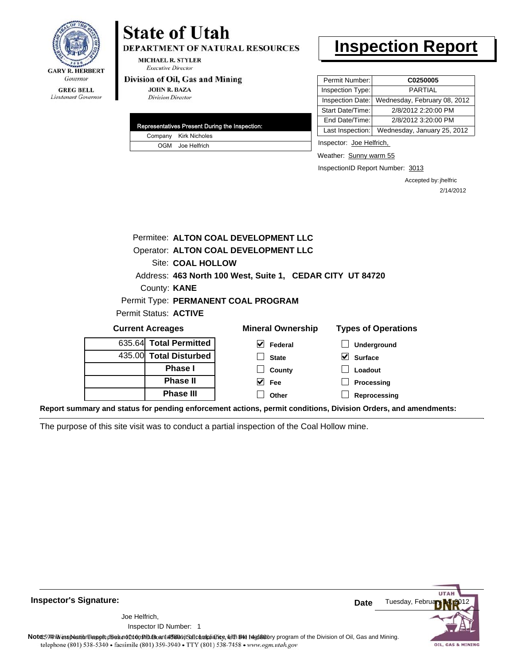

## **State of Utah**

**DEPARTMENT OF NATURAL RESOURCES** 

**MICHAEL R. STYLER Executive Director** 

#### Division of Oil, Gas and Mining

**JOHN R. BAZA Division Director** 

|  | Representatives Present During the Inspection: |
|--|------------------------------------------------|
|  | Company Kirk Nicholes                          |
|  | OGM Joe Helfrich                               |

## **Inspection Report**

| Permit Number:   | C0250005                     |
|------------------|------------------------------|
| Inspection Type: | <b>PARTIAL</b>               |
| Inspection Date: | Wednesday, February 08, 2012 |
| Start Date/Time: | 2/8/2012 2:20:00 PM          |
| End Date/Time:   | 2/8/2012 3:20:00 PM          |
| Last Inspection: | Wednesday, January 25, 2012  |

Inspector: Joe Helfrich,

Weather: Sunny warm 55

InspectionID Report Number: 3013

Accepted by: jhelfric 2/14/2012

|                                     | Permitee: ALTON COAL DEVELOPMENT LLC                      |                                      |                            |  |  |
|-------------------------------------|-----------------------------------------------------------|--------------------------------------|----------------------------|--|--|
|                                     |                                                           | Operator: ALTON COAL DEVELOPMENT LLC |                            |  |  |
|                                     | Site: COAL HOLLOW                                         |                                      |                            |  |  |
|                                     | Address: 463 North 100 West, Suite 1, CEDAR CITY UT 84720 |                                      |                            |  |  |
|                                     | County: <b>KANE</b>                                       |                                      |                            |  |  |
| Permit Type: PERMANENT COAL PROGRAM |                                                           |                                      |                            |  |  |
| Permit Status: ACTIVE               |                                                           |                                      |                            |  |  |
| <b>Current Acreages</b>             |                                                           | <b>Mineral Ownership</b>             | <b>Types of Operations</b> |  |  |
| 635.64 Total Permitted              |                                                           | $\blacktriangleright$<br>Federal     | Underground                |  |  |
| 435.00 Total Disturbed              |                                                           | <b>State</b>                         | <b>Surface</b>             |  |  |

| 000.04 TOLAI FUTIIIILUU |
|-------------------------|
| 435.00 Total Disturbed  |
| <b>Phase I</b>          |
| <b>Phase II</b>         |
| <b>Phase III</b>        |

| , , , , , , , , , , , , , , , , |
|---------------------------------|
| $\Box$ Underground              |
| $\vee$ Surface                  |
| $\Box$ Loadout                  |
|                                 |

**Processing Reprocessing**

**Report summary and status for pending enforcement actions, permit conditions, Division Orders, and amendments:**

**County Fee Other**

The purpose of this site visit was to conduct a partial inspection of the Coal Hollow mine.

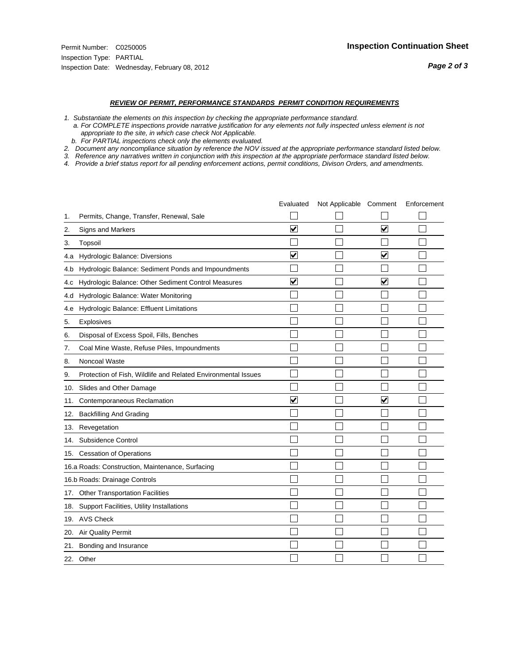#### *REVIEW OF PERMIT, PERFORMANCE STANDARDS PERMIT CONDITION REQUIREMENTS*

*1. Substantiate the elements on this inspection by checking the appropriate performance standard.*

 *a. For COMPLETE inspections provide narrative justification for any elements not fully inspected unless element is not appropriate to the site, in which case check Not Applicable.*

 *b. For PARTIAL inspections check only the elements evaluated.*

*2. Document any noncompliance situation by reference the NOV issued at the appropriate performance standard listed below.*

*3. Reference any narratives written in conjunction with this inspection at the appropriate performace standard listed below.*

|     |                                                               | Evaluated               | Not Applicable Comment |                         | Enforcement |
|-----|---------------------------------------------------------------|-------------------------|------------------------|-------------------------|-------------|
| 1.  | Permits, Change, Transfer, Renewal, Sale                      |                         |                        |                         |             |
| 2.  | Signs and Markers                                             | $\overline{\mathbf{v}}$ |                        | $\overline{\mathbf{v}}$ |             |
| 3.  | Topsoil                                                       |                         |                        |                         |             |
| 4.a | Hydrologic Balance: Diversions                                | $\blacktriangledown$    |                        | $\overline{\mathbf{v}}$ |             |
| 4.b | Hydrologic Balance: Sediment Ponds and Impoundments           |                         |                        |                         |             |
| 4.c | Hydrologic Balance: Other Sediment Control Measures           | $\overline{\mathbf{v}}$ |                        | $\blacktriangledown$    |             |
| 4.d | Hydrologic Balance: Water Monitoring                          |                         |                        |                         |             |
| 4.e | Hydrologic Balance: Effluent Limitations                      |                         |                        |                         |             |
| 5.  | Explosives                                                    |                         |                        |                         |             |
| 6.  | Disposal of Excess Spoil, Fills, Benches                      |                         |                        |                         |             |
| 7.  | Coal Mine Waste, Refuse Piles, Impoundments                   |                         |                        |                         |             |
| 8.  | Noncoal Waste                                                 |                         |                        |                         |             |
| 9.  | Protection of Fish, Wildlife and Related Environmental Issues |                         |                        |                         |             |
|     | 10. Slides and Other Damage                                   |                         |                        |                         |             |
| 11. | Contemporaneous Reclamation                                   | ⊽                       |                        | $\overline{\mathbf{v}}$ |             |
| 12. | <b>Backfilling And Grading</b>                                |                         |                        |                         |             |
| 13. | Revegetation                                                  |                         |                        |                         |             |
| 14. | Subsidence Control                                            |                         |                        |                         |             |
|     | 15. Cessation of Operations                                   |                         |                        |                         |             |
|     | 16.a Roads: Construction, Maintenance, Surfacing              |                         |                        |                         |             |
|     | 16.b Roads: Drainage Controls                                 |                         |                        |                         |             |
| 17. | Other Transportation Facilities                               |                         |                        |                         |             |
| 18. | Support Facilities, Utility Installations                     |                         |                        |                         |             |
|     | 19. AVS Check                                                 |                         |                        |                         |             |
| 20. | <b>Air Quality Permit</b>                                     |                         |                        |                         |             |
| 21. | Bonding and Insurance                                         |                         |                        |                         |             |
|     | 22. Other                                                     |                         |                        |                         |             |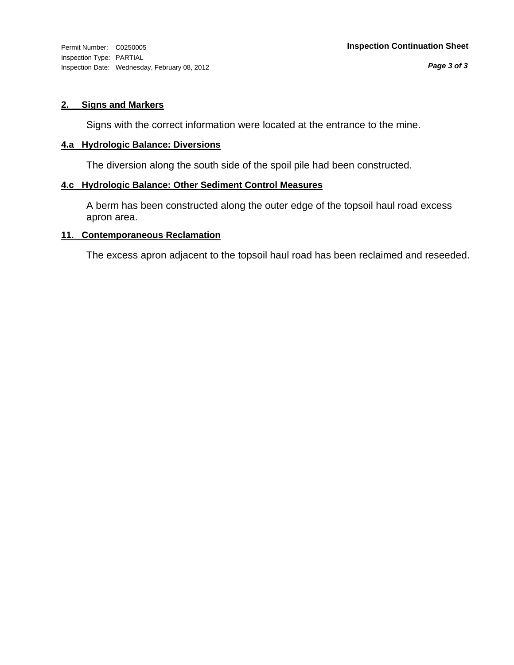Inspection Type: PARTIAL Inspection Date: Wednesday, February 08, 2012

#### **2. Signs and Markers**

Signs with the correct information were located at the entrance to the mine.

#### **4.a Hydrologic Balance: Diversions**

The diversion along the south side of the spoil pile had been constructed.

#### **4.c Hydrologic Balance: Other Sediment Control Measures**

A berm has been constructed along the outer edge of the topsoil haul road excess apron area.

#### **11. Contemporaneous Reclamation**

The excess apron adjacent to the topsoil haul road has been reclaimed and reseeded.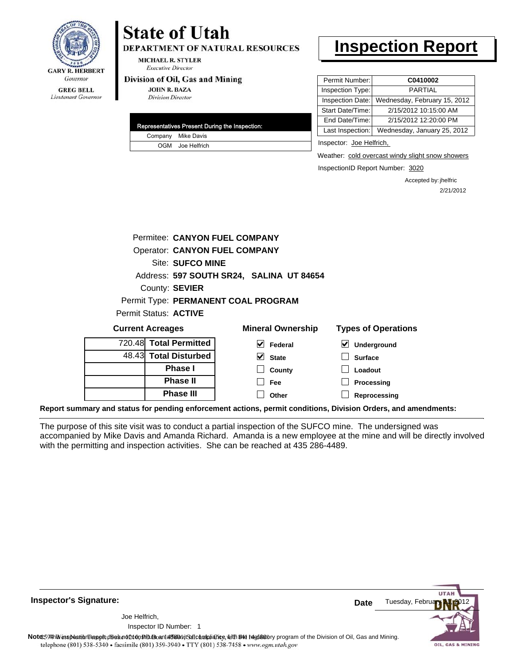

### Lieutenant Governor

## **State of Utah**

**DEPARTMENT OF NATURAL RESOURCES** 

**MICHAEL R. STYLER Executive Director** 

#### Division of Oil, Gas and Mining

**JOHN R. BAZA Division Director** 

|  | Representatives Present During the Inspection: |
|--|------------------------------------------------|
|  | Company Mike Davis                             |
|  | OGM Joe Helfrich                               |

### **Inspection Report**

| Permit Number:   | C0410002                     |
|------------------|------------------------------|
| Inspection Type: | <b>PARTIAL</b>               |
| Inspection Date: | Wednesday, February 15, 2012 |
| Start Date/Time: | 2/15/2012 10:15:00 AM        |
| End Date/Time:   | 2/15/2012 12:20:00 PM        |
| Last Inspection: | Wednesday, January 25, 2012  |
|                  |                              |

Inspector: Joe Helfrich,

Weather: cold overcast windy slight snow showers

InspectionID Report Number: 3020

**Reprocessing**

Accepted by: jhelfric 2/21/2012

|         |                                          | Permitee: CANYON FUEL COMPANY        |                            |  |  |  |  |
|---------|------------------------------------------|--------------------------------------|----------------------------|--|--|--|--|
|         |                                          | <b>Operator: CANYON FUEL COMPANY</b> |                            |  |  |  |  |
|         | Site: SUFCO MINE                         |                                      |                            |  |  |  |  |
|         | Address: 597 SOUTH SR24, SALINA UT 84654 |                                      |                            |  |  |  |  |
|         | County: SEVIER                           |                                      |                            |  |  |  |  |
|         |                                          | Permit Type: PERMANENT COAL PROGRAM  |                            |  |  |  |  |
|         | <b>Permit Status: ACTIVE</b>             |                                      |                            |  |  |  |  |
|         | <b>Current Acreages</b>                  | <b>Mineral Ownership</b>             | <b>Types of Operations</b> |  |  |  |  |
|         | 720.48 Total Permitted                   | V<br>Federal                         | Underground                |  |  |  |  |
|         | 48.43 Total Disturbed                    | $\vee$ State                         | <b>Surface</b>             |  |  |  |  |
| Phase I |                                          | County                               | Loadout                    |  |  |  |  |
|         | <b>Phase II</b>                          | <b>Fee</b>                           | Processing                 |  |  |  |  |

**Report summary and status for pending enforcement actions, permit conditions, Division Orders, and amendments:**

**Phase III**

The purpose of this site visit was to conduct a partial inspection of the SUFCO mine. The undersigned was accompanied by Mike Davis and Amanda Richard. Amanda is a new employee at the mine and will be directly involved with the permitting and inspection activities. She can be reached at 435 286-4489.

**Other**

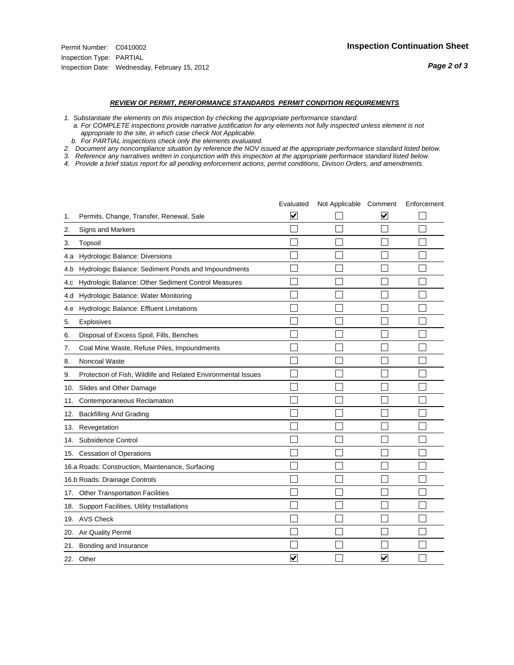#### *REVIEW OF PERMIT, PERFORMANCE STANDARDS PERMIT CONDITION REQUIREMENTS*

*1. Substantiate the elements on this inspection by checking the appropriate performance standard.*

 *a. For COMPLETE inspections provide narrative justification for any elements not fully inspected unless element is not appropriate to the site, in which case check Not Applicable.*

 *b. For PARTIAL inspections check only the elements evaluated.*

*2. Document any noncompliance situation by reference the NOV issued at the appropriate performance standard listed below.*

*3. Reference any narratives written in conjunction with this inspection at the appropriate performace standard listed below.*

|     |                                                               | Evaluated               | Not Applicable Comment |   | Enforcement |
|-----|---------------------------------------------------------------|-------------------------|------------------------|---|-------------|
| 1.  | Permits, Change, Transfer, Renewal, Sale                      | $\overline{\mathbf{v}}$ |                        | V |             |
| 2.  | <b>Signs and Markers</b>                                      |                         |                        |   |             |
| 3.  | Topsoil                                                       |                         |                        |   |             |
| 4.a | Hydrologic Balance: Diversions                                |                         |                        |   |             |
| 4.b | Hydrologic Balance: Sediment Ponds and Impoundments           |                         |                        |   |             |
| 4.c | Hydrologic Balance: Other Sediment Control Measures           |                         |                        |   |             |
| 4.d | Hydrologic Balance: Water Monitoring                          |                         |                        |   |             |
| 4.e | Hydrologic Balance: Effluent Limitations                      |                         |                        |   |             |
| 5.  | Explosives                                                    |                         |                        |   |             |
| 6.  | Disposal of Excess Spoil, Fills, Benches                      |                         |                        |   |             |
| 7.  | Coal Mine Waste, Refuse Piles, Impoundments                   |                         |                        |   |             |
| 8.  | Noncoal Waste                                                 |                         |                        |   |             |
| 9.  | Protection of Fish, Wildlife and Related Environmental Issues |                         |                        |   |             |
| 10. | Slides and Other Damage                                       |                         |                        |   |             |
| 11. | Contemporaneous Reclamation                                   |                         |                        |   |             |
| 12. | <b>Backfilling And Grading</b>                                |                         |                        |   |             |
| 13. | Revegetation                                                  |                         |                        |   |             |
| 14. | Subsidence Control                                            |                         |                        |   |             |
|     | 15. Cessation of Operations                                   |                         |                        |   |             |
|     | 16.a Roads: Construction, Maintenance, Surfacing              |                         |                        |   |             |
|     | 16.b Roads: Drainage Controls                                 |                         |                        |   |             |
| 17. | <b>Other Transportation Facilities</b>                        |                         |                        |   |             |
| 18. | Support Facilities, Utility Installations                     |                         |                        |   |             |
|     | 19. AVS Check                                                 |                         |                        |   |             |
| 20. | <b>Air Quality Permit</b>                                     |                         |                        |   |             |
| 21. | Bonding and Insurance                                         |                         |                        |   |             |
|     | 22. Other                                                     | $\overline{\mathbf{v}}$ |                        | V |             |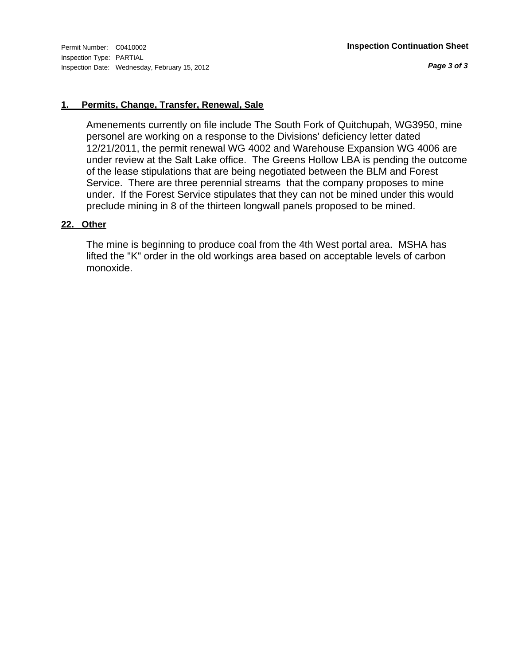*Page 3 of 3*

### **1. Permits, Change, Transfer, Renewal, Sale**

Amenements currently on file include The South Fork of Quitchupah, WG3950, mine personel are working on a response to the Divisions' deficiency letter dated 12/21/2011, the permit renewal WG 4002 and Warehouse Expansion WG 4006 are under review at the Salt Lake office. The Greens Hollow LBA is pending the outcome of the lease stipulations that are being negotiated between the BLM and Forest Service. There are three perennial streams that the company proposes to mine under. If the Forest Service stipulates that they can not be mined under this would preclude mining in 8 of the thirteen longwall panels proposed to be mined.

### **22. Other**

The mine is beginning to produce coal from the 4th West portal area. MSHA has lifted the "K" order in the old workings area based on acceptable levels of carbon monoxide.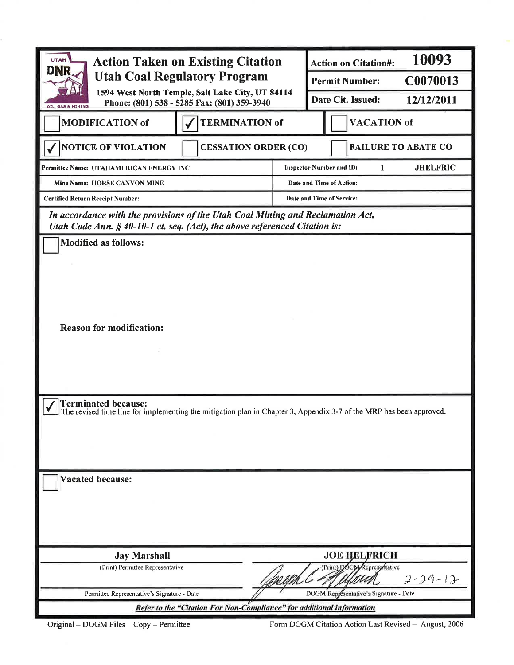| <b>Action Taken on Existing Citation</b><br><b>UTAH</b><br>DNR<br><b>Utah Coal Regulatory Program</b><br>1594 West North Temple, Salt Lake City, UT 84114<br>Phone: (801) 538 - 5285 Fax: (801) 359-3940 |  |                    | <b>Action on Citation#:</b>                        | 10093                      |  |
|----------------------------------------------------------------------------------------------------------------------------------------------------------------------------------------------------------|--|--------------------|----------------------------------------------------|----------------------------|--|
|                                                                                                                                                                                                          |  |                    | <b>Permit Number:</b>                              | C0070013                   |  |
|                                                                                                                                                                                                          |  |                    | Date Cit. Issued:                                  | 12/12/2011                 |  |
| OIL, GAS & MINING<br><b>TERMINATION of</b><br><b>MODIFICATION of</b>                                                                                                                                     |  | <b>VACATION of</b> |                                                    |                            |  |
| <b>NOTICE OF VIOLATION</b><br><b>CESSATION ORDER (CO)</b>                                                                                                                                                |  |                    |                                                    | <b>FAILURE TO ABATE CO</b> |  |
| Permittee Name: UTAHAMERICAN ENERGY INC                                                                                                                                                                  |  |                    | <b>Inspector Number and ID:</b><br>$\mathbf{1}$    | <b>JHELFRIC</b>            |  |
| Mine Name: HORSE CANYON MINE                                                                                                                                                                             |  |                    | Date and Time of Action:                           |                            |  |
| <b>Certified Return Receipt Number:</b>                                                                                                                                                                  |  |                    | Date and Time of Service:                          |                            |  |
| In accordance with the provisions of the Utah Coal Mining and Reclamation Act,<br>Utah Code Ann. $§$ 40-10-1 et. seq. (Act), the above referenced Citation is:                                           |  |                    |                                                    |                            |  |
| <b>Modified as follows:</b>                                                                                                                                                                              |  |                    |                                                    |                            |  |
|                                                                                                                                                                                                          |  |                    |                                                    |                            |  |
|                                                                                                                                                                                                          |  |                    |                                                    |                            |  |
|                                                                                                                                                                                                          |  |                    |                                                    |                            |  |
|                                                                                                                                                                                                          |  |                    |                                                    |                            |  |
| <b>Reason for modification:</b>                                                                                                                                                                          |  |                    |                                                    |                            |  |
|                                                                                                                                                                                                          |  |                    |                                                    |                            |  |
|                                                                                                                                                                                                          |  |                    |                                                    |                            |  |
|                                                                                                                                                                                                          |  |                    |                                                    |                            |  |
|                                                                                                                                                                                                          |  |                    |                                                    |                            |  |
| <b>Terminated because:</b>                                                                                                                                                                               |  |                    |                                                    |                            |  |
| The revised time line for implementing the mitigation plan in Chapter 3, Appendix 3-7 of the MRP has been approved.                                                                                      |  |                    |                                                    |                            |  |
|                                                                                                                                                                                                          |  |                    |                                                    |                            |  |
|                                                                                                                                                                                                          |  |                    |                                                    |                            |  |
|                                                                                                                                                                                                          |  |                    |                                                    |                            |  |
| <b>Vacated because:</b>                                                                                                                                                                                  |  |                    |                                                    |                            |  |
|                                                                                                                                                                                                          |  |                    |                                                    |                            |  |
|                                                                                                                                                                                                          |  |                    |                                                    |                            |  |
|                                                                                                                                                                                                          |  |                    |                                                    |                            |  |
|                                                                                                                                                                                                          |  |                    |                                                    |                            |  |
| <b>Jay Marshall</b><br>(Print) Permittee Representative                                                                                                                                                  |  |                    | <b>JOE HELFRICH</b><br>(Print) DOGM Represontative |                            |  |
|                                                                                                                                                                                                          |  |                    |                                                    | $2 - 29 - 12$              |  |
| Permittee Representative's Signature - Date                                                                                                                                                              |  |                    | DOGM Representative's Signature - Date             |                            |  |
| Refer to the "Citation For Non-Compliance" for additional information                                                                                                                                    |  |                    |                                                    |                            |  |

Original - DOGM Files Copy - Permittee

Form DOGM Citation Action Last Revised - August, 2006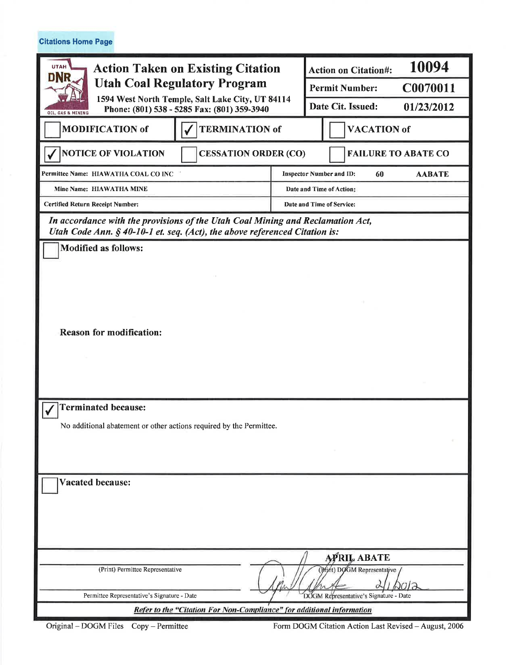**Citations Home Page** 

| <b>UTAH</b><br><b>Action Taken on Existing Citation</b><br>DNR<br><b>Utah Coal Regulatory Program</b><br>1594 West North Temple, Salt Lake City, UT 84114<br>Phone: (801) 538 - 5285 Fax: (801) 359-3940<br>OIL, GAS & MINING |                                                                       |                                 | 10094<br><b>Action on Citation#:</b>              |                            |  |
|-------------------------------------------------------------------------------------------------------------------------------------------------------------------------------------------------------------------------------|-----------------------------------------------------------------------|---------------------------------|---------------------------------------------------|----------------------------|--|
|                                                                                                                                                                                                                               |                                                                       | <b>Permit Number:</b>           | C0070011                                          |                            |  |
|                                                                                                                                                                                                                               |                                                                       | Date Cit. Issued:<br>01/23/2012 |                                                   |                            |  |
| <b>TERMINATION of</b><br><b>MODIFICATION of</b>                                                                                                                                                                               |                                                                       |                                 | <b>VACATION</b> of                                |                            |  |
| <b>NOTICE OF VIOLATION</b>                                                                                                                                                                                                    | <b>CESSATION ORDER (CO)</b>                                           |                                 |                                                   | <b>FAILURE TO ABATE CO</b> |  |
| Permittee Name: HIAWATHA COAL CO INC                                                                                                                                                                                          |                                                                       |                                 | <b>Inspector Number and ID:</b><br>60             | <b>AABATE</b>              |  |
| Mine Name: HIAWATHA MINE                                                                                                                                                                                                      |                                                                       |                                 | Date and Time of Action:                          |                            |  |
| <b>Certified Return Receipt Number:</b>                                                                                                                                                                                       |                                                                       |                                 | Date and Time of Service:                         |                            |  |
| In accordance with the provisions of the Utah Coal Mining and Reclamation Act,<br>Utah Code Ann. § 40-10-1 et. seq. (Act), the above referenced Citation is:                                                                  |                                                                       |                                 |                                                   |                            |  |
| <b>Modified as follows:</b>                                                                                                                                                                                                   |                                                                       |                                 |                                                   |                            |  |
|                                                                                                                                                                                                                               |                                                                       |                                 |                                                   |                            |  |
|                                                                                                                                                                                                                               |                                                                       |                                 |                                                   |                            |  |
|                                                                                                                                                                                                                               |                                                                       |                                 |                                                   |                            |  |
|                                                                                                                                                                                                                               |                                                                       |                                 |                                                   |                            |  |
| <b>Reason for modification:</b>                                                                                                                                                                                               |                                                                       |                                 |                                                   |                            |  |
|                                                                                                                                                                                                                               |                                                                       |                                 |                                                   |                            |  |
|                                                                                                                                                                                                                               |                                                                       |                                 |                                                   |                            |  |
|                                                                                                                                                                                                                               |                                                                       |                                 |                                                   |                            |  |
|                                                                                                                                                                                                                               |                                                                       |                                 |                                                   |                            |  |
| <b>Terminated because:</b>                                                                                                                                                                                                    |                                                                       |                                 |                                                   |                            |  |
| No additional abatement or other actions required by the Permittee.                                                                                                                                                           |                                                                       |                                 |                                                   |                            |  |
|                                                                                                                                                                                                                               |                                                                       |                                 |                                                   |                            |  |
|                                                                                                                                                                                                                               |                                                                       |                                 |                                                   |                            |  |
|                                                                                                                                                                                                                               |                                                                       |                                 |                                                   |                            |  |
| <b>Vacated because:</b>                                                                                                                                                                                                       |                                                                       |                                 |                                                   |                            |  |
|                                                                                                                                                                                                                               |                                                                       |                                 |                                                   |                            |  |
|                                                                                                                                                                                                                               |                                                                       |                                 |                                                   |                            |  |
|                                                                                                                                                                                                                               |                                                                       |                                 |                                                   |                            |  |
|                                                                                                                                                                                                                               |                                                                       |                                 |                                                   |                            |  |
| (Print) Permittee Representative                                                                                                                                                                                              |                                                                       |                                 | <b>APRIL ABATE</b><br>(Print) DOGM Representative |                            |  |
|                                                                                                                                                                                                                               |                                                                       |                                 |                                                   |                            |  |
| Permittee Representative's Signature - Date                                                                                                                                                                                   |                                                                       |                                 | DOGM Representative's Signature - Date            |                            |  |
|                                                                                                                                                                                                                               | Refer to the "Citation For Non-Compliance" for additional information |                                 |                                                   |                            |  |

Original - DOGM Files Copy - Permittee

Form DOGM Citation Action Last Revised - August, 2006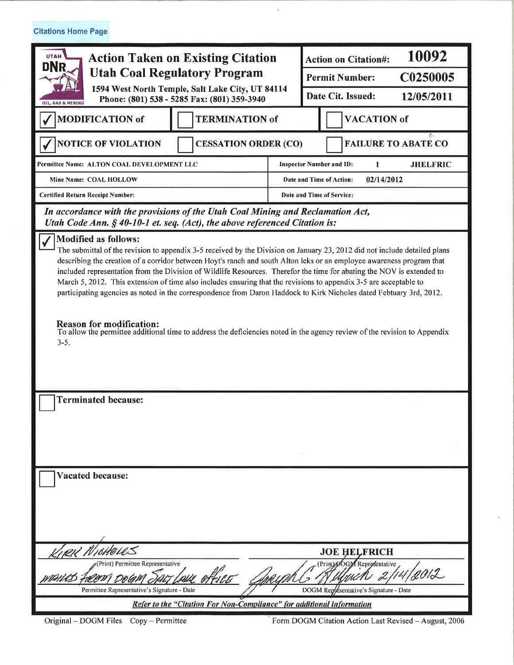**Citations Home Page** 

| <b>UTAH</b><br><b>Action Taken on Existing Citation</b><br>DNR<br><b>Utah Coal Regulatory Program</b><br>1594 West North Temple, Salt Lake City, UT 84114<br>Phone: (801) 538 - 5285 Fax: (801) 359-3940                                                                                                                                                                                                                                                                                                                                                                                                                                                                                                                                                                                                                                                          |                             | 10092<br><b>Action on Citation#:</b> |                                                         |                                        |                            |
|-------------------------------------------------------------------------------------------------------------------------------------------------------------------------------------------------------------------------------------------------------------------------------------------------------------------------------------------------------------------------------------------------------------------------------------------------------------------------------------------------------------------------------------------------------------------------------------------------------------------------------------------------------------------------------------------------------------------------------------------------------------------------------------------------------------------------------------------------------------------|-----------------------------|--------------------------------------|---------------------------------------------------------|----------------------------------------|----------------------------|
|                                                                                                                                                                                                                                                                                                                                                                                                                                                                                                                                                                                                                                                                                                                                                                                                                                                                   |                             | C0250005<br><b>Permit Number:</b>    |                                                         |                                        |                            |
|                                                                                                                                                                                                                                                                                                                                                                                                                                                                                                                                                                                                                                                                                                                                                                                                                                                                   |                             | Date Cit. Issued:<br>12/05/2011      |                                                         |                                        |                            |
| <b>GAS &amp; MINING</b>                                                                                                                                                                                                                                                                                                                                                                                                                                                                                                                                                                                                                                                                                                                                                                                                                                           |                             |                                      |                                                         |                                        |                            |
| <b>MODIFICATION of</b>                                                                                                                                                                                                                                                                                                                                                                                                                                                                                                                                                                                                                                                                                                                                                                                                                                            | <b>TERMINATION of</b>       |                                      |                                                         | <b>VACATION</b> of                     | 81                         |
| <b>NOTICE OF VIOLATION</b>                                                                                                                                                                                                                                                                                                                                                                                                                                                                                                                                                                                                                                                                                                                                                                                                                                        | <b>CESSATION ORDER (CO)</b> |                                      |                                                         |                                        | <b>FAILURE TO ABATE CO</b> |
| Permittee Name: ALTON COAL DEVELOPMENT LLC                                                                                                                                                                                                                                                                                                                                                                                                                                                                                                                                                                                                                                                                                                                                                                                                                        |                             |                                      | <b>Inspector Number and ID:</b><br><b>JHELFRIC</b><br>1 |                                        |                            |
| Mine Name: COAL HOLLOW                                                                                                                                                                                                                                                                                                                                                                                                                                                                                                                                                                                                                                                                                                                                                                                                                                            |                             |                                      | 02/14/2012<br>Date and Time of Action:                  |                                        |                            |
| <b>Certified Return Receipt Number:</b>                                                                                                                                                                                                                                                                                                                                                                                                                                                                                                                                                                                                                                                                                                                                                                                                                           |                             |                                      | Date and Time of Service:                               |                                        |                            |
| In accordance with the provisions of the Utah Coal Mining and Reclamation Act,<br>Utah Code Ann. $\S$ 40-10-1 et. seq. (Act), the above referenced Citation is:                                                                                                                                                                                                                                                                                                                                                                                                                                                                                                                                                                                                                                                                                                   |                             |                                      |                                                         |                                        |                            |
| <b>Modified as follows:</b><br>The submittal of the revision to appendix 3-5 received by the Division on January 23, 2012 did not include detailed plans<br>describing the creation of a corridor between Hoyt's ranch and south Alton leks or an employee awareness program that<br>included representation from the Division of Wildlife Resources. Therefor the time for abating the NOV is extended to<br>March 5, 2012. This extension of time also includes ensuring that the revisions to appendix 3-5 are acceptable to<br>participating agencies as noted in the correspondence from Daron Haddock to Kirk Nicholes dated Febtuary 3rd, 2012.<br><b>Reason for modification:</b><br>To allow the permittee additional time to address the deficiencies noted in the agency review of the revision to Appendix<br>$3 - 5$ .<br><b>Terminated because:</b> |                             |                                      |                                                         |                                        |                            |
|                                                                                                                                                                                                                                                                                                                                                                                                                                                                                                                                                                                                                                                                                                                                                                                                                                                                   |                             |                                      |                                                         |                                        |                            |
| <b>Vacated because:</b>                                                                                                                                                                                                                                                                                                                                                                                                                                                                                                                                                                                                                                                                                                                                                                                                                                           |                             |                                      |                                                         |                                        |                            |
|                                                                                                                                                                                                                                                                                                                                                                                                                                                                                                                                                                                                                                                                                                                                                                                                                                                                   |                             |                                      |                                                         | <b>JOE HELFRICH</b>                    |                            |
| (Print) DOG Reprosentative<br>(Print) Permittee Representative<br>1/2012                                                                                                                                                                                                                                                                                                                                                                                                                                                                                                                                                                                                                                                                                                                                                                                          |                             |                                      |                                                         |                                        |                            |
| Permittee Representative's Signature - Date                                                                                                                                                                                                                                                                                                                                                                                                                                                                                                                                                                                                                                                                                                                                                                                                                       |                             |                                      |                                                         | DOGM Representative's Signature - Date |                            |
| Refer to the "Citation For Non-Compliance" for additional information                                                                                                                                                                                                                                                                                                                                                                                                                                                                                                                                                                                                                                                                                                                                                                                             |                             |                                      |                                                         |                                        |                            |

¥

Form DOGM Citation Action Last Revised - August, 2006